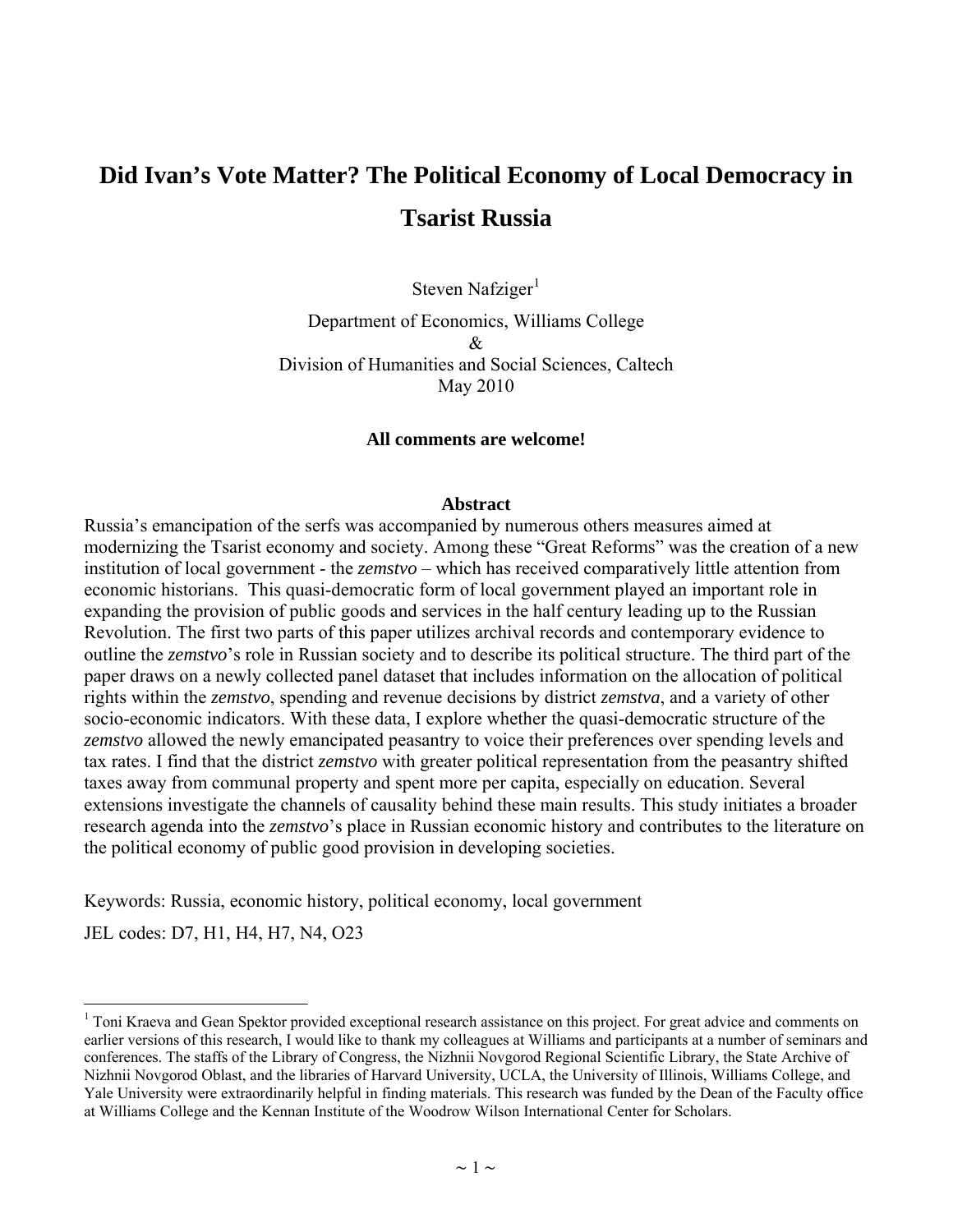# **Did Ivan's Vote Matter? The Political Economy of Local Democracy in Tsarist Russia**

Steven Nafziger $<sup>1</sup>$  $<sup>1</sup>$  $<sup>1</sup>$ </sup>

Department of Economics, Williams College & Division of Humanities and Social Sciences, Caltech May 2010

#### **All comments are welcome!**

#### **Abstract**

Russia's emancipation of the serfs was accompanied by numerous others measures aimed at modernizing the Tsarist economy and society. Among these "Great Reforms" was the creation of a new institution of local government - the *zemstvo* – which has received comparatively little attention from economic historians. This quasi-democratic form of local government played an important role in expanding the provision of public goods and services in the half century leading up to the Russian Revolution. The first two parts of this paper utilizes archival records and contemporary evidence to outline the *zemstvo*'s role in Russian society and to describe its political structure. The third part of the paper draws on a newly collected panel dataset that includes information on the allocation of political rights within the *zemstvo*, spending and revenue decisions by district *zemstva*, and a variety of other socio-economic indicators. With these data, I explore whether the quasi-democratic structure of the *zemstvo* allowed the newly emancipated peasantry to voice their preferences over spending levels and tax rates. I find that the district *zemstvo* with greater political representation from the peasantry shifted taxes away from communal property and spent more per capita, especially on education. Several extensions investigate the channels of causality behind these main results. This study initiates a broader research agenda into the *zemstvo*'s place in Russian economic history and contributes to the literature on the political economy of public good provision in developing societies.

Keywords: Russia, economic history, political economy, local government

JEL codes: D7, H1, H4, H7, N4, O23

<span id="page-0-0"></span><sup>&</sup>lt;sup>1</sup> Toni Kraeva and Gean Spektor provided exceptional research assistance on this project. For great advice and comments on earlier versions of this research, I would like to thank my colleagues at Williams and participants at a number of seminars and conferences. The staffs of the Library of Congress, the Nizhnii Novgorod Regional Scientific Library, the State Archive of Nizhnii Novgorod Oblast, and the libraries of Harvard University, UCLA, the University of Illinois, Williams College, and Yale University were extraordinarily helpful in finding materials. This research was funded by the Dean of the Faculty office at Williams College and the Kennan Institute of the Woodrow Wilson International Center for Scholars.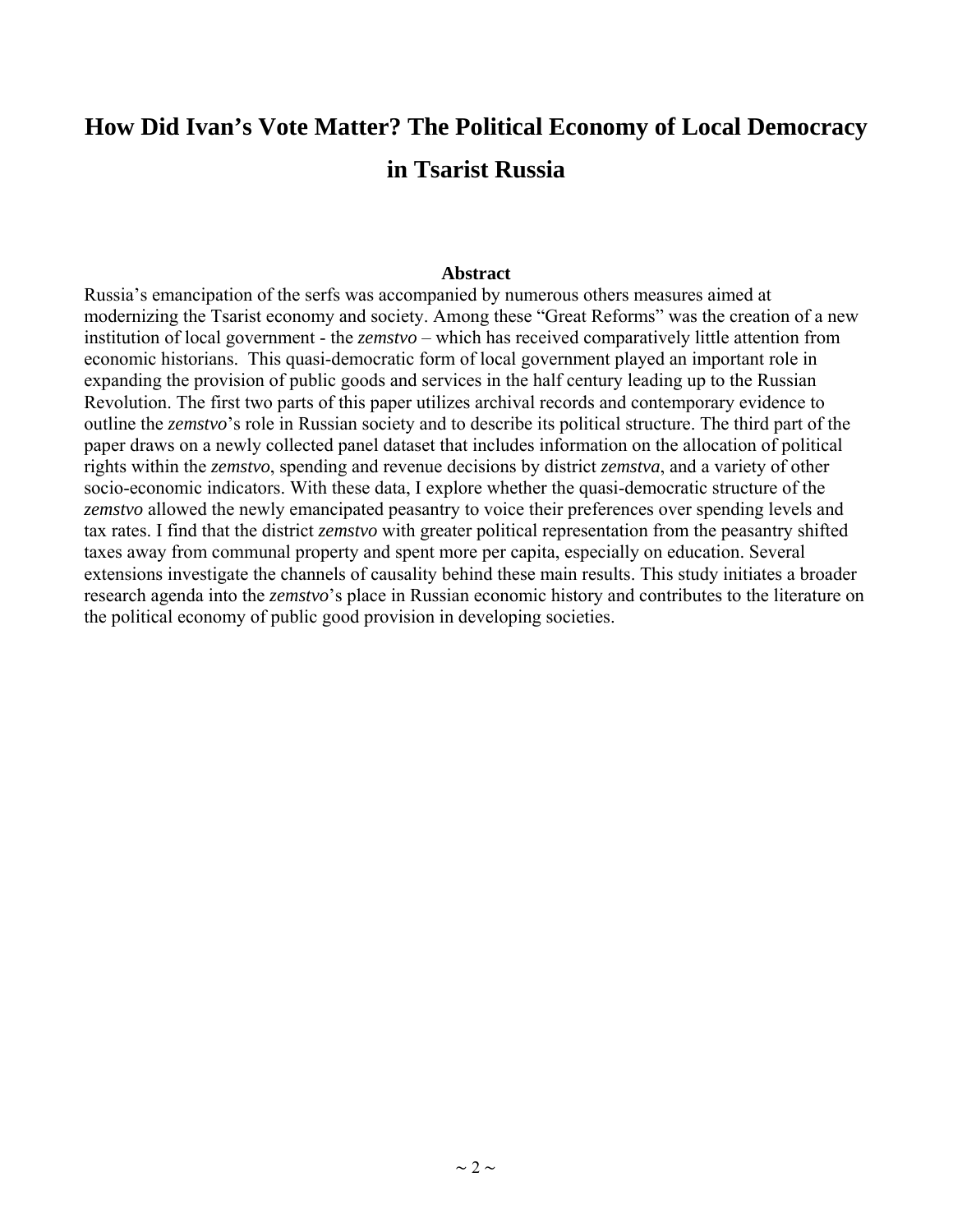# **How Did Ivan's Vote Matter? The Political Economy of Local Democracy in Tsarist Russia**

#### **Abstract**

Russia's emancipation of the serfs was accompanied by numerous others measures aimed at modernizing the Tsarist economy and society. Among these "Great Reforms" was the creation of a new institution of local government - the *zemstvo* – which has received comparatively little attention from economic historians. This quasi-democratic form of local government played an important role in expanding the provision of public goods and services in the half century leading up to the Russian Revolution. The first two parts of this paper utilizes archival records and contemporary evidence to outline the *zemstvo*'s role in Russian society and to describe its political structure. The third part of the paper draws on a newly collected panel dataset that includes information on the allocation of political rights within the *zemstvo*, spending and revenue decisions by district *zemstva*, and a variety of other socio-economic indicators. With these data, I explore whether the quasi-democratic structure of the *zemstvo* allowed the newly emancipated peasantry to voice their preferences over spending levels and tax rates. I find that the district *zemstvo* with greater political representation from the peasantry shifted taxes away from communal property and spent more per capita, especially on education. Several extensions investigate the channels of causality behind these main results. This study initiates a broader research agenda into the *zemstvo*'s place in Russian economic history and contributes to the literature on the political economy of public good provision in developing societies.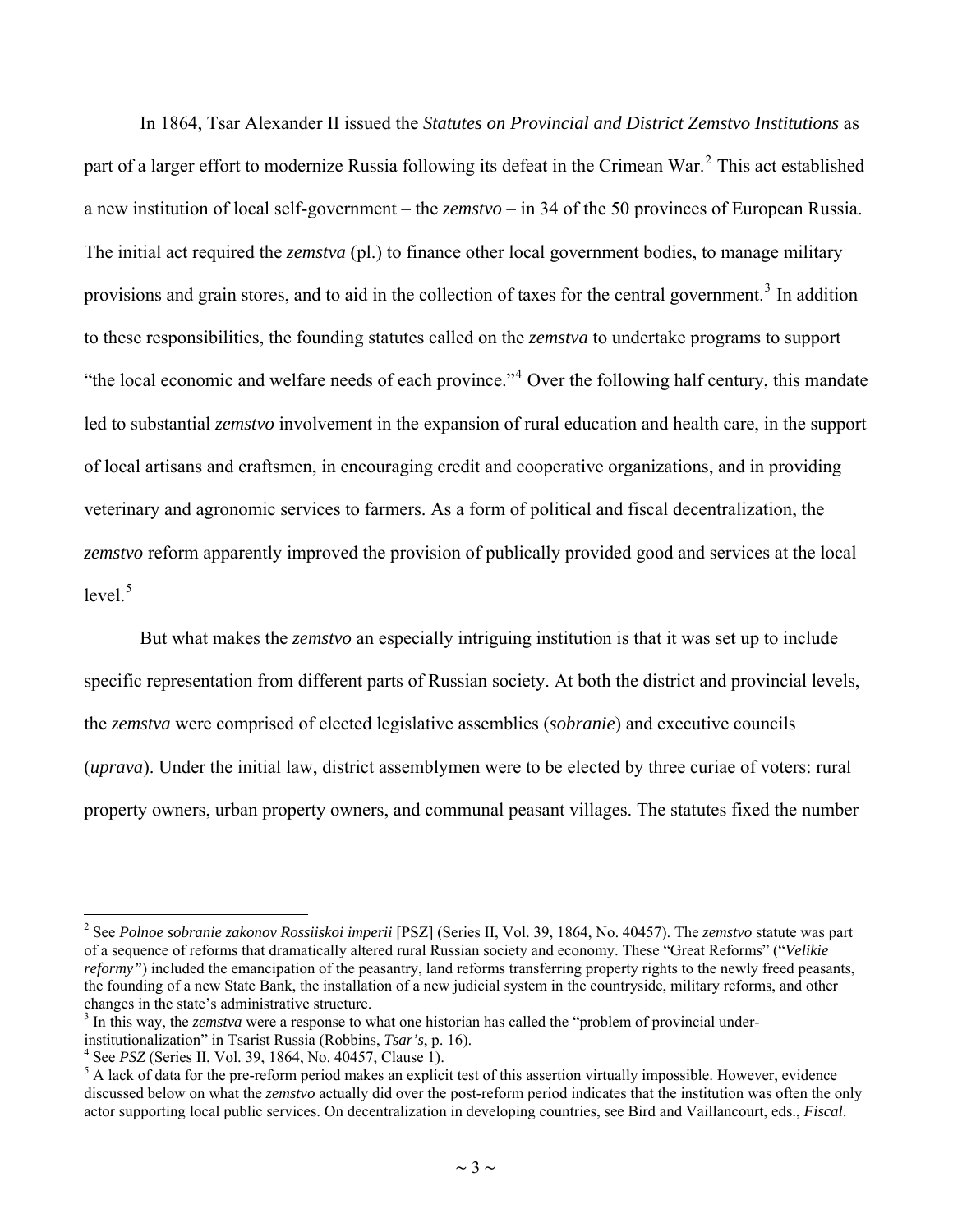In 1864, Tsar Alexander II issued the *Statutes on Provincial and District Zemstvo Institutions* as part of a larger effort to modernize Russia following its defeat in the Crimean War.<sup>[2](#page-2-0)</sup> This act established a new institution of local self-government – the *zemstvo* – in 34 of the 50 provinces of European Russia. The initial act required the *zemstva* (pl.) to finance other local government bodies, to manage military provisions and grain stores, and to aid in the collection of taxes for the central government.<sup>[3](#page-2-1)</sup> In addition to these responsibilities, the founding statutes called on the *zemstva* to undertake programs to support "the local economic and welfare needs of each province."<sup>[4](#page-2-2)</sup> Over the following half century, this mandate led to substantial *zemstvo* involvement in the expansion of rural education and health care, in the support of local artisans and craftsmen, in encouraging credit and cooperative organizations, and in providing veterinary and agronomic services to farmers. As a form of political and fiscal decentralization, the *zemstvo* reform apparently improved the provision of publically provided good and services at the local  $level.<sup>5</sup>$  $level.<sup>5</sup>$  $level.<sup>5</sup>$ 

But what makes the *zemstvo* an especially intriguing institution is that it was set up to include specific representation from different parts of Russian society. At both the district and provincial levels, the *zemstva* were comprised of elected legislative assemblies (*sobranie*) and executive councils (*uprava*). Under the initial law, district assemblymen were to be elected by three curiae of voters: rural property owners, urban property owners, and communal peasant villages. The statutes fixed the number

<sup>2</sup> See *Polnoe sobranie zakonov Rossiiskoi imperii* [PSZ] (Series II, Vol. 39, 1864, No. 40457). The *zemstvo* statute was part of a sequence of reforms that dramatically altered rural Russian society and economy. These "Great Reforms" ("*Velikie reformy*") included the emancipation of the peasantry, land reforms transferring property rights to the newly freed peasants, the founding of a new State Bank, the installation of a new judicial system in the countryside, military reforms, and other changes in the state's administrative structure.

<sup>&</sup>lt;sup>3</sup> In this way, the *zemstva* were a response to what one historian has called the "problem of provincial underinstitutionalization" in Tsarist Russia (Robbins, *Tsar's*, p. 16). 4

<sup>&</sup>lt;sup>4</sup> See *PSZ* (Series II, Vol. 39, 1864, No. 40457, Clause 1).

<span id="page-2-3"></span><span id="page-2-2"></span><span id="page-2-1"></span><span id="page-2-0"></span><sup>&</sup>lt;sup>5</sup> A lack of data for the pre-reform period makes an explicit test of this assertion virtually impossible. However, evidence discussed below on what the *zemstvo* actually did over the post-reform period indicates that the institution was often the only actor supporting local public services. On decentralization in developing countries, see Bird and Vaillancourt, eds., *Fiscal*.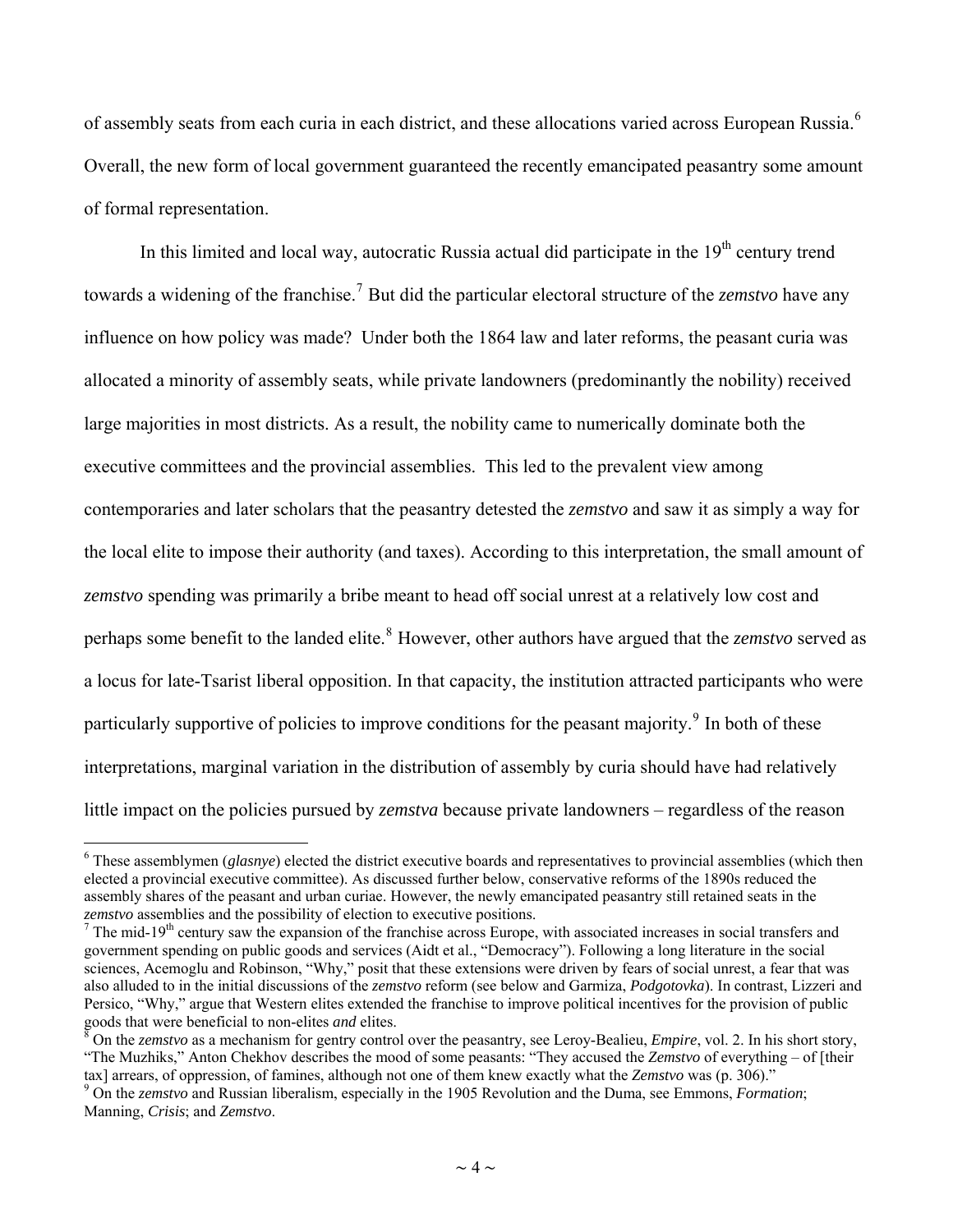of assembly seats from each curia in each district, and these allocations varied across European Russia.<sup>[6](#page-3-0)</sup> Overall, the new form of local government guaranteed the recently emancipated peasantry some amount of formal representation.

In this limited and local way, autocratic Russia actual did participate in the 19<sup>th</sup> century trend towards a widening of the franchise.<sup>[7](#page-3-1)</sup> But did the particular electoral structure of the *zemstvo* have any influence on how policy was made? Under both the 1864 law and later reforms, the peasant curia was allocated a minority of assembly seats, while private landowners (predominantly the nobility) received large majorities in most districts. As a result, the nobility came to numerically dominate both the executive committees and the provincial assemblies. This led to the prevalent view among contemporaries and later scholars that the peasantry detested the *zemstvo* and saw it as simply a way for the local elite to impose their authority (and taxes). According to this interpretation, the small amount of *zemstvo* spending was primarily a bribe meant to head off social unrest at a relatively low cost and perhaps some benefit to the landed elite.<sup>[8](#page-3-2)</sup> However, other authors have argued that the *zemstvo* served as a locus for late-Tsarist liberal opposition. In that capacity, the institution attracted participants who were particularly supportive of policies to improve conditions for the peasant majority.<sup>[9](#page-3-3)</sup> In both of these interpretations, marginal variation in the distribution of assembly by curia should have had relatively little impact on the policies pursued by *zemstva* because private landowners – regardless of the reason

<span id="page-3-0"></span><sup>&</sup>lt;sup>6</sup> These assemblymen (*glasnye*) elected the district executive boards and representatives to provincial assemblies (which then elected a provincial executive committee). As discussed further below, conservative reforms of the 1890s reduced the assembly shares of the peasant and urban curiae. However, the newly emancipated peasantry still retained seats in the *zemstvo* assemblies and the possibility of election to executive positions.

<span id="page-3-1"></span>The mid-19<sup>th</sup> century saw the expansion of the franchise across Europe, with associated increases in social transfers and government spending on public goods and services (Aidt et al., "Democracy"). Following a long literature in the social sciences, Acemoglu and Robinson, "Why," posit that these extensions were driven by fears of social unrest, a fear that was also alluded to in the initial discussions of the *zemstvo* reform (see below and Garmiza, *Podgotovka*). In contrast, Lizzeri and Persico, "Why," argue that Western elites extended the franchise to improve political incentives for the provision of public goods that were beneficial to non-elites *and* elites. 8

<span id="page-3-2"></span>On the *zemstvo* as a mechanism for gentry control over the peasantry, see Leroy-Bealieu, *Empire*, vol. 2. In his short story, "The Muzhiks," Anton Chekhov describes the mood of some peasants: "They accused the *Zemstvo* of everything – of [their tax] arrears, of oppression, of famines, although not one of them knew exactly what the *Zemstvo* was (p. 306)." 9

<span id="page-3-3"></span>On the *zemstvo* and Russian liberalism, especially in the 1905 Revolution and the Duma, see Emmons, *Formation*; Manning, *Crisis*; and *Zemstvo*.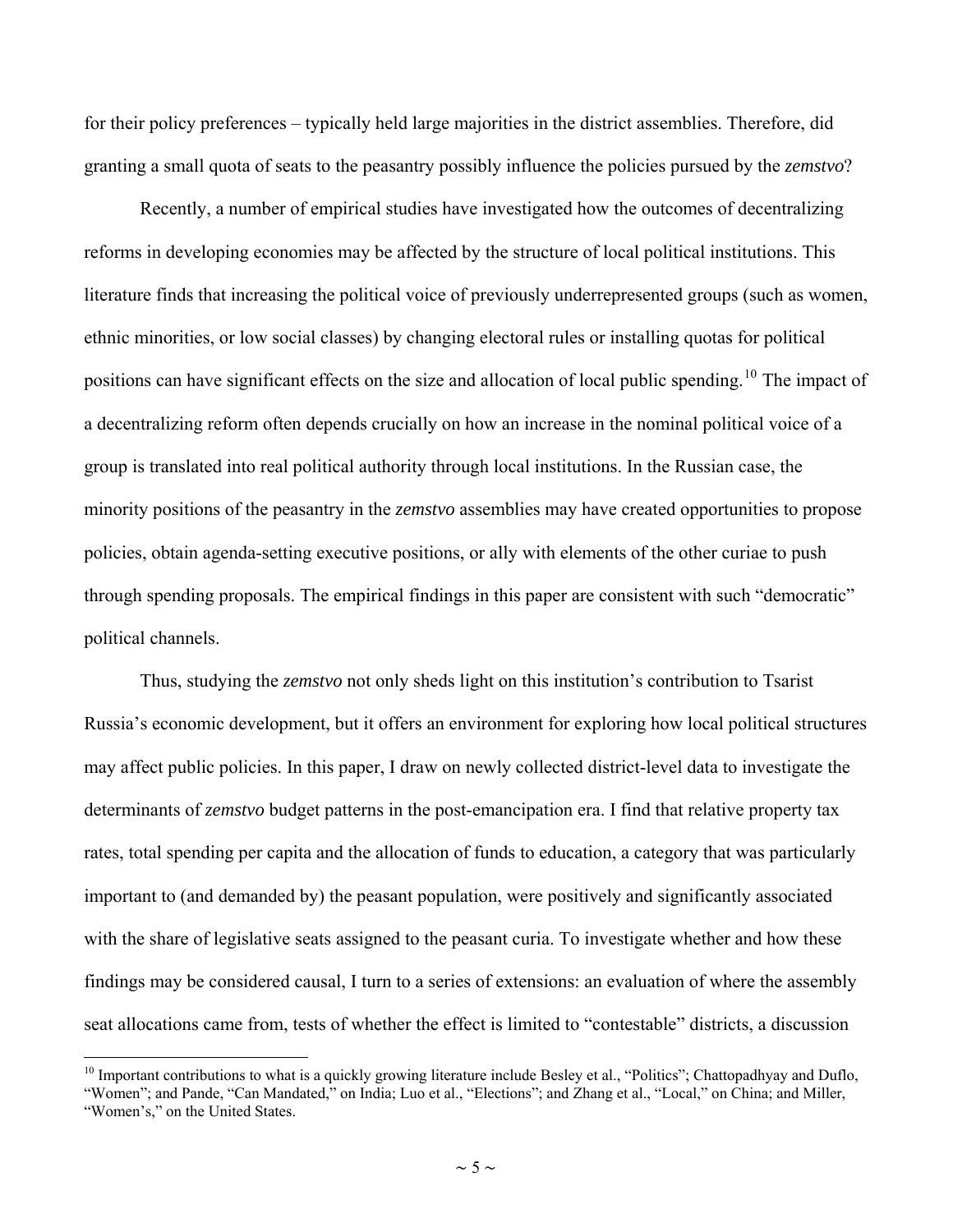<span id="page-4-0"></span>for their policy preferences – typically held large majorities in the district assemblies. Therefore, did granting a small quota of seats to the peasantry possibly influence the policies pursued by the *zemstvo*?

Recently, a number of empirical studies have investigated how the outcomes of decentralizing reforms in developing economies may be affected by the structure of local political institutions. This literature finds that increasing the political voice of previously underrepresented groups (such as women, ethnic minorities, or low social classes) by changing electoral rules or installing quotas for political positions can have significant effects on the size and allocation of local public spending.<sup>[10](#page-4-0)</sup> The impact of a decentralizing reform often depends crucially on how an increase in the nominal political voice of a group is translated into real political authority through local institutions. In the Russian case, the minority positions of the peasantry in the *zemstvo* assemblies may have created opportunities to propose policies, obtain agenda-setting executive positions, or ally with elements of the other curiae to push through spending proposals. The empirical findings in this paper are consistent with such "democratic" political channels.

Thus, studying the *zemstvo* not only sheds light on this institution's contribution to Tsarist Russia's economic development, but it offers an environment for exploring how local political structures may affect public policies. In this paper, I draw on newly collected district-level data to investigate the determinants of *zemstvo* budget patterns in the post-emancipation era. I find that relative property tax rates, total spending per capita and the allocation of funds to education, a category that was particularly important to (and demanded by) the peasant population, were positively and significantly associated with the share of legislative seats assigned to the peasant curia. To investigate whether and how these findings may be considered causal, I turn to a series of extensions: an evaluation of where the assembly seat allocations came from, tests of whether the effect is limited to "contestable" districts, a discussion

 $10$  Important contributions to what is a quickly growing literature include Besley et al., "Politics"; Chattopadhyay and Duflo,

<sup>&</sup>quot;Women"; and Pande, "Can Mandated," on India; Luo et al., "Elections"; and Zhang et al., "Local," on China; and Miller, "Women's," on the United States.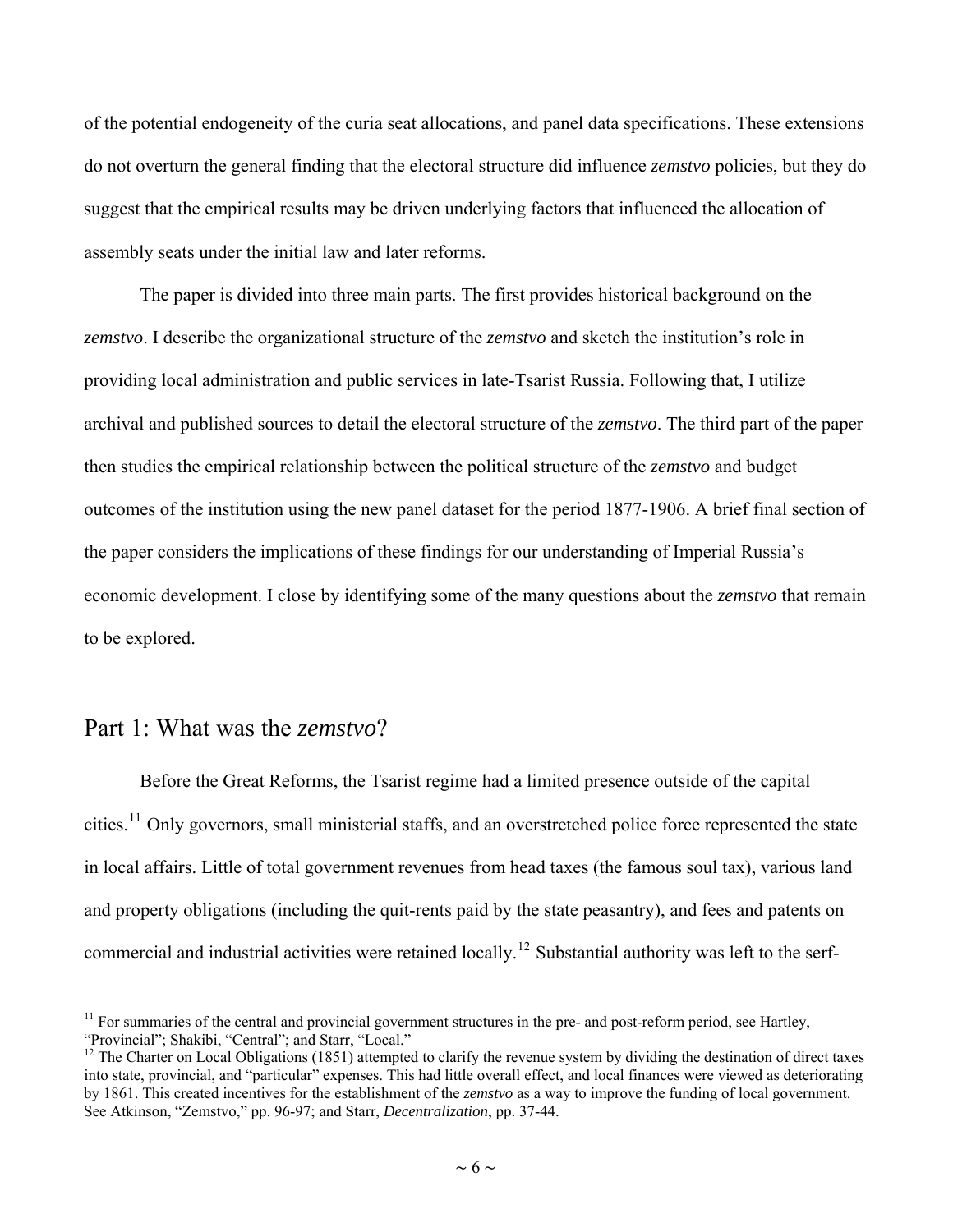<span id="page-5-0"></span>of the potential endogeneity of the curia seat allocations, and panel data specifications. These extensions do not overturn the general finding that the electoral structure did influence *zemstvo* policies, but they do suggest that the empirical results may be driven underlying factors that influenced the allocation of assembly seats under the initial law and later reforms.

The paper is divided into three main parts. The first provides historical background on the *zemstvo*. I describe the organizational structure of the *zemstvo* and sketch the institution's role in providing local administration and public services in late-Tsarist Russia. Following that, I utilize archival and published sources to detail the electoral structure of the *zemstvo*. The third part of the paper then studies the empirical relationship between the political structure of the *zemstvo* and budget outcomes of the institution using the new panel dataset for the period 1877-1906. A brief final section of the paper considers the implications of these findings for our understanding of Imperial Russia's economic development. I close by identifying some of the many questions about the *zemstvo* that remain to be explored.

#### Part 1: What was the *zemstvo*?

 $\overline{a}$ 

Before the Great Reforms, the Tsarist regime had a limited presence outside of the capital cities.<sup>[11](#page-5-0)</sup> Only governors, small ministerial staffs, and an overstretched police force represented the state in local affairs. Little of total government revenues from head taxes (the famous soul tax), various land and property obligations (including the quit-rents paid by the state peasantry), and fees and patents on commercial and industrial activities were retained locally.[12](#page-5-0) Substantial authority was left to the serf-

 $11$  For summaries of the central and provincial government structures in the pre- and post-reform period, see Hartley, "Provincial"; Shakibi, "Central"; and Starr, "Local."

 $12$  The Charter on Local Obligations (1851) attempted to clarify the revenue system by dividing the destination of direct taxes into state, provincial, and "particular" expenses. This had little overall effect, and local finances were viewed as deteriorating by 1861. This created incentives for the establishment of the *zemstvo* as a way to improve the funding of local government. See Atkinson, "Zemstvo," pp. 96-97; and Starr, *Decentralization*, pp. 37-44.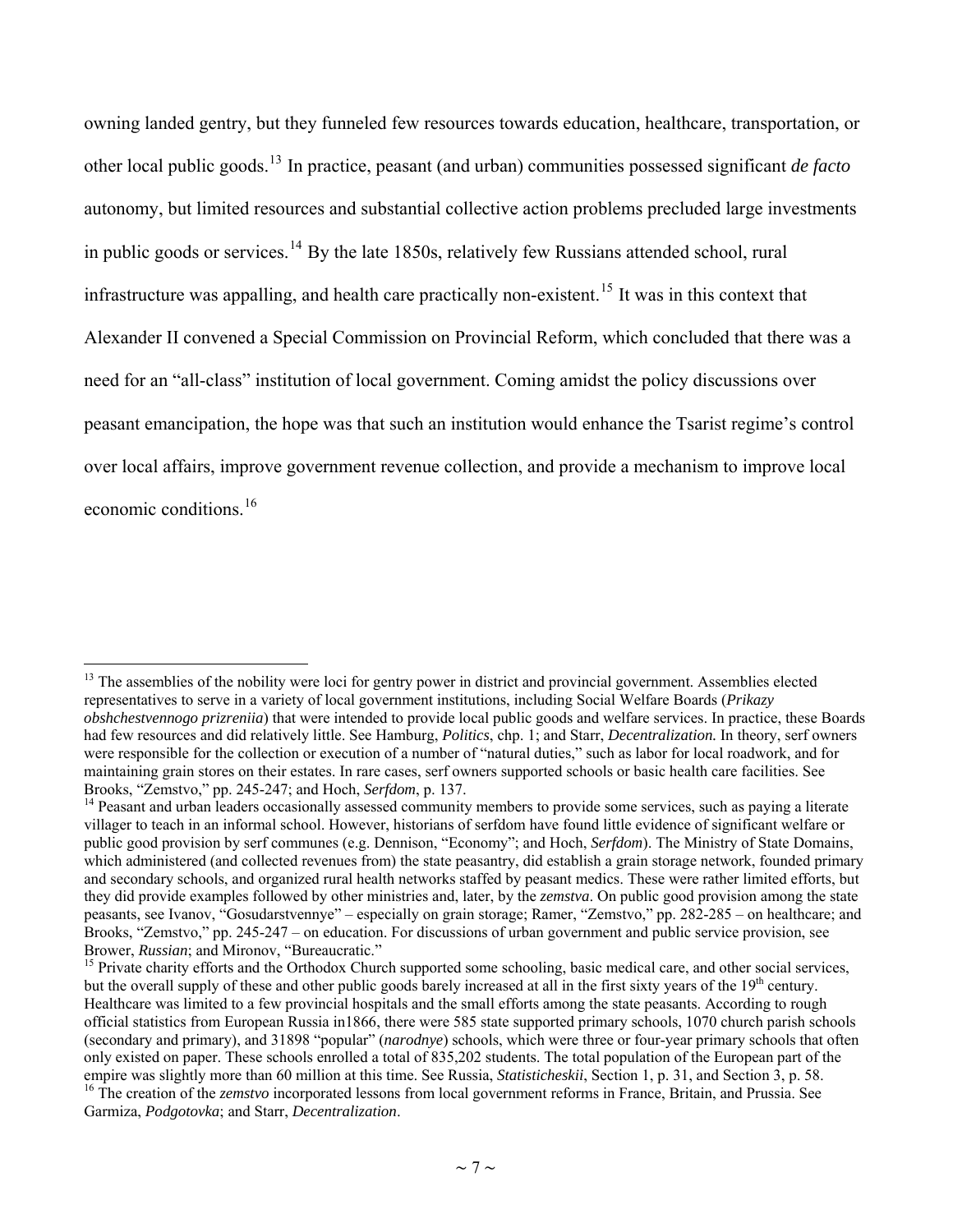<span id="page-6-0"></span>owning landed gentry, but they funneled few resources towards education, healthcare, transportation, or other local public goods.[13](#page-6-0) In practice, peasant (and urban) communities possessed significant *de facto*  autonomy, but limited resources and substantial collective action problems precluded large investments in public goods or services.<sup>[14](#page-6-0)</sup> By the late 1850s, relatively few Russians attended school, rural infrastructure was appalling, and health care practically non-existent.<sup>[15](#page-6-0)</sup> It was in this context that Alexander II convened a Special Commission on Provincial Reform, which concluded that there was a need for an "all-class" institution of local government. Coming amidst the policy discussions over peasant emancipation, the hope was that such an institution would enhance the Tsarist regime's control over local affairs, improve government revenue collection, and provide a mechanism to improve local economic conditions.[16](#page-6-0)

<sup>&</sup>lt;sup>13</sup> The assemblies of the nobility were loci for gentry power in district and provincial government. Assemblies elected representatives to serve in a variety of local government institutions, including Social Welfare Boards (*Prikazy obshchestvennogo prizreniia*) that were intended to provide local public goods and welfare services. In practice, these Boards had few resources and did relatively little. See Hamburg, *Politics*, chp. 1; and Starr, *Decentralization.* In theory, serf owners were responsible for the collection or execution of a number of "natural duties," such as labor for local roadwork, and for maintaining grain stores on their estates. In rare cases, serf owners supported schools or basic health care facilities. See Brooks, "Zemstvo," pp. 245-247; and Hoch, *Serfdom*, p. 137.<br><sup>14</sup> Peasant and urban leaders occasionally assessed community members to provide some services, such as paying a literate

villager to teach in an informal school. However, historians of serfdom have found little evidence of significant welfare or public good provision by serf communes (e.g. Dennison, "Economy"; and Hoch, *Serfdom*). The Ministry of State Domains, which administered (and collected revenues from) the state peasantry, did establish a grain storage network, founded primary and secondary schools, and organized rural health networks staffed by peasant medics. These were rather limited efforts, but they did provide examples followed by other ministries and, later, by the *zemstva*. On public good provision among the state peasants, see Ivanov, "Gosudarstvennye" – especially on grain storage; Ramer, "Zemstvo," pp. 282-285 – on healthcare; and Brooks, "Zemstvo," pp. 245-247 – on education. For discussions of urban government and public service provision, see<br>Brower, *Russian*; and Mironov, "Bureaucratic."

<sup>&</sup>lt;sup>15</sup> Private charity efforts and the Orthodox Church supported some schooling, basic medical care, and other social services, but the overall supply of these and other public goods barely increased at all in the first sixty years of the  $19<sup>th</sup>$  century. Healthcare was limited to a few provincial hospitals and the small efforts among the state peasants. According to rough official statistics from European Russia in1866, there were 585 state supported primary schools, 1070 church parish schools (secondary and primary), and 31898 "popular" (*narodnye*) schools, which were three or four-year primary schools that often only existed on paper. These schools enrolled a total of 835,202 students. The total population of the European part of the empire was slightly more than 60 million at this time. See Russia, *Statisticheskii*, Section 1, p

<sup>&</sup>lt;sup>16</sup> The creation of the *zemstvo* incorporated lessons from local government reforms in France, Britain, and Prussia. See Garmiza, *Podgotovka*; and Starr, *Decentralization*.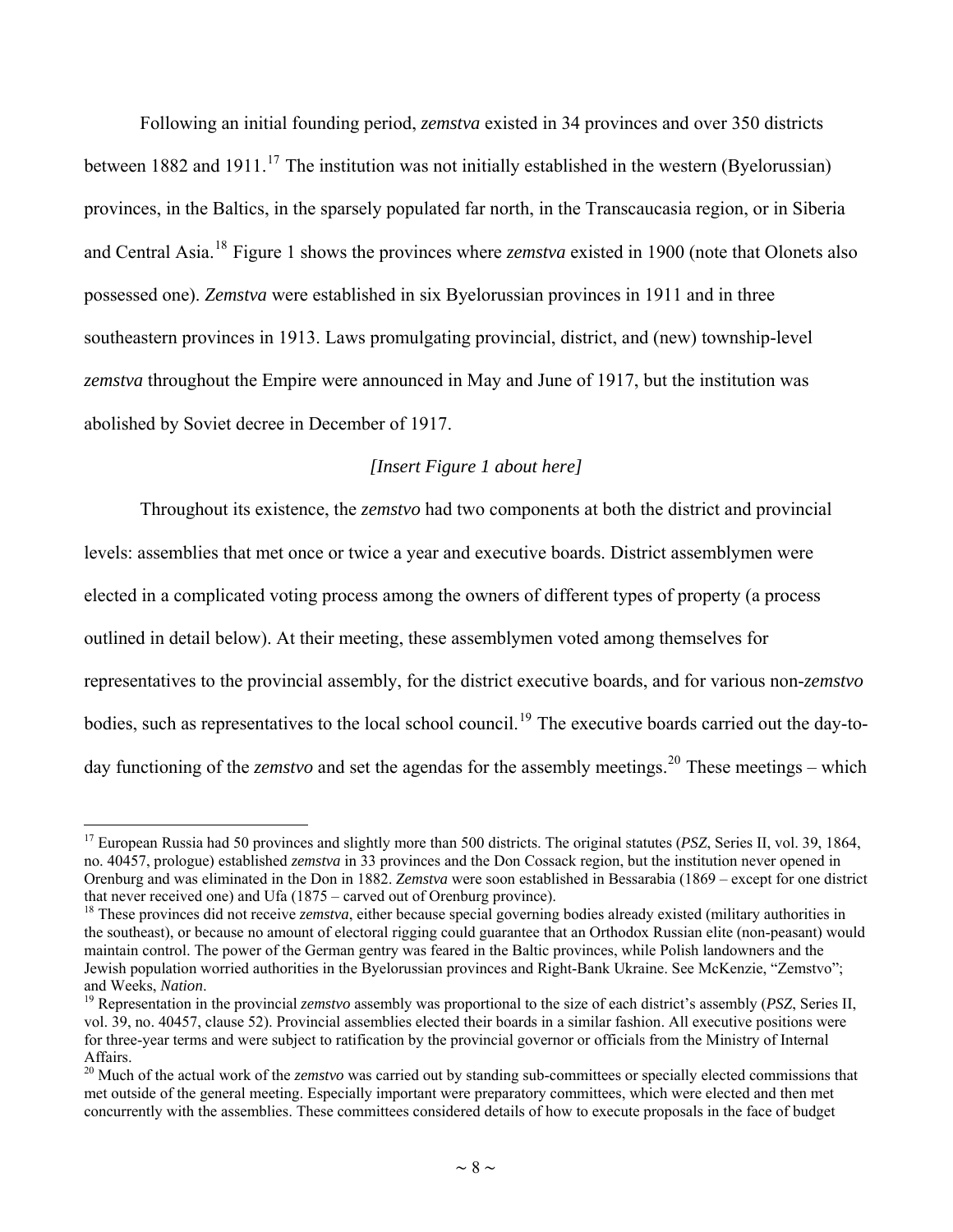<span id="page-7-0"></span>Following an initial founding period, *zemstva* existed in 34 provinces and over 350 districts between 1882 and 1911.<sup>[17](#page-7-0)</sup> The institution was not initially established in the western (Byelorussian) provinces, in the Baltics, in the sparsely populated far north, in the Transcaucasia region, or in Siberia and Central Asia.[18](#page-7-0) Figure 1 shows the provinces where *zemstva* existed in 1900 (note that Olonets also possessed one). *Zemstva* were established in six Byelorussian provinces in 1911 and in three southeastern provinces in 1913. Laws promulgating provincial, district, and (new) township-level *zemstva* throughout the Empire were announced in May and June of 1917, but the institution was abolished by Soviet decree in December of 1917.

#### *[Insert Figure 1 about here]*

Throughout its existence, the *zemstvo* had two components at both the district and provincial levels: assemblies that met once or twice a year and executive boards. District assemblymen were elected in a complicated voting process among the owners of different types of property (a process outlined in detail below). At their meeting, these assemblymen voted among themselves for representatives to the provincial assembly, for the district executive boards, and for various non-*zemstvo* bodies, such as representatives to the local school council.<sup>[19](#page-7-0)</sup> The executive boards carried out the day-today functioning of the *zemstvo* and set the agendas for the assembly meetings.<sup>[20](#page-7-0)</sup> These meetings – which

<sup>17</sup> European Russia had 50 provinces and slightly more than 500 districts. The original statutes (*PSZ*, Series II, vol. 39, 1864, no. 40457, prologue) established *zemstva* in 33 provinces and the Don Cossack region, but the institution never opened in Orenburg and was eliminated in the Don in 1882. *Zemstva* were soon established in Bessarabia (1869 – except for one district that never received one) and Ufa (1875 – carved out of Orenburg province).

<sup>&</sup>lt;sup>18</sup> These provinces did not receive *zemstva*, either because special governing bodies already existed (military authorities in the southeast), or because no amount of electoral rigging could guarantee that an Orthodox Russian elite (non-peasant) would maintain control. The power of the German gentry was feared in the Baltic provinces, while Polish landowners and the Jewish population worried authorities in the Byelorussian provinces and Right-Bank Ukraine. See McKenzie, "Zemstvo"; and Weeks, *Nation*. 19 Representation in the provincial *zemstvo* assembly was proportional to the size of each district's assembly (*PSZ*, Series II,

vol. 39, no. 40457, clause 52). Provincial assemblies elected their boards in a similar fashion. All executive positions were for three-year terms and were subject to ratification by the provincial governor or officials from the Ministry of Internal Affairs.

<sup>&</sup>lt;sup>20</sup> Much of the actual work of the *zemstvo* was carried out by standing sub-committees or specially elected commissions that met outside of the general meeting. Especially important were preparatory committees, which were elected and then met concurrently with the assemblies. These committees considered details of how to execute proposals in the face of budget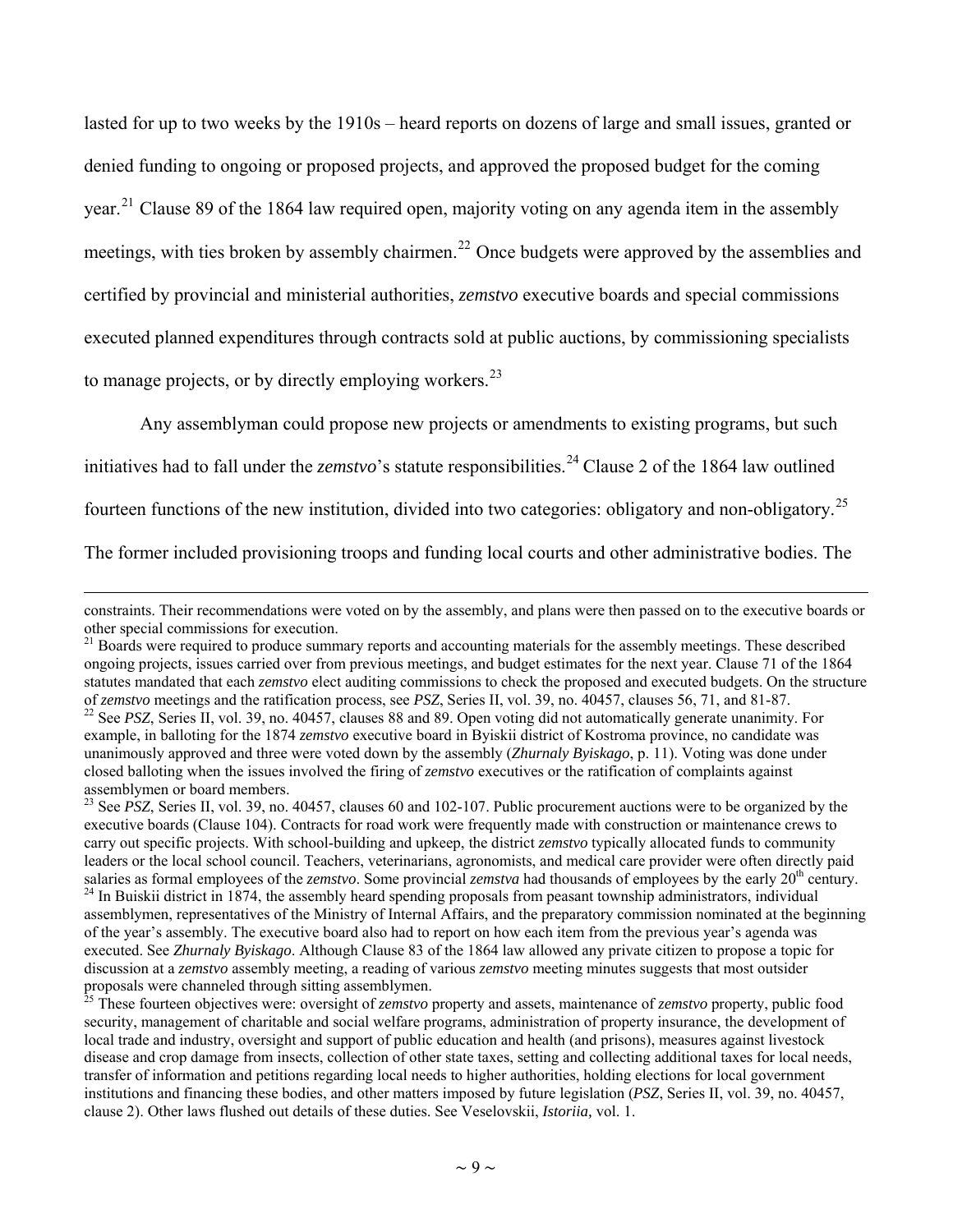<span id="page-8-0"></span>lasted for up to two weeks by the 1910s – heard reports on dozens of large and small issues, granted or denied funding to ongoing or proposed projects, and approved the proposed budget for the coming year.<sup>[21](#page-8-0)</sup> Clause 89 of the 1864 law required open, majority voting on any agenda item in the assembly meetings, with ties broken by assembly chairmen.<sup>[22](#page-8-0)</sup> Once budgets were approved by the assemblies and certified by provincial and ministerial authorities, *zemstvo* executive boards and special commissions executed planned expenditures through contracts sold at public auctions, by commissioning specialists to manage projects, or by directly employing workers.<sup>[23](#page-8-0)</sup>

Any assemblyman could propose new projects or amendments to existing programs, but such

initiatives had to fall under the *zemstvo*'s statute responsibilities.<sup>[24](#page-8-0)</sup> Clause 2 of the 1864 law outlined

fourteen functions of the new institution, divided into two categories: obligatory and non-obligatory.[25](#page-8-0)

The former included provisioning troops and funding local courts and other administrative bodies. The

constraints. Their recommendations were voted on by the assembly, and plans were then passed on to the executive boards or other special commissions for execution.

<sup>&</sup>lt;sup>21</sup> Boards were required to produce summary reports and accounting materials for the assembly meetings. These described ongoing projects, issues carried over from previous meetings, and budget estimates for the next year. Clause 71 of the 1864 statutes mandated that each *zemstvo* elect auditing commissions to check the proposed and executed budgets. On the structure of *zemstvo* meetings and the ratification process, see *PSZ*, Series II, vol. 39, no. 40457, clauses 56, 71, and 81-87.<br><sup>22</sup> See *PSZ*, Series II, vol. 39, no. 40457, clauses 88 and 89. Open voting did not automatically g

example, in balloting for the 1874 *zemstvo* executive board in Byiskii district of Kostroma province, no candidate was unanimously approved and three were voted down by the assembly (*Zhurnaly Byiskago*, p. 11). Voting was done under closed balloting when the issues involved the firing of *zemstvo* executives or the ratification of complaints against assemblymen or board members.

<sup>&</sup>lt;sup>23</sup> See *PSZ*, Series II, vol. 39, no. 40457, clauses 60 and 102-107. Public procurement auctions were to be organized by the executive boards (Clause 104). Contracts for road work were frequently made with construction or maintenance crews to carry out specific projects. With school-building and upkeep, the district *zemstvo* typically allocated funds to community leaders or the local school council. Teachers, veterinarians, agronomists, and medical care provider were often directly paid salaries as formal employees of the *zemstvo*. Some provincial *zemstva* had thousands of employ <sup>24</sup> In Buiskii district in 1874, the assembly heard spending proposals from peasant township administrators, individual assemblymen, representatives of the Ministry of Internal Affairs, and the preparatory commission nominated at the beginning of the year's assembly. The executive board also had to report on how each item from the previous year's agenda was executed. See *Zhurnaly Byiskago*. Although Clause 83 of the 1864 law allowed any private citizen to propose a topic for discussion at a *zemstvo* assembly meeting, a reading of various *zemstvo* meeting minutes suggests that most outsider

These fourteen objectives were: oversight of *zemstvo* property and assets, maintenance of *zemstvo* property, public food security, management of charitable and social welfare programs, administration of property insurance, the development of local trade and industry, oversight and support of public education and health (and prisons), measures against livestock disease and crop damage from insects, collection of other state taxes, setting and collecting additional taxes for local needs, transfer of information and petitions regarding local needs to higher authorities, holding elections for local government institutions and financing these bodies, and other matters imposed by future legislation (*PSZ*, Series II, vol. 39, no. 40457, clause 2). Other laws flushed out details of these duties. See Veselovskii, *Istoriia,* vol. 1.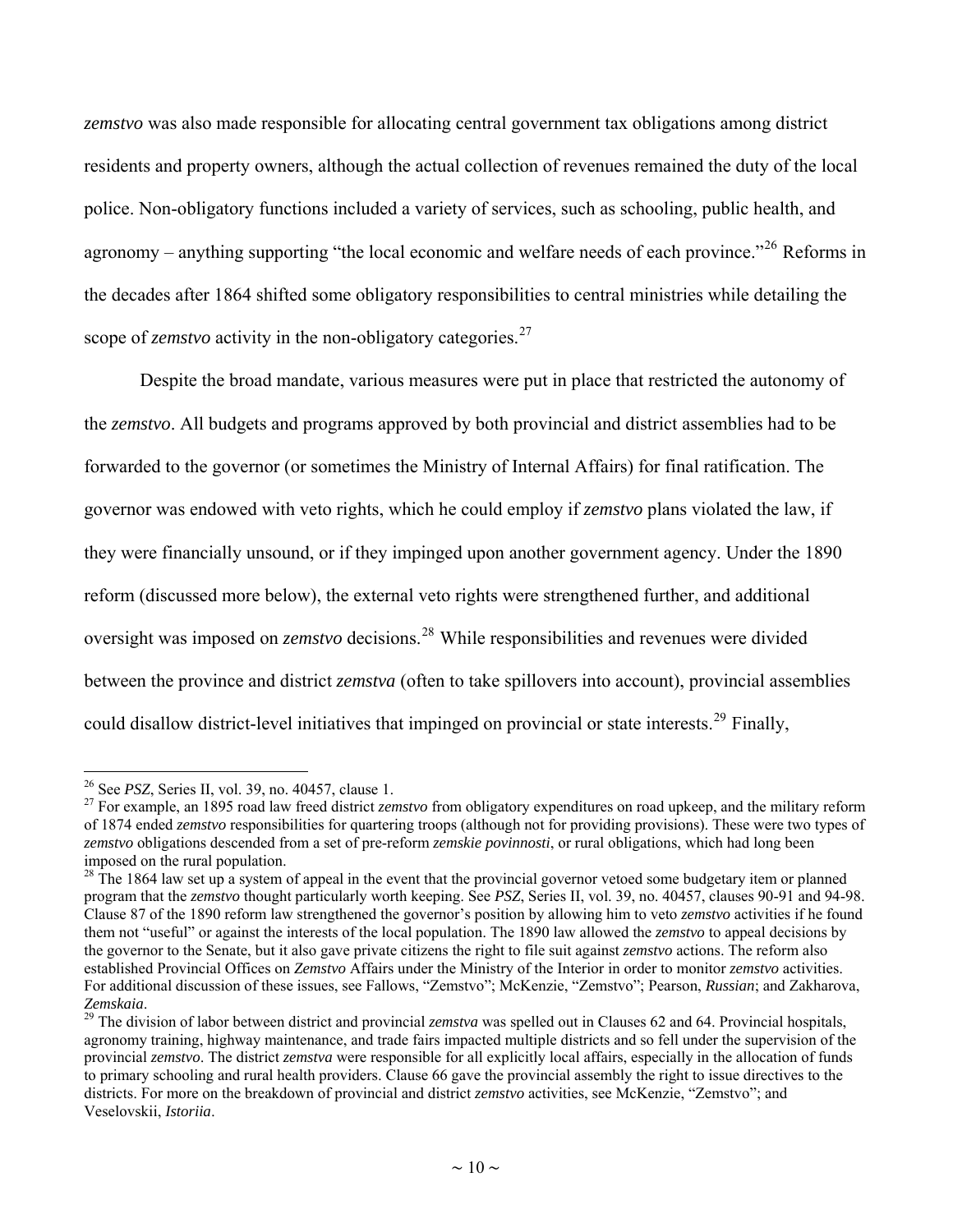<span id="page-9-0"></span>*zemstvo* was also made responsible for allocating central government tax obligations among district residents and property owners, although the actual collection of revenues remained the duty of the local police. Non-obligatory functions included a variety of services, such as schooling, public health, and agronomy – anything supporting "the local economic and welfare needs of each province."<sup>[26](#page-9-0)</sup> Reforms in the decades after 1864 shifted some obligatory responsibilities to central ministries while detailing the scope of *zemstvo* activity in the non-obligatory categories.<sup>[27](#page-9-0)</sup>

Despite the broad mandate, various measures were put in place that restricted the autonomy of the *zemstvo*. All budgets and programs approved by both provincial and district assemblies had to be forwarded to the governor (or sometimes the Ministry of Internal Affairs) for final ratification. The governor was endowed with veto rights, which he could employ if *zemstvo* plans violated the law, if they were financially unsound, or if they impinged upon another government agency. Under the 1890 reform (discussed more below), the external veto rights were strengthened further, and additional oversight was imposed on *zemstvo* decisions.[28](#page-9-0) While responsibilities and revenues were divided between the province and district *zemstva* (often to take spillovers into account), provincial assemblies could disallow district-level initiatives that impinged on provincial or state interests.<sup>[29](#page-9-0)</sup> Finally,

<sup>&</sup>lt;sup>26</sup> See *PSZ*, Series II, vol. 39, no. 40457, clause 1.<br><sup>27</sup> For example, an 1895 road law freed district *zemstvo* from obligatory expenditures on road upkeep, and the military reform of 1874 ended *zemstvo* responsibilities for quartering troops (although not for providing provisions). These were two types of *zemstvo* obligations descended from a set of pre-reform *zemskie povinnosti*, or rural obligations, which had long been imposed on the rural population.

 $28$  The 1864 law set up a system of appeal in the event that the provincial governor vetoed some budgetary item or planned program that the *zemstvo* thought particularly worth keeping. See *PSZ*, Series II, vol. 39, no. 40457, clauses 90-91 and 94-98. Clause 87 of the 1890 reform law strengthened the governor's position by allowing him to veto *zemstvo* activities if he found them not "useful" or against the interests of the local population. The 1890 law allowed the *zemstvo* to appeal decisions by the governor to the Senate, but it also gave private citizens the right to file suit against *zemstvo* actions. The reform also established Provincial Offices on *Zemstvo* Affairs under the Ministry of the Interior in order to monitor *zemstvo* activities. For additional discussion of these issues, see Fallows, "Zemstvo"; McKenzie, "Zemstvo"; Pearson, *Russian*; and Zakharova,

<sup>&</sup>lt;sup>29</sup> The division of labor between district and provincial *zemstva* was spelled out in Clauses 62 and 64. Provincial hospitals, agronomy training, highway maintenance, and trade fairs impacted multiple districts and so fell under the supervision of the provincial *zemstvo*. The district *zemstva* were responsible for all explicitly local affairs, especially in the allocation of funds to primary schooling and rural health providers. Clause 66 gave the provincial assembly the right to issue directives to the districts. For more on the breakdown of provincial and district *zemstvo* activities, see McKenzie, "Zemstvo"; and Veselovskii, *Istoriia*.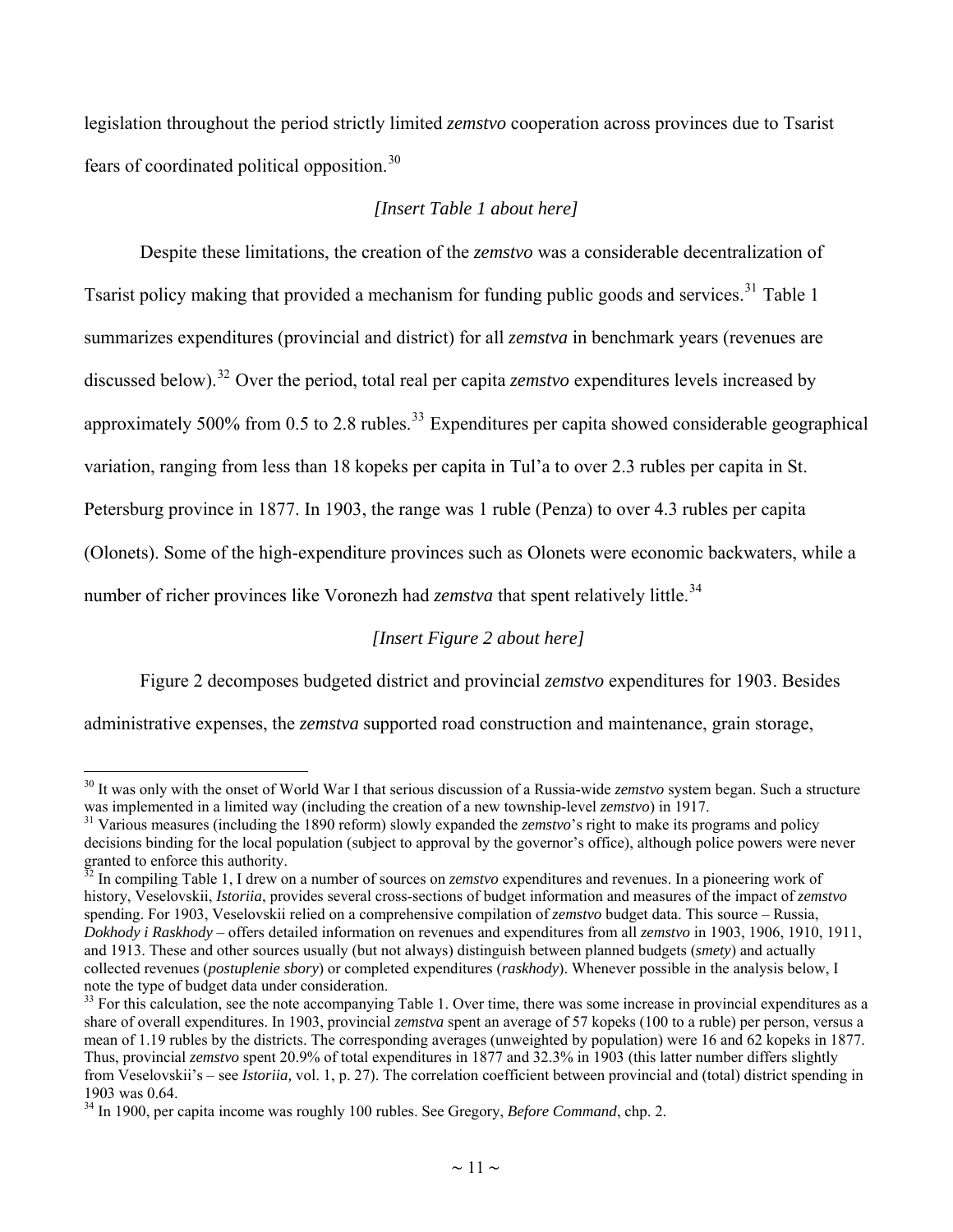<span id="page-10-0"></span>legislation throughout the period strictly limited *zemstvo* cooperation across provinces due to Tsarist fears of coordinated political opposition.[30](#page-10-0)

#### *[Insert Table 1 about here]*

Despite these limitations, the creation of the *zemstvo* was a considerable decentralization of Tsarist policy making that provided a mechanism for funding public goods and services.<sup>[31](#page-10-0)</sup> Table 1 summarizes expenditures (provincial and district) for all *zemstva* in benchmark years (revenues are discussed below).[32](#page-10-0) Over the period, total real per capita *zemstvo* expenditures levels increased by approximately 500% from 0.5 to 2.8 rubles.<sup>[33](#page-10-0)</sup> Expenditures per capita showed considerable geographical variation, ranging from less than 18 kopeks per capita in Tul'a to over 2.3 rubles per capita in St. Petersburg province in 1877. In 1903, the range was 1 ruble (Penza) to over 4.3 rubles per capita (Olonets). Some of the high-expenditure provinces such as Olonets were economic backwaters, while a number of richer provinces like Voronezh had *zemstva* that spent relatively little.<sup>[34](#page-10-0)</sup>

*[Insert Figure 2 about here]* 

Figure 2 decomposes budgeted district and provincial *zemstvo* expenditures for 1903. Besides

administrative expenses, the *zemstva* supported road construction and maintenance, grain storage,

<sup>&</sup>lt;sup>30</sup> It was only with the onset of World War I that serious discussion of a Russia-wide *zemstvo* system began. Such a structure was implemented in a limited way (including the creation of a new township-level *zemstvo*)

<sup>&</sup>lt;sup>31</sup> Various measures (including the 1890 reform) slowly expanded the *zemstvo*'s right to make its programs and policy decisions binding for the local population (subject to approval by the governor's office), although police powers were never granted to enforce this authority.

<sup>&</sup>lt;sup>32</sup> In compiling Table 1, I drew on a number of sources on *zemstvo* expenditures and revenues. In a pioneering work of history, Veselovskii, *Istoriia*, provides several cross-sections of budget information and measures of the impact of *zemstvo* spending. For 1903, Veselovskii relied on a comprehensive compilation of *zemstvo* budget data. This source – Russia, *Dokhody i Raskhody* – offers detailed information on revenues and expenditures from all *zemstvo* in 1903, 1906, 1910, 1911, and 1913. These and other sources usually (but not always) distinguish between planned budgets (*smety*) and actually collected revenues (*postuplenie sbory*) or completed expenditures (*raskhody*). Whenever possible in the analysis below, I note the type of budget data under consideration.

 $33$  For this calculation, see the note accompanying Table 1. Over time, there was some increase in provincial expenditures as a share of overall expenditures. In 1903, provincial *zemstva* spent an average of 57 kopeks (100 to a ruble) per person, versus a mean of 1.19 rubles by the districts. The corresponding averages (unweighted by population) were 16 and 62 kopeks in 1877. Thus, provincial *zemstvo* spent 20.9% of total expenditures in 1877 and 32.3% in 1903 (this latter number differs slightly from Veselovskii's – see *Istoriia,* vol. 1, p. 27). The correlation coefficient between provincial and (total) district spending in 1903 was 0.64.

<sup>34</sup> In 1900, per capita income was roughly 100 rubles. See Gregory, *Before Command*, chp. 2.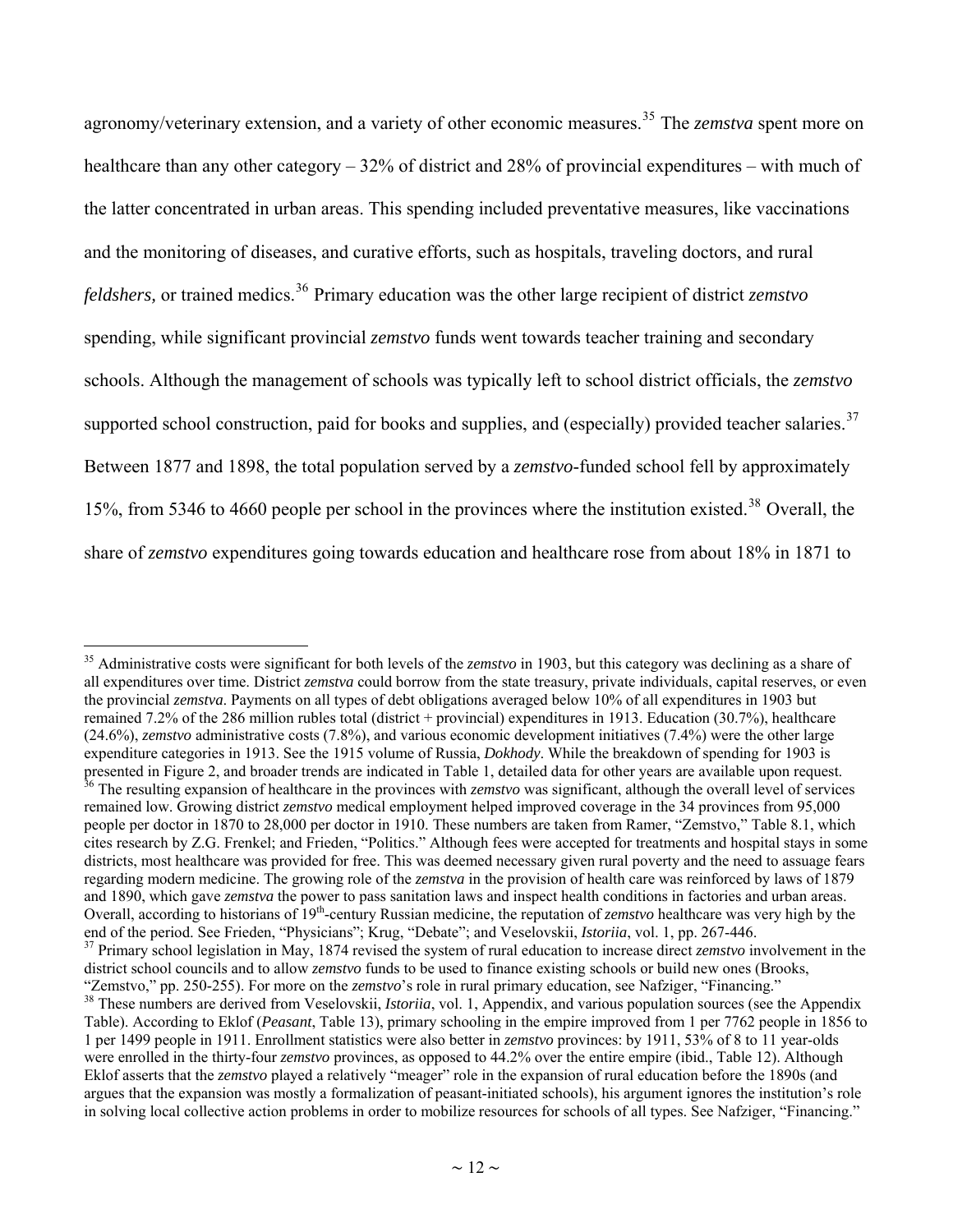<span id="page-11-0"></span>agronomy/veterinary extension, and a variety of other economic measures.[35](#page-11-0) The *zemstva* spent more on healthcare than any other category – 32% of district and 28% of provincial expenditures – with much of the latter concentrated in urban areas. This spending included preventative measures, like vaccinations and the monitoring of diseases, and curative efforts, such as hospitals, traveling doctors, and rural *feldshers,* or trained medics.<sup>[36](#page-11-0)</sup> Primary education was the other large recipient of district *zemstvo* spending, while significant provincial *zemstvo* funds went towards teacher training and secondary schools. Although the management of schools was typically left to school district officials, the *zemstvo* supported school construction, paid for books and supplies, and (especially) provided teacher salaries.  $37$ Between 1877 and 1898, the total population served by a *zemstvo*-funded school fell by approximately 15%, from 5346 to 4660 people per school in the provinces where the institution existed.<sup>[38](#page-11-0)</sup> Overall, the share of *zemstvo* expenditures going towards education and healthcare rose from about 18% in 1871 to

<sup>35</sup> Administrative costs were significant for both levels of the *zemstvo* in 1903, but this category was declining as a share of all expenditures over time. District *zemstva* could borrow from the state treasury, private individuals, capital reserves, or even the provincial *zemstva*. Payments on all types of debt obligations averaged below 10% of all expenditures in 1903 but remained 7.2% of the 286 million rubles total (district + provincial) expenditures in 1913. Education (30.7%), healthcare (24.6%), *zemstvo* administrative costs (7.8%), and various economic development initiatives (7.4%) were the other large expenditure categories in 1913. See the 1915 volume of Russia, *Dokhody*. While the breakdown of spending for 1903 is presented in Figure 2, and broader trends are indicated in Table 1, detailed data for other years are available upon request. 36 The resulting expansion of healthcare in the provinces with *zemstvo* was significant, although the overall level of services remained low. Growing district *zemstvo* medical employment helped improved coverage in the 34 provinces from 95,000 people per doctor in 1870 to 28,000 per doctor in 1910. These numbers are taken from Ramer, "Zemstvo," Table 8.1, which cites research by Z.G. Frenkel; and Frieden, "Politics." Although fees were accepted for treatments and hospital stays in some districts, most healthcare was provided for free. This was deemed necessary given rural poverty and the need to assuage fears regarding modern medicine. The growing role of the *zemstva* in the provision of health care was reinforced by laws of 1879 and 1890, which gave *zemstva* the power to pass sanitation laws and inspect health conditions in factories and urban areas. Overall, according to historians of 19th-century Russian medicine, the reputation of *zemstvo* healthcare was very high by the end of the period. See Frieden, "Physicians"; Krug, "Debate"; and Veselovskii, *Istoriia*, vol. 1, pp. 267-446.<br><sup>37</sup> Primary school legislation in May, 1874 revised the system of rural education to increase direct *zemstvo* district school councils and to allow *zemstvo* funds to be used to finance existing schools or build new ones (Brooks, "Zemstvo," pp. 250-255). For more on the *zemstvo*'s role in rural primary education, see Nafziger, "Financing."<br><sup>38</sup> These numbers are derived from Veselovskii, *Istoriia*, vol. 1, Appendix, and various population sources Table). According to Eklof (*Peasant*, Table 13), primary schooling in the empire improved from 1 per 7762 people in 1856 to 1 per 1499 people in 1911. Enrollment statistics were also better in *zemstvo* provinces: by 1911, 53% of 8 to 11 year-olds were enrolled in the thirty-four *zemstvo* provinces, as opposed to 44.2% over the entire empire (ibid., Table 12). Although Eklof asserts that the *zemstvo* played a relatively "meager" role in the expansion of rural education before the 1890s (and argues that the expansion was mostly a formalization of peasant-initiated schools), his argument ignores the institution's role in solving local collective action problems in order to mobilize resources for schools of all types. See Nafziger, "Financing."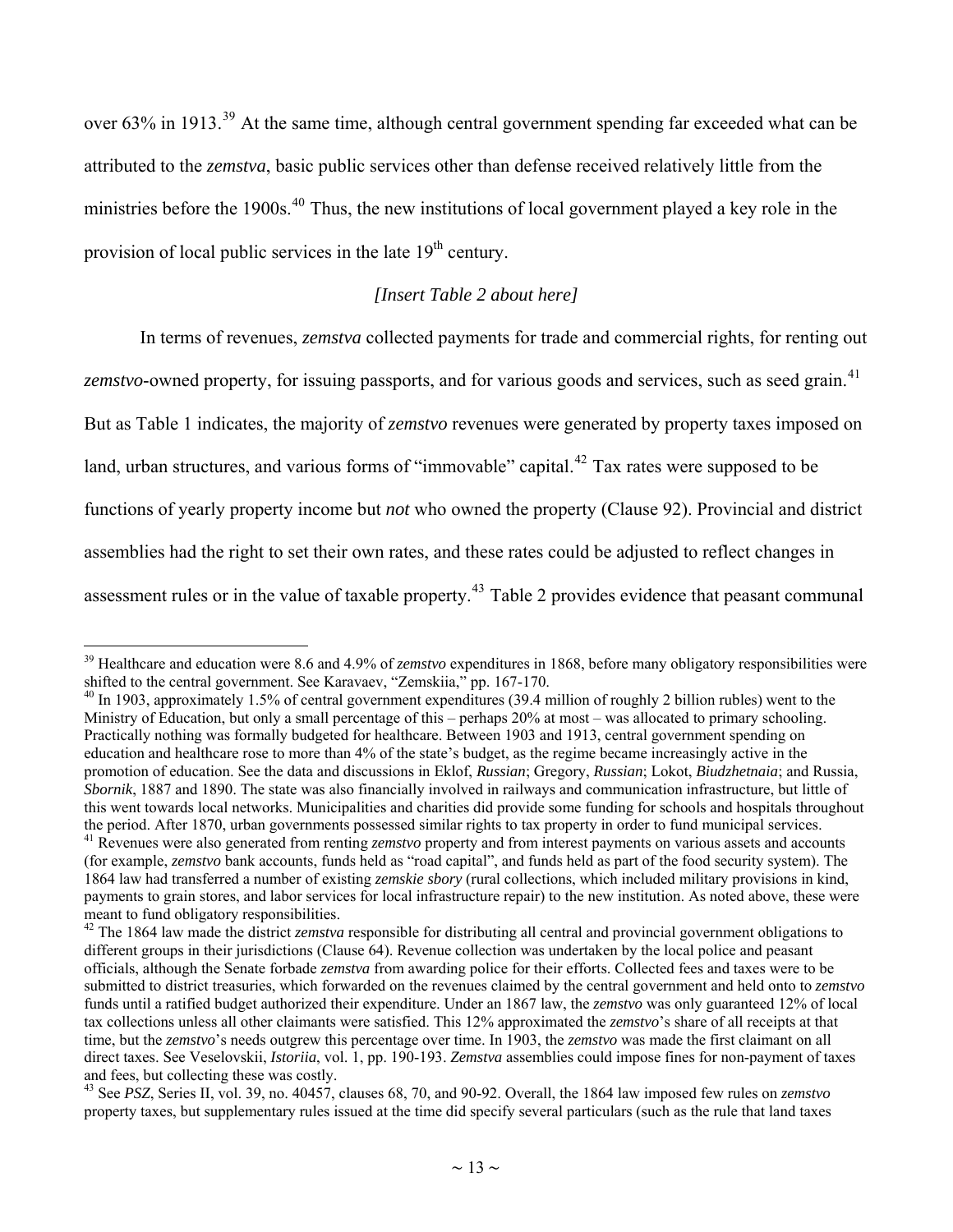<span id="page-12-0"></span>over 63% in 1913.<sup>[39](#page-12-0)</sup> At the same time, although central government spending far exceeded what can be attributed to the *zemstva*, basic public services other than defense received relatively little from the ministries before the 1900s.<sup>[40](#page-12-0)</sup> Thus, the new institutions of local government played a key role in the provision of local public services in the late  $19<sup>th</sup>$  century.

#### *[Insert Table 2 about here]*

In terms of revenues, *zemstva* collected payments for trade and commercial rights, for renting out *zemstvo*-owned property, for issuing passports, and for various goods and services, such as seed grain.<sup>[41](#page-12-0)</sup>

But as Table 1 indicates, the majority of *zemstvo* revenues were generated by property taxes imposed on

land, urban structures, and various forms of "immovable" capital.<sup>[42](#page-12-0)</sup> Tax rates were supposed to be

functions of yearly property income but *not* who owned the property (Clause 92). Provincial and district

assemblies had the right to set their own rates, and these rates could be adjusted to reflect changes in

 $\overline{a}$ 

assessment rules or in the value of taxable property.<sup>[43](#page-12-0)</sup> Table 2 provides evidence that peasant communal

<sup>&</sup>lt;sup>39</sup> Healthcare and education were 8.6 and 4.9% of *zemstvo* expenditures in 1868, before many obligatory responsibilities were shifted to the central government. See Karavaev, "Zemskiia," pp. 167-170.

<sup>&</sup>lt;sup>40</sup> In 1903, approximately 1.5% of central government expenditures (39.4 million of roughly 2 billion rubles) went to the Ministry of Education, but only a small percentage of this – perhaps 20% at most – was allocated to primary schooling. Practically nothing was formally budgeted for healthcare. Between 1903 and 1913, central government spending on education and healthcare rose to more than 4% of the state's budget, as the regime became increasingly active in the promotion of education. See the data and discussions in Eklof, *Russian*; Gregory, *Russian*; Lokot, *Biudzhetnaia*; and Russia, *Sbornik*, 1887 and 1890. The state was also financially involved in railways and communication infrastructure, but little of this went towards local networks. Municipalities and charities did provide some funding for schools and hospitals throughout the period. After 1870, urban governments possessed similar rights to tax property in order to fund municipal services. <sup>41</sup> Revenues were also generated from renting *zemstvo* property and from interest payments on various assets and accounts (for example, *zemstvo* bank accounts, funds held as "road capital", and funds held as part of the food security system). The 1864 law had transferred a number of existing *zemskie sbory* (rural collections, which included military provisions in kind, payments to grain stores, and labor services for local infrastructure repair) to the new institution. As noted above, these were meant to fund obligatory responsibilities.

<sup>&</sup>lt;sup>42</sup> The 1864 law made the district *zemstva* responsible for distributing all central and provincial government obligations to different groups in their jurisdictions (Clause 64). Revenue collection was undertaken by the local police and peasant officials, although the Senate forbade *zemstva* from awarding police for their efforts. Collected fees and taxes were to be submitted to district treasuries, which forwarded on the revenues claimed by the central government and held onto to *zemstvo* funds until a ratified budget authorized their expenditure. Under an 1867 law, the *zemstvo* was only guaranteed 12% of local tax collections unless all other claimants were satisfied. This 12% approximated the *zemstvo*'s share of all receipts at that time, but the *zemstvo*'s needs outgrew this percentage over time. In 1903, the *zemstvo* was made the first claimant on all direct taxes. See Veselovskii, *Istoriia*, vol. 1, pp. 190-193. *Zemstva* assemblies could impose fines for non-payment of taxes and fees, but collecting these was costly.

<sup>43</sup> See *PSZ*, Series II, vol. 39, no. 40457, clauses 68, 70, and 90-92. Overall, the 1864 law imposed few rules on *zemstvo* property taxes, but supplementary rules issued at the time did specify several particulars (such as the rule that land taxes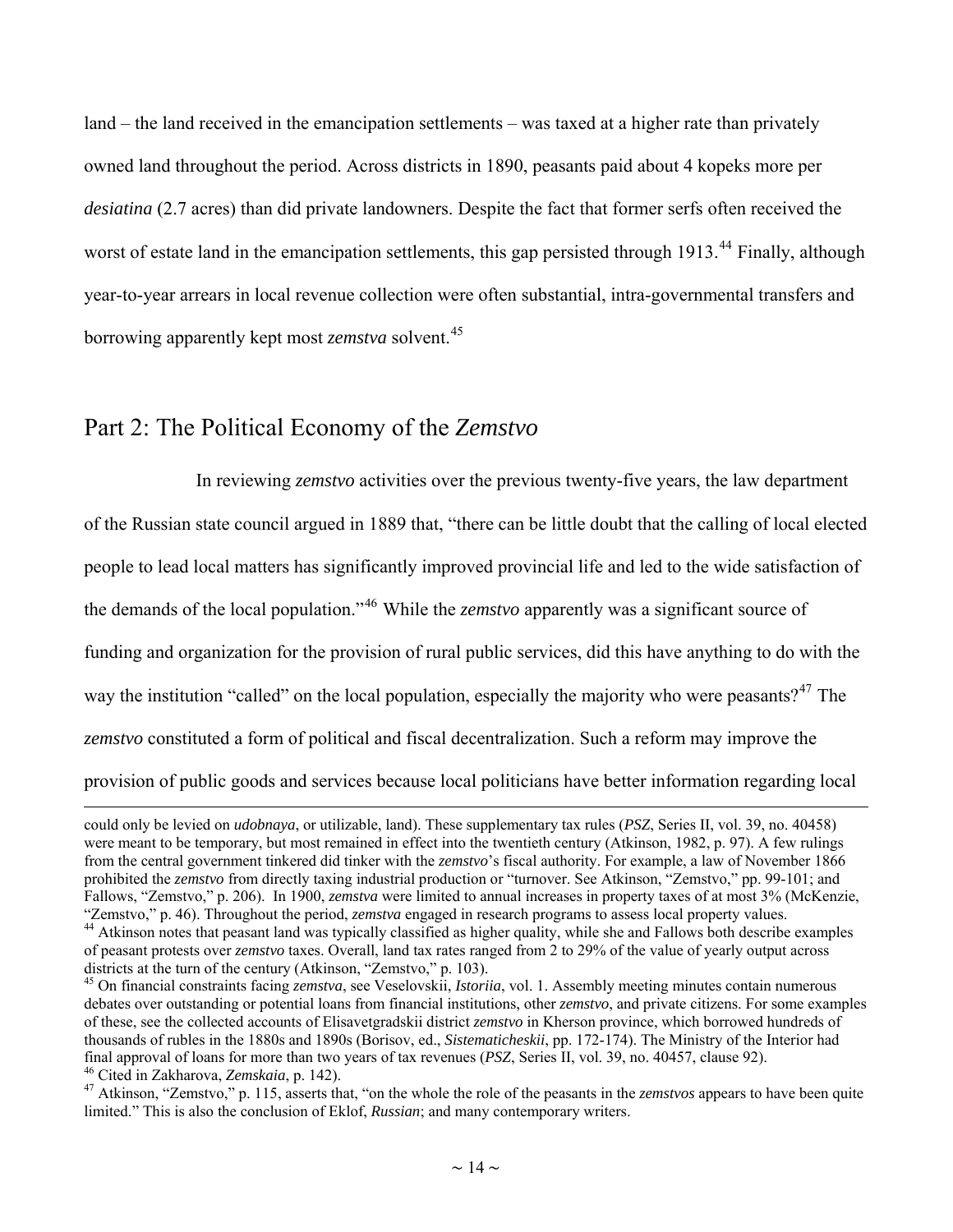<span id="page-13-0"></span>land – the land received in the emancipation settlements – was taxed at a higher rate than privately owned land throughout the period. Across districts in 1890, peasants paid about 4 kopeks more per *desiatina* (2.7 acres) than did private landowners. Despite the fact that former serfs often received the worst of estate land in the emancipation settlements, this gap persisted through 1913.<sup>[44](#page-13-0)</sup> Finally, although year-to-year arrears in local revenue collection were often substantial, intra-governmental transfers and borrowing apparently kept most *zemstva* solvent.[45](#page-13-0)

#### Part 2: The Political Economy of the *Zemstvo*

 $\overline{a}$ 

 In reviewing *zemstvo* activities over the previous twenty-five years, the law department of the Russian state council argued in 1889 that, "there can be little doubt that the calling of local elected people to lead local matters has significantly improved provincial life and led to the wide satisfaction of the demands of the local population."[46](#page-13-0) While the *zemstvo* apparently was a significant source of funding and organization for the provision of rural public services, did this have anything to do with the way the institution "called" on the local population, especially the majority who were peasants?<sup>[47](#page-13-0)</sup> The *zemstvo* constituted a form of political and fiscal decentralization. Such a reform may improve the provision of public goods and services because local politicians have better information regarding local

could only be levied on *udobnaya*, or utilizable, land). These supplementary tax rules (*PSZ*, Series II, vol. 39, no. 40458) were meant to be temporary, but most remained in effect into the twentieth century (Atkinson, 1982, p. 97). A few rulings from the central government tinkered did tinker with the *zemstvo*'s fiscal authority. For example, a law of November 1866 prohibited the *zemstvo* from directly taxing industrial production or "turnover. See Atkinson, "Zemstvo," pp. 99-101; and Fallows, "Zemstvo," p. 206). In 1900, *zemstva* were limited to annual increases in property taxes of at most 3% (McKenzie, "Zemstvo," p. 46). Throughout the period, *zemstva* engaged in research programs to assess local property values.<br><sup>44</sup> Atkinson notes that peasant land was typically classified as higher quality, while she and Fallows both

of peasant protests over *zemstvo* taxes. Overall, land tax rates ranged from 2 to 29% of the value of yearly output across

<sup>&</sup>lt;sup>45</sup> On financial constraints facing *zemstva*, see Veselovskii, *Istoriia*, vol. 1. Assembly meeting minutes contain numerous debates over outstanding or potential loans from financial institutions, other *zemstvo*, and private citizens. For some examples of these, see the collected accounts of Elisavetgradskii district *zemstvo* in Kherson province, which borrowed hundreds of thousands of rubles in the 1880s and 1890s (Borisov, ed., *Sistematicheskii*, pp. 172-174). The Ministry of the Interior had final approval of loans for more than two years of tax revenues (*PSZ*, Series II, vol. 39, no. 40457, clause 92).<br><sup>46</sup> Cited in Zakharova, *Zemskaia*, p. 142).<br><sup>47</sup> Atkinson, "Zemstvo," p. 115, asserts that, "on the whol

limited." This is also the conclusion of Eklof, *Russian*; and many contemporary writers.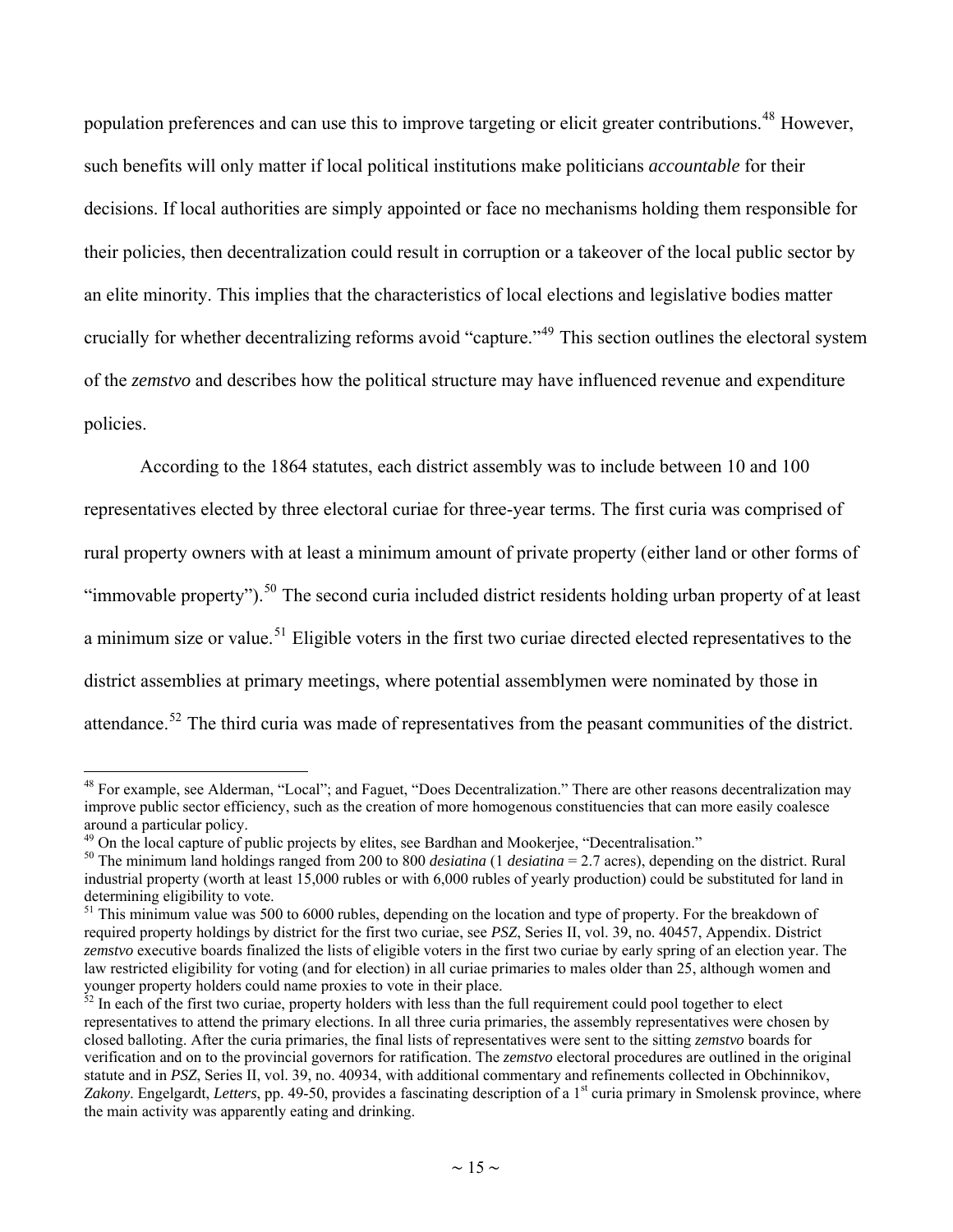<span id="page-14-0"></span>population preferences and can use this to improve targeting or elicit greater contributions.<sup>[48](#page-14-0)</sup> However, such benefits will only matter if local political institutions make politicians *accountable* for their decisions. If local authorities are simply appointed or face no mechanisms holding them responsible for their policies, then decentralization could result in corruption or a takeover of the local public sector by an elite minority. This implies that the characteristics of local elections and legislative bodies matter crucially for whether decentralizing reforms avoid "capture."[49](#page-14-0) This section outlines the electoral system of the *zemstvo* and describes how the political structure may have influenced revenue and expenditure policies.

According to the 1864 statutes, each district assembly was to include between 10 and 100 representatives elected by three electoral curiae for three-year terms. The first curia was comprised of rural property owners with at least a minimum amount of private property (either land or other forms of "immovable property").<sup>[50](#page-14-0)</sup> The second curia included district residents holding urban property of at least a minimum size or value.<sup>[51](#page-14-0)</sup> Eligible voters in the first two curiae directed elected representatives to the district assemblies at primary meetings, where potential assemblymen were nominated by those in attendance.<sup>[52](#page-14-0)</sup> The third curia was made of representatives from the peasant communities of the district.

<sup>&</sup>lt;sup>48</sup> For example, see Alderman, "Local"; and Faguet, "Does Decentralization." There are other reasons decentralization may improve public sector efficiency, such as the creation of more homogenous constituencies that can more easily coalesce around a particular policy.<br><sup>49</sup> On the local capture of public projects by elites, see Bardhan and Mookeriee. "Decentralisation."

<sup>&</sup>lt;sup>50</sup> The minimum land holdings ranged from 200 to 800 *desiatina* (1 *desiatina* = 2.7 acres), depending on the district. Rural industrial property (worth at least 15,000 rubles or with 6,000 rubles of yearly production) could be substituted for land in determining eligibility to vote.

<sup>&</sup>lt;sup>51</sup> This minimum value was 500 to 6000 rubles, depending on the location and type of property. For the breakdown of required property holdings by district for the first two curiae, see *PSZ*, Series II, vol. 39, no. 40457, Appendix. District *zemstvo* executive boards finalized the lists of eligible voters in the first two curiae by early spring of an election year. The law restricted eligibility for voting (and for election) in all curiae primaries to males older than 25, although women and younger property holders could name proxies to vote in their place.

<sup>&</sup>lt;sup>2</sup> In each of the first two curiae, property holders with less than the full requirement could pool together to elect representatives to attend the primary elections. In all three curia primaries, the assembly representatives were chosen by closed balloting. After the curia primaries, the final lists of representatives were sent to the sitting *zemstvo* boards for verification and on to the provincial governors for ratification. The *zemstvo* electoral procedures are outlined in the original statute and in *PSZ*, Series II, vol. 39, no. 40934, with additional commentary and refinements collected in Obchinnikov, Zakony. Engelgardt, *Letters*, pp. 49-50, provides a fascinating description of a 1<sup>st</sup> curia primary in Smolensk province, where the main activity was apparently eating and drinking.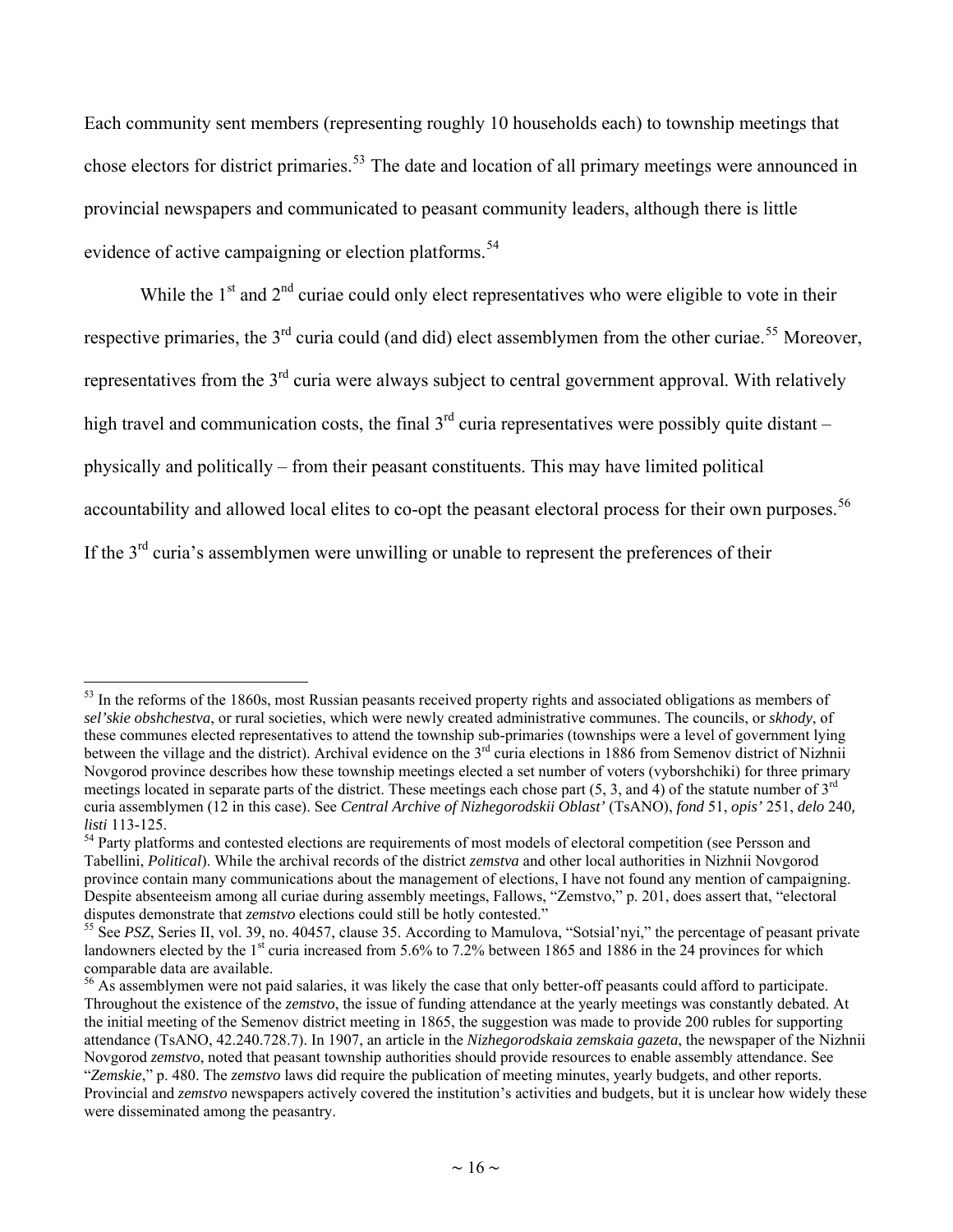<span id="page-15-0"></span>Each community sent members (representing roughly 10 households each) to township meetings that chose electors for district primaries.<sup>[53](#page-15-0)</sup> The date and location of all primary meetings were announced in provincial newspapers and communicated to peasant community leaders, although there is little evidence of active campaigning or election platforms.<sup>[54](#page-15-0)</sup>

While the  $1<sup>st</sup>$  and  $2<sup>nd</sup>$  curiae could only elect representatives who were eligible to vote in their respective primaries, the 3<sup>rd</sup> curia could (and did) elect assemblymen from the other curiae.<sup>[55](#page-15-0)</sup> Moreover, representatives from the 3<sup>rd</sup> curia were always subject to central government approval. With relatively high travel and communication costs, the final  $3<sup>rd</sup>$  curia representatives were possibly quite distant – physically and politically – from their peasant constituents. This may have limited political accountability and allowed local elites to co-opt the peasant electoral process for their own purposes.<sup>[56](#page-15-0)</sup> If the 3<sup>rd</sup> curia's assemblymen were unwilling or unable to represent the preferences of their

 $\overline{a}$  $53$  In the reforms of the 1860s, most Russian peasants received property rights and associated obligations as members of *sel'skie obshchestva*, or rural societies, which were newly created administrative communes. The councils, or *skhody*, of these communes elected representatives to attend the township sub-primaries (townships were a level of government lying between the village and the district). Archival evidence on the 3<sup>rd</sup> curia elections in 1886 from Semenov district of Nizhnii Novgorod province describes how these township meetings elected a set number of voters (vyborshchiki) for three primary meetings located in separate parts of the district. These meetings each chose part  $(5, 3, and 4)$  of the statute number of  $3<sup>rd</sup>$ curia assemblymen (12 in this case). See *Central Archive of Nizhegorodskii Oblast'* (TsANO), *fond* 51, *opis'* 251, *delo* 240*, listi* 113-125.<br><sup>54</sup> Party platforms and contested elections are requirements of most models of electoral competition (see Persson and

Tabellini, *Political*). While the archival records of the district *zemstva* and other local authorities in Nizhnii Novgorod province contain many communications about the management of elections, I have not found any mention of campaigning. Despite absenteeism among all curiae during assembly meetings, Fallows, "Zemstvo," p. 201, does assert that, "electoral disputes demonstrate that *zemstvo* elections could still be hotly contested."

<sup>&</sup>lt;sup>55</sup> See *PSZ*, Series II, vol. 39, no. 40457, clause 35. According to Mamulova, "Sotsial'nyi," the percentage of peasant private landowners elected by the 1<sup>st</sup> curia increased from 5.6% to 7.2% between 1865 and 1886 in the 24 provinces for which comparable data are available.

<sup>&</sup>lt;sup>56</sup> As assemblymen were not paid salaries, it was likely the case that only better-off peasants could afford to participate. Throughout the existence of the *zemstvo*, the issue of funding attendance at the yearly meetings was constantly debated. At the initial meeting of the Semenov district meeting in 1865, the suggestion was made to provide 200 rubles for supporting attendance (TsANO, 42.240.728.7). In 1907, an article in the *Nizhegorodskaia zemskaia gazeta*, the newspaper of the Nizhnii Novgorod *zemstvo*, noted that peasant township authorities should provide resources to enable assembly attendance. See "*Zemskie*," p. 480. The *zemstvo* laws did require the publication of meeting minutes, yearly budgets, and other reports. Provincial and *zemstvo* newspapers actively covered the institution's activities and budgets, but it is unclear how widely these were disseminated among the peasantry.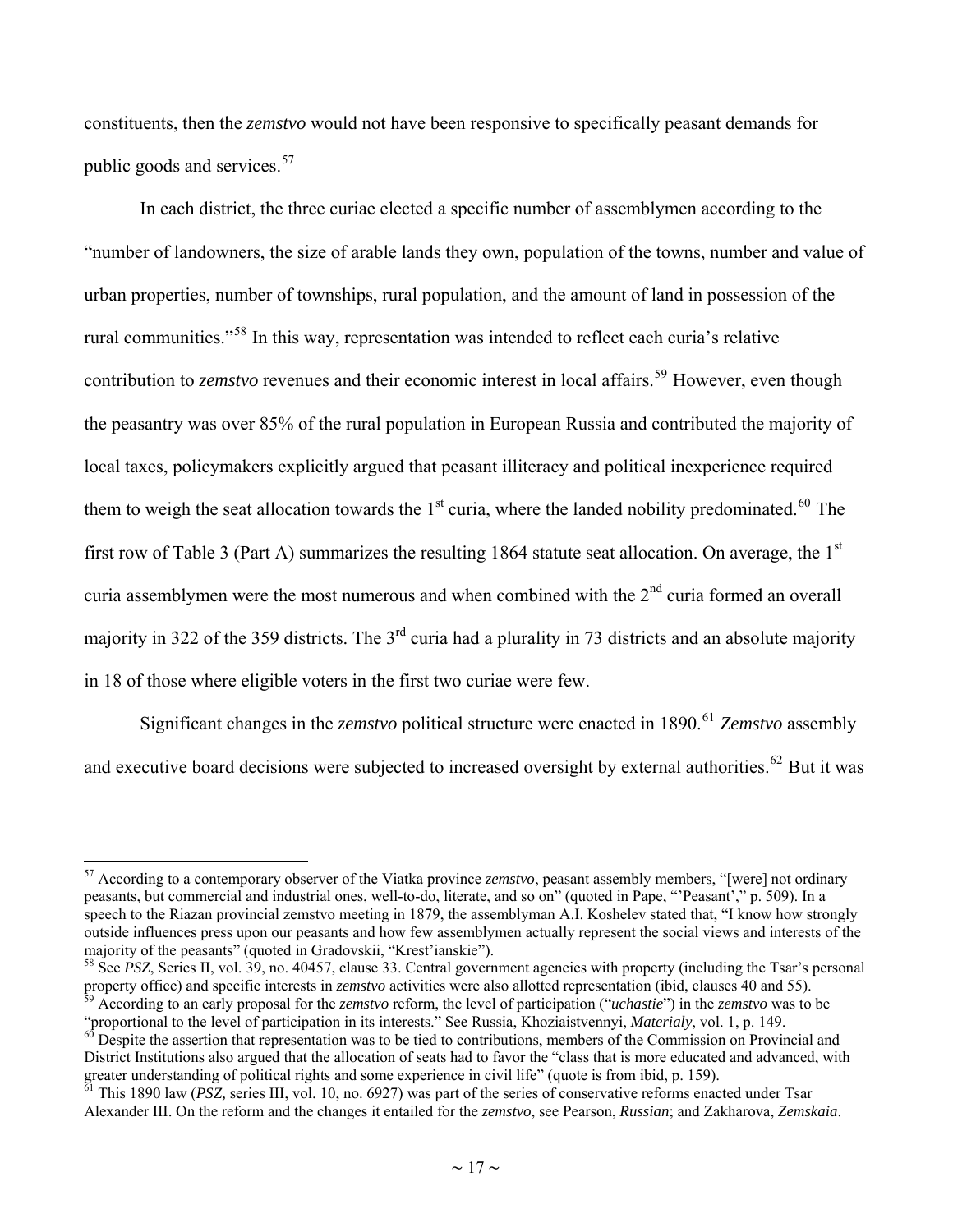<span id="page-16-0"></span>constituents, then the *zemstvo* would not have been responsive to specifically peasant demands for public goods and services.<sup>[57](#page-16-0)</sup>

In each district, the three curiae elected a specific number of assemblymen according to the "number of landowners, the size of arable lands they own, population of the towns, number and value of urban properties, number of townships, rural population, and the amount of land in possession of the rural communities."[58](#page-16-0) In this way, representation was intended to reflect each curia's relative contribution to *zemstvo* revenues and their economic interest in local affairs.<sup>[59](#page-16-0)</sup> However, even though the peasantry was over 85% of the rural population in European Russia and contributed the majority of local taxes, policymakers explicitly argued that peasant illiteracy and political inexperience required them to weigh the seat allocation towards the 1<sup>st</sup> curia, where the landed nobility predominated.<sup>[60](#page-16-0)</sup> The first row of Table 3 (Part A) summarizes the resulting 1864 statute seat allocation. On average, the  $1<sup>st</sup>$ curia assemblymen were the most numerous and when combined with the  $2<sup>nd</sup>$  curia formed an overall majority in 322 of the 359 districts. The 3<sup>rd</sup> curia had a plurality in 73 districts and an absolute majority in 18 of those where eligible voters in the first two curiae were few.

Significant changes in the *zemstvo* political structure were enacted in 1890.<sup>[61](#page-16-0)</sup> Zemstvo assembly and executive board decisions were subjected to increased oversight by external authorities.<sup>[62](#page-16-0)</sup> But it was

<sup>57</sup> According to a contemporary observer of the Viatka province *zemstvo*, peasant assembly members, "[were] not ordinary peasants, but commercial and industrial ones, well-to-do, literate, and so on" (quoted in Pape, "'Peasant'," p. 509). In a speech to the Riazan provincial zemstvo meeting in 1879, the assemblyman A.I. Koshelev stated that, "I know how strongly outside influences press upon our peasants and how few assemblymen actually represent the social views and interests of the majority of the peasants" (quoted in Gradovskii, "Krest'ianskie").

<sup>&</sup>lt;sup>58</sup> See *PSZ*, Series II, vol. 39, no. 40457, clause 33. Central government agencies with property (including the Tsar's personal property office) and specific interests in *zemstvo* activities were also allotted represen According to an early proposal for the *zemstvo* reform, the level of participation ("*uchastie*") in the *zemstvo* was to be

<sup>&</sup>quot;proportional to the level of participation in its interests." See Russia, Khoziaistvennyi, Materialy, vol. 1, p. 149.<br><sup>60</sup> Despite the assertion that representation was to be tied to contributions, members of the Commissi

District Institutions also argued that the allocation of seats had to favor the "class that is more educated and advanced, with greater understanding of political rights and some experience in civil life" (quote is from ibid, p. 159).<br><sup>61</sup> This 1890 law (*PSZ*, series III, vol. 10, no. 6927) was part of the series of conservative reforms enacted un

Alexander III. On the reform and the changes it entailed for the *zemstvo*, see Pearson, *Russian*; and Zakharova, *Zemskaia*.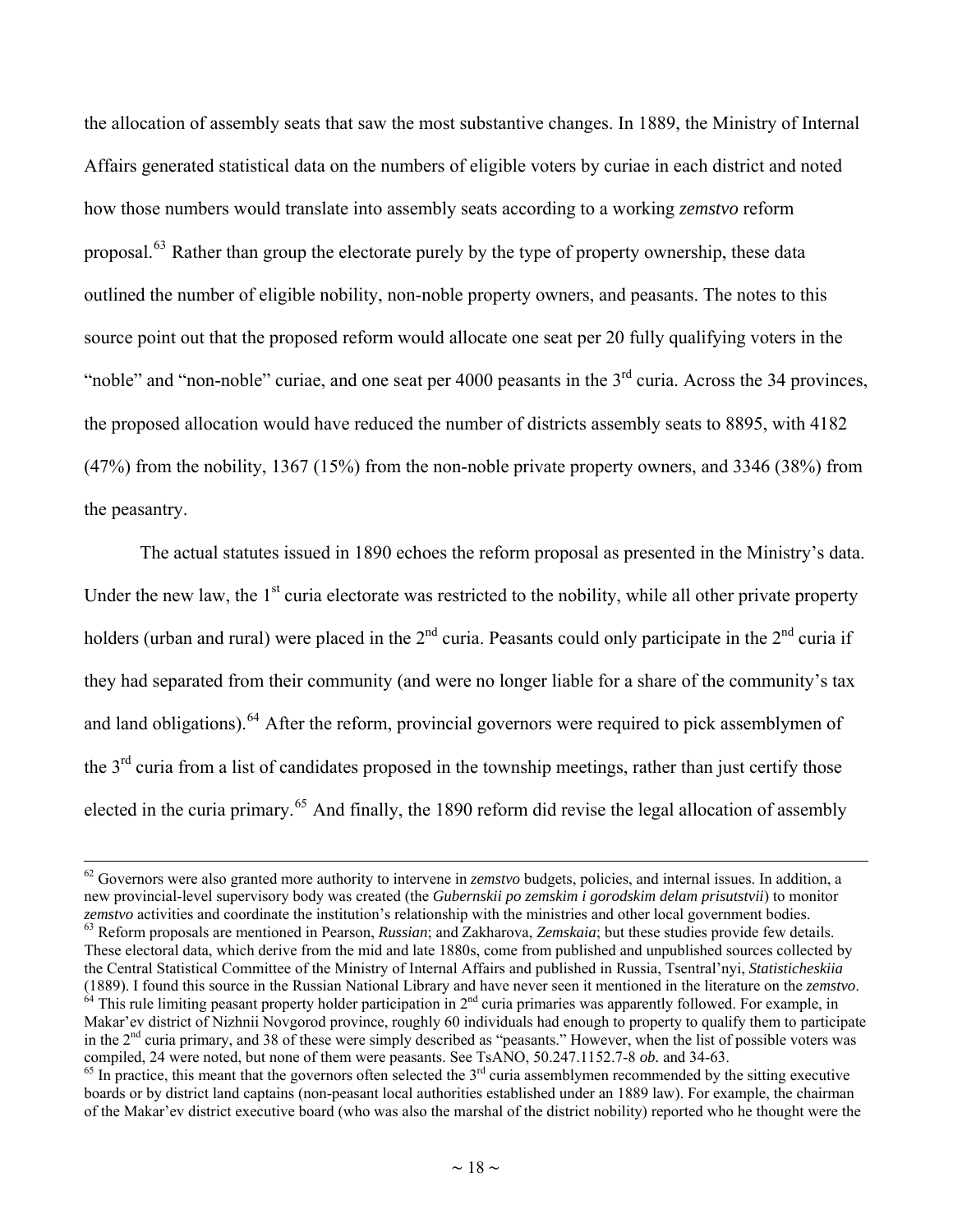<span id="page-17-0"></span>the allocation of assembly seats that saw the most substantive changes. In 1889, the Ministry of Internal Affairs generated statistical data on the numbers of eligible voters by curiae in each district and noted how those numbers would translate into assembly seats according to a working *zemstvo* reform proposal.<sup>[63](#page-17-0)</sup> Rather than group the electorate purely by the type of property ownership, these data outlined the number of eligible nobility, non-noble property owners, and peasants. The notes to this source point out that the proposed reform would allocate one seat per 20 fully qualifying voters in the "noble" and "non-noble" curiae, and one seat per 4000 peasants in the 3<sup>rd</sup> curia. Across the 34 provinces, the proposed allocation would have reduced the number of districts assembly seats to 8895, with 4182 (47%) from the nobility, 1367 (15%) from the non-noble private property owners, and 3346 (38%) from the peasantry.

The actual statutes issued in 1890 echoes the reform proposal as presented in the Ministry's data. Under the new law, the  $1<sup>st</sup>$  curia electorate was restricted to the nobility, while all other private property holders (urban and rural) were placed in the  $2<sup>nd</sup>$  curia. Peasants could only participate in the  $2<sup>nd</sup>$  curia if they had separated from their community (and were no longer liable for a share of the community's tax and land obligations).<sup>[64](#page-17-0)</sup> After the reform, provincial governors were required to pick assemblymen of the 3<sup>rd</sup> curia from a list of candidates proposed in the township meetings, rather than just certify those elected in the curia primary.<sup>[65](#page-17-0)</sup> And finally, the 1890 reform did revise the legal allocation of assembly

<sup>&</sup>lt;sup>62</sup> Governors were also granted more authority to intervene in *zemstvo* budgets, policies, and internal issues. In addition, a new provincial-level supervisory body was created (the *Gubernskii po zemskim i gorodskim delam prisutstvii*) to monitor zemstvo activities and coordinate the institution's relationship with the ministries and other local government bodies.<br><sup>63</sup> Reform proposals are mentioned in Pearson, *Russian*; and Zakharova, *Zemskaia*; but these studie

These electoral data, which derive from the mid and late 1880s, come from published and unpublished sources collected by the Central Statistical Committee of the Ministry of Internal Affairs and published in Russia, Tsentral'nyi, *Statisticheskiia* (1889). I found this source in the Russian National Library and have never seen it mentioned in the literature on the *zemstvo*.<br><sup>64</sup> This rule limiting peasant property holder participation in 2<sup>nd</sup> curia primaries was a Makar'ev district of Nizhnii Novgorod province, roughly 60 individuals had enough to property to qualify them to participate in the  $2<sup>nd</sup>$  curia primary, and 38 of these were simply described as "peasants." However, when the list of possible voters was compiled, 24 were noted, but none of them were peasants. See TsANO, 50.247.1152.7-8 *ob*.

 $^{65}$  In practice, this meant that the governors often selected the  $3<sup>rd</sup>$  curia assemblymen recommended by the sitting executive boards or by district land captains (non-peasant local authorities established under an 1889 law). For example, the chairman of the Makar'ev district executive board (who was also the marshal of the district nobility) reported who he thought were the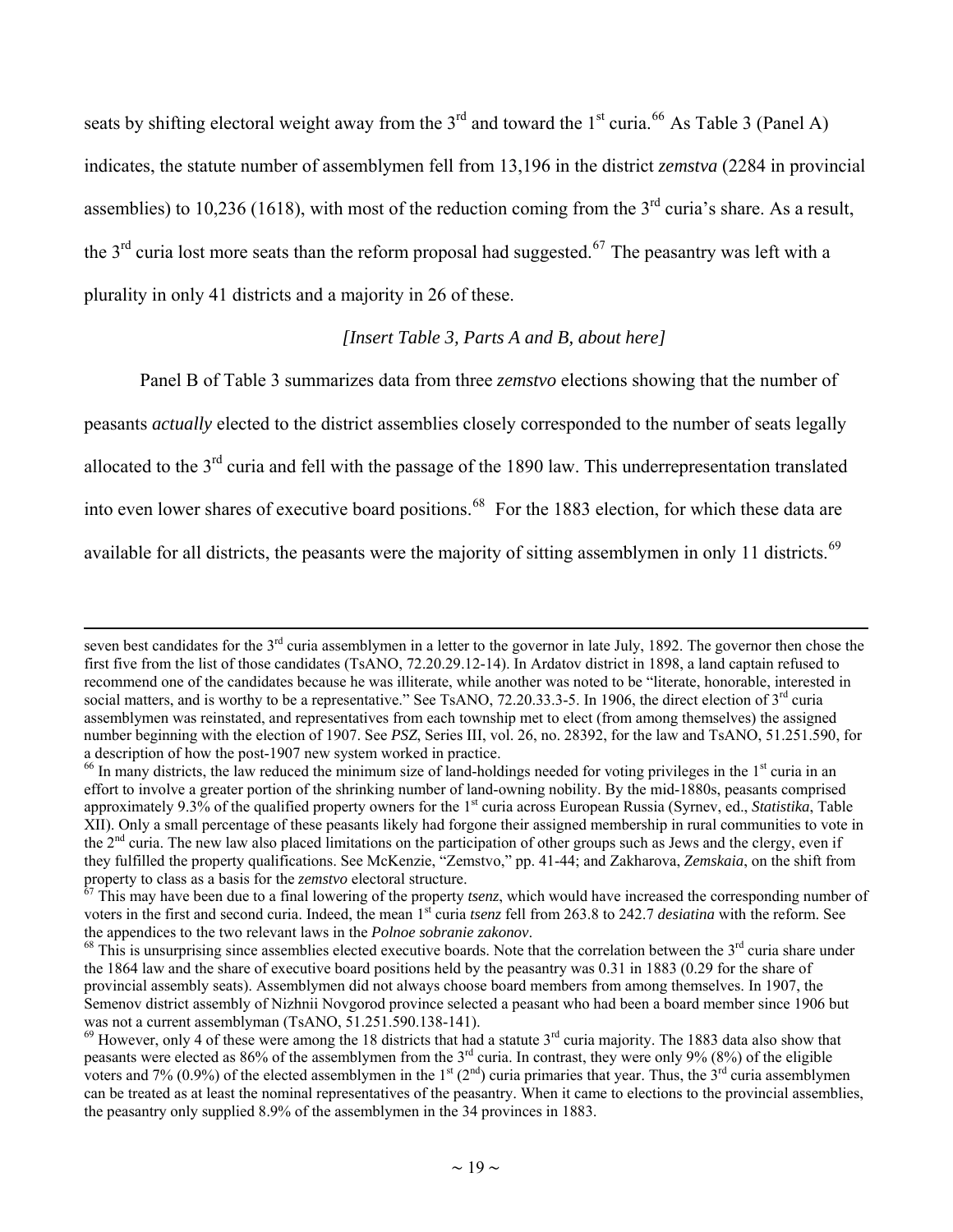<span id="page-18-0"></span>seats by shifting electoral weight away from the  $3<sup>rd</sup>$  and toward the 1<sup>st</sup> curia.<sup>[66](#page-18-0)</sup> As Table 3 (Panel A) indicates, the statute number of assemblymen fell from 13,196 in the district *zemstva* (2284 in provincial assemblies) to 10,236 (1618), with most of the reduction coming from the  $3<sup>rd</sup>$  curia's share. As a result, the  $3<sup>rd</sup>$  curia lost more seats than the reform proposal had suggested.<sup>[67](#page-18-0)</sup> The peasantry was left with a plurality in only 41 districts and a majority in 26 of these.

#### *[Insert Table 3, Parts A and B, about here]*

Panel B of Table 3 summarizes data from three *zemstvo* elections showing that the number of

peasants *actually* elected to the district assemblies closely corresponded to the number of seats legally

allocated to the 3rd curia and fell with the passage of the 1890 law. This underrepresentation translated

into even lower shares of executive board positions.<sup>[68](#page-18-0)</sup> For the 1883 election, for which these data are

available for all districts, the peasants were the majority of sitting assemblymen in only 11 districts.<sup>[69](#page-18-0)</sup>

seven best candidates for the  $3<sup>rd</sup>$  curia assemblymen in a letter to the governor in late July, 1892. The governor then chose the first five from the list of those candidates (TsANO, 72.20.29.12-14). In Ardatov district in 1898, a land captain refused to recommend one of the candidates because he was illiterate, while another was noted to be "literate, honorable, interested in social matters, and is worthy to be a representative." See TsANO, 72.20.33.3-5. In 1906, the direct election of  $3<sup>rd</sup>$  curia assemblymen was reinstated, and representatives from each township met to elect (from among themselves) the assigned number beginning with the election of 1907. See *PSZ*, Series III, vol. 26, no. 28392, for the law and TsANO, 51.251.590, for a description of how the post-1907 new system worked in practice.

 $^{66}$  In many districts, the law reduced the minimum size of land-holdings needed for voting privileges in the  $1<sup>st</sup>$  curia in an effort to involve a greater portion of the shrinking number of land-owning nobility. By the mid-1880s, peasants comprised approximately 9.3% of the qualified property owners for the 1<sup>st</sup> curia across European Russia (Syrnev, ed., *Statistika*, Table XII). Only a small percentage of these peasants likely had forgone their assigned membership in rural communities to vote in the  $2<sup>nd</sup>$  curia. The new law also placed limitations on the participation of other groups such as Jews and the clergy, even if they fulfilled the property qualifications. See McKenzie, "Zemstvo," pp. 41-44; and Zakharova, *Zemskaia*, on the shift from property to class as a basis for the *zemstvo* electoral structure.

This may have been due to a final lowering of the property *tsenz*, which would have increased the corresponding number of voters in the first and second curia. Indeed, the mean 1<sup>st</sup> curia *tsenz* fell from 263.8 to 242.7 *desiatina* with the reform. See the appendices to the two relevant laws in the *Polnoe sobranie zakonov*.<br><sup>68</sup> This is unsurprising since assemblies elected executive boards. Note that the correlation between the 3<sup>rd</sup> curia share under

the 1864 law and the share of executive board positions held by the peasantry was 0.31 in 1883 (0.29 for the share of provincial assembly seats). Assemblymen did not always choose board members from among themselves. In 1907, the Semenov district assembly of Nizhnii Novgorod province selected a peasant who had been a board member since 1906 but was not a current assemblyman (TsANO, 51.251.590.138-141).

 $69$  However, only 4 of these were among the 18 districts that had a statute  $3<sup>rd</sup>$  curia majority. The 1883 data also show that peasants were elected as 86% of the assemblymen from the  $3<sup>rd</sup>$  curia. In contrast, they were only 9% (8%) of the eligible voters and 7% (0.9%) of the elected assemblymen in the 1<sup>st</sup> (2<sup>nd</sup>) curia primaries that year. Thus, the 3<sup>rd</sup> curia assemblymen can be treated as at least the nominal representatives of the peasantry. When it came to elections to the provincial assemblies, the peasantry only supplied 8.9% of the assemblymen in the 34 provinces in 1883.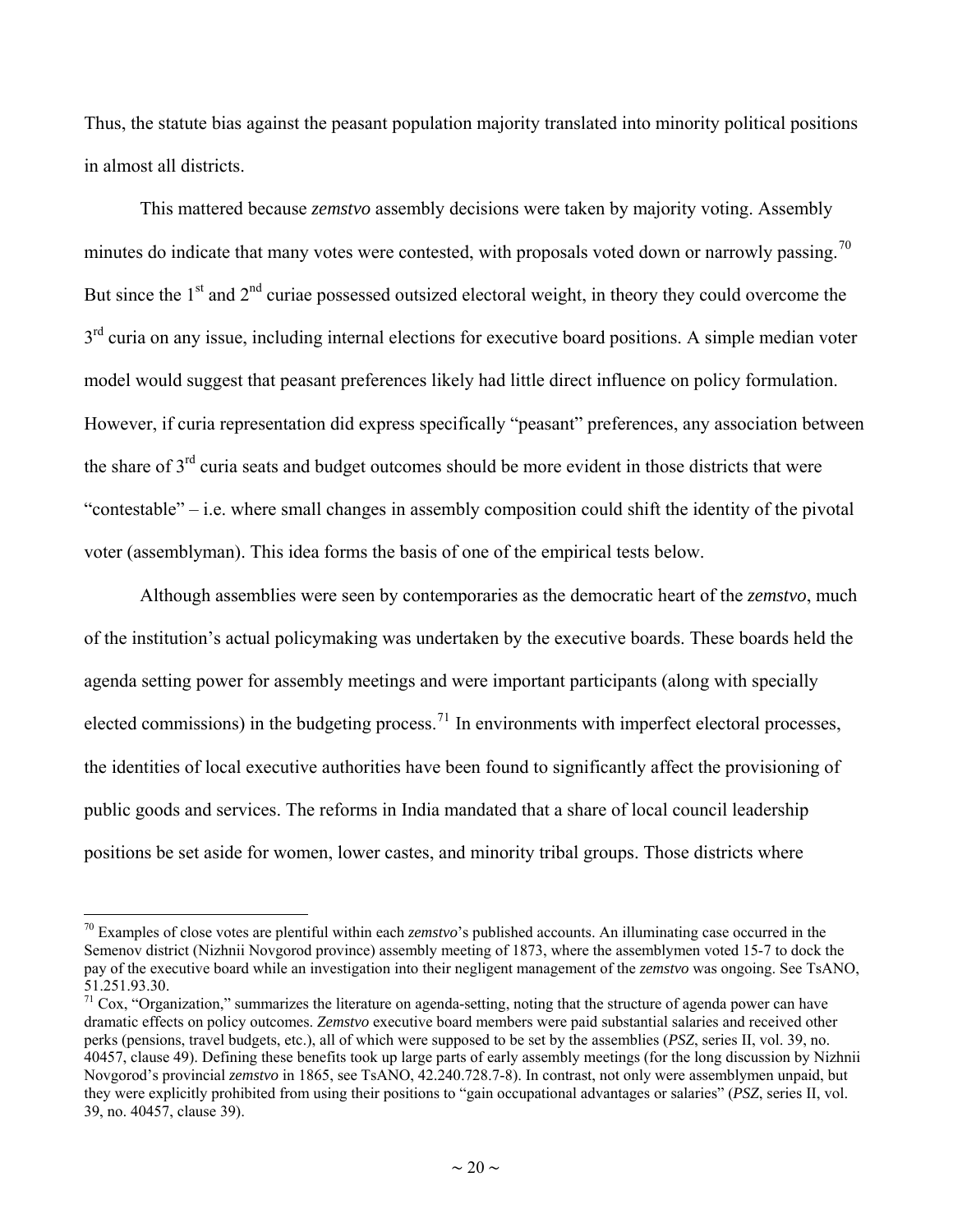<span id="page-19-0"></span>Thus, the statute bias against the peasant population majority translated into minority political positions in almost all districts.

This mattered because *zemstvo* assembly decisions were taken by majority voting. Assembly minutes do indicate that many votes were contested, with proposals voted down or narrowly passing.<sup>[70](#page-19-0)</sup> But since the  $1<sup>st</sup>$  and  $2<sup>nd</sup>$  curiae possessed outsized electoral weight, in theory they could overcome the  $3<sup>rd</sup>$  curia on any issue, including internal elections for executive board positions. A simple median voter model would suggest that peasant preferences likely had little direct influence on policy formulation. However, if curia representation did express specifically "peasant" preferences, any association between the share of 3<sup>rd</sup> curia seats and budget outcomes should be more evident in those districts that were "contestable" – i.e. where small changes in assembly composition could shift the identity of the pivotal voter (assemblyman). This idea forms the basis of one of the empirical tests below.

Although assemblies were seen by contemporaries as the democratic heart of the *zemstvo*, much of the institution's actual policymaking was undertaken by the executive boards. These boards held the agenda setting power for assembly meetings and were important participants (along with specially elected commissions) in the budgeting process.<sup>[71](#page-19-0)</sup> In environments with imperfect electoral processes, the identities of local executive authorities have been found to significantly affect the provisioning of public goods and services. The reforms in India mandated that a share of local council leadership positions be set aside for women, lower castes, and minority tribal groups. Those districts where

<sup>70</sup> Examples of close votes are plentiful within each *zemstvo*'s published accounts. An illuminating case occurred in the Semenov district (Nizhnii Novgorod province) assembly meeting of 1873, where the assemblymen voted 15-7 to dock the pay of the executive board while an investigation into their negligent management of the *zemstvo* was ongoing. See TsANO, 51.251.93.30.

 $71 \text{ Cox}$ , "Organization," summarizes the literature on agenda-setting, noting that the structure of agenda power can have dramatic effects on policy outcomes. *Zemstvo* executive board members were paid substantial salaries and received other perks (pensions, travel budgets, etc.), all of which were supposed to be set by the assemblies (*PSZ*, series II, vol. 39, no. 40457, clause 49). Defining these benefits took up large parts of early assembly meetings (for the long discussion by Nizhnii Novgorod's provincial *zemstvo* in 1865, see TsANO, 42.240.728.7-8). In contrast, not only were assemblymen unpaid, but they were explicitly prohibited from using their positions to "gain occupational advantages or salaries" (*PSZ*, series II, vol. 39, no. 40457, clause 39).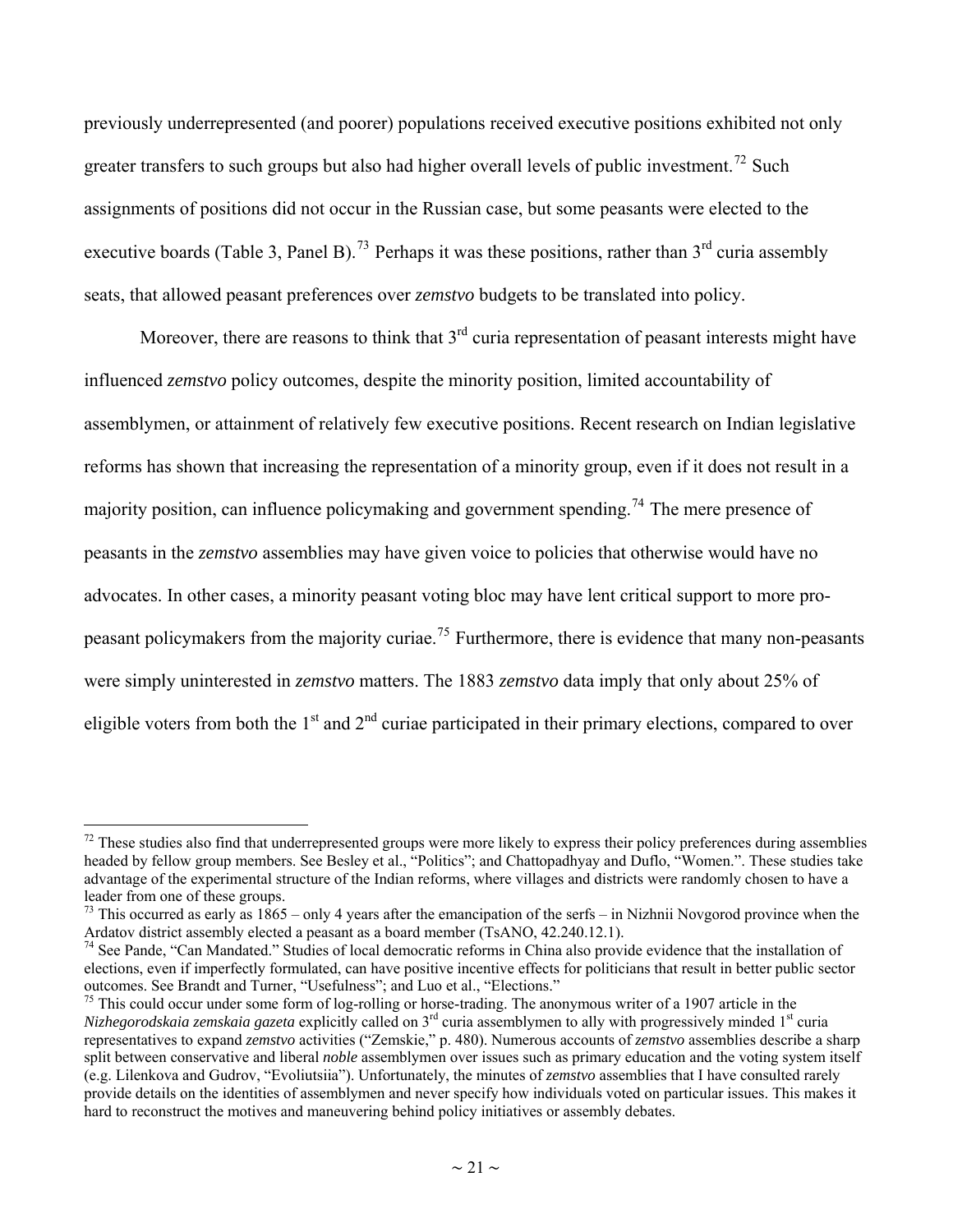<span id="page-20-0"></span>previously underrepresented (and poorer) populations received executive positions exhibited not only greater transfers to such groups but also had higher overall levels of public investment.<sup>[72](#page-20-0)</sup> Such assignments of positions did not occur in the Russian case, but some peasants were elected to the executive boards (Table 3, Panel B).<sup>[73](#page-20-0)</sup> Perhaps it was these positions, rather than  $3<sup>rd</sup>$  curia assembly seats, that allowed peasant preferences over *zemstvo* budgets to be translated into policy.

Moreover, there are reasons to think that  $3<sup>rd</sup>$  curia representation of peasant interests might have influenced *zemstvo* policy outcomes, despite the minority position, limited accountability of assemblymen, or attainment of relatively few executive positions. Recent research on Indian legislative reforms has shown that increasing the representation of a minority group, even if it does not result in a majority position, can influence policymaking and government spending.<sup>[74](#page-20-0)</sup> The mere presence of peasants in the *zemstvo* assemblies may have given voice to policies that otherwise would have no advocates. In other cases, a minority peasant voting bloc may have lent critical support to more pro-peasant policymakers from the majority curiae.<sup>[75](#page-20-0)</sup> Furthermore, there is evidence that many non-peasants were simply uninterested in *zemstvo* matters. The 1883 *zemstvo* data imply that only about 25% of eligible voters from both the  $1<sup>st</sup>$  and  $2<sup>nd</sup>$  curiae participated in their primary elections, compared to over

 $<sup>72</sup>$  These studies also find that underrepresented groups were more likely to express their policy preferences during assemblies</sup> headed by fellow group members. See Besley et al., "Politics"; and Chattopadhyay and Duflo, "Women.". These studies take advantage of the experimental structure of the Indian reforms, where villages and districts were randomly chosen to have a leader from one of these groups.

<sup>&</sup>lt;sup>73</sup> This occurred as early as  $1865 -$  only 4 years after the emancipation of the serfs – in Nizhnii Novgorod province when the Ardatov district assembly elected a peasant as a board member (TsANO, 42.240.12.1).

 $74$  See Pande, "Can Mandated." Studies of local democratic reforms in China also provide evidence that the installation of elections, even if imperfectly formulated, can have positive incentive effects for politicians that result in better public sector outcomes. See Brandt and Turner, "Usefulness"; and Luo et al., "Elections."

 $75$  This could occur under some form of log-rolling or horse-trading. The anonymous writer of a 1907 article in the *Nizhegorodskaia zemskaia gazeta* explicitly called on 3<sup>rd</sup> curia assemblymen to ally with progressively minded 1<sup>st</sup> curia representatives to expand *zemstvo* activities ("Zemskie," p. 480). Numerous accounts of *zemstvo* assemblies describe a sharp split between conservative and liberal *noble* assemblymen over issues such as primary education and the voting system itself (e.g. Lilenkova and Gudrov, "Evoliutsiia"). Unfortunately, the minutes of *zemstvo* assemblies that I have consulted rarely provide details on the identities of assemblymen and never specify how individuals voted on particular issues. This makes it hard to reconstruct the motives and maneuvering behind policy initiatives or assembly debates.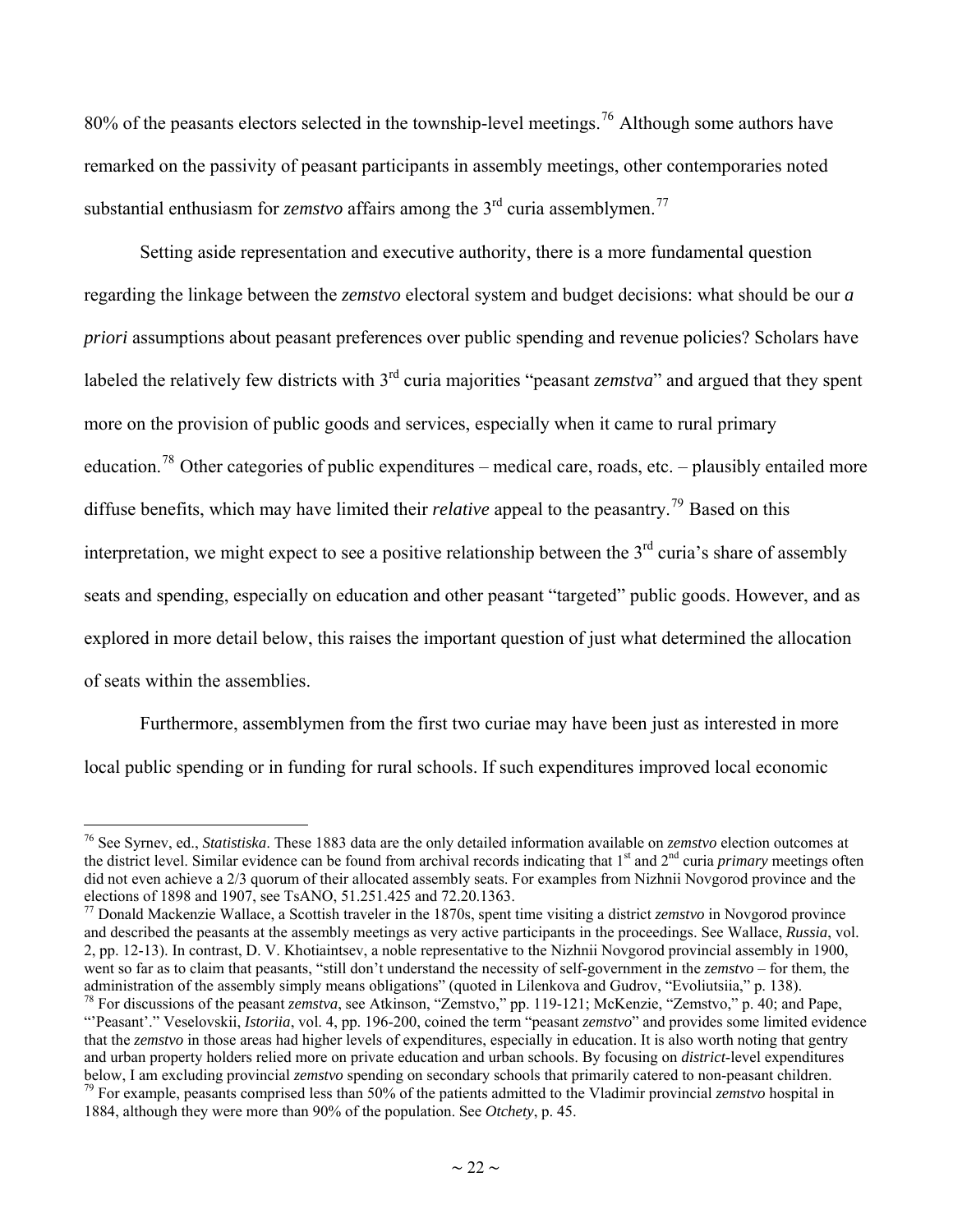<span id="page-21-0"></span>80% of the peasants electors selected in the township-level meetings.<sup>[76](#page-21-0)</sup> Although some authors have remarked on the passivity of peasant participants in assembly meetings, other contemporaries noted substantial enthusiasm for *zemstvo* affairs among the 3<sup>rd</sup> curia assemblymen.<sup>[77](#page-21-0)</sup>

Setting aside representation and executive authority, there is a more fundamental question regarding the linkage between the *zemstvo* electoral system and budget decisions: what should be our *a priori* assumptions about peasant preferences over public spending and revenue policies? Scholars have labeled the relatively few districts with 3rd curia majorities "peasant *zemstva*" and argued that they spent more on the provision of public goods and services, especially when it came to rural primary education.<sup>[78](#page-21-0)</sup> Other categories of public expenditures – medical care, roads, etc. – plausibly entailed more diffuse benefits, which may have limited their *relative* appeal to the peasantry.<sup>[79](#page-21-0)</sup> Based on this interpretation, we might expect to see a positive relationship between the  $3<sup>rd</sup>$  curia's share of assembly seats and spending, especially on education and other peasant "targeted" public goods. However, and as explored in more detail below, this raises the important question of just what determined the allocation of seats within the assemblies.

Furthermore, assemblymen from the first two curiae may have been just as interested in more local public spending or in funding for rural schools. If such expenditures improved local economic

<sup>76</sup> See Syrnev, ed., *Statistiska*. These 1883 data are the only detailed information available on *zemstvo* election outcomes at the district level. Similar evidence can be found from archival records indicating that 1<sup>st</sup> and 2<sup>nd</sup> curia *primary* meetings often did not even achieve a 2/3 quorum of their allocated assembly seats. For examples from Nizhnii Novgorod province and the elections of 1898 and 1907, see TsANO, 51.251.425 and 72.20.1363.

<sup>77</sup> Donald Mackenzie Wallace, a Scottish traveler in the 1870s, spent time visiting a district *zemstvo* in Novgorod province and described the peasants at the assembly meetings as very active participants in the proceedings. See Wallace, *Russia*, vol. 2, pp. 12-13). In contrast, D. V. Khotiaintsev, a noble representative to the Nizhnii Novgorod provincial assembly in 1900, went so far as to claim that peasants, "still don't understand the necessity of self-government in the *zemstvo* – for them, the administration of the assembly simply means obligations" (quoted in Lilenkova and Gudrov, "Ev

<sup>&</sup>lt;sup>78</sup> For discussions of the peasant *zemstva*, see Atkinson, "Zemstvo," pp. 119-121; McKenzie, "Zemstvo," p. 40; and Pape, "'Peasant'." Veselovskii, *Istoriia*, vol. 4, pp. 196-200, coined the term "peasant *zemstvo*" and provides some limited evidence that the *zemstvo* in those areas had higher levels of expenditures, especially in education. It is also worth noting that gentry and urban property holders relied more on private education and urban schools. By focusing on *district*-level expenditures below, I am excluding provincial *zemstvo* spending on secondary schools that primarily catered to non-peasant children.<br><sup>79</sup> For example, peasants comprised less than 50% of the patients admitted to the Vladimir provincia 1884, although they were more than 90% of the population. See *Otchety*, p. 45.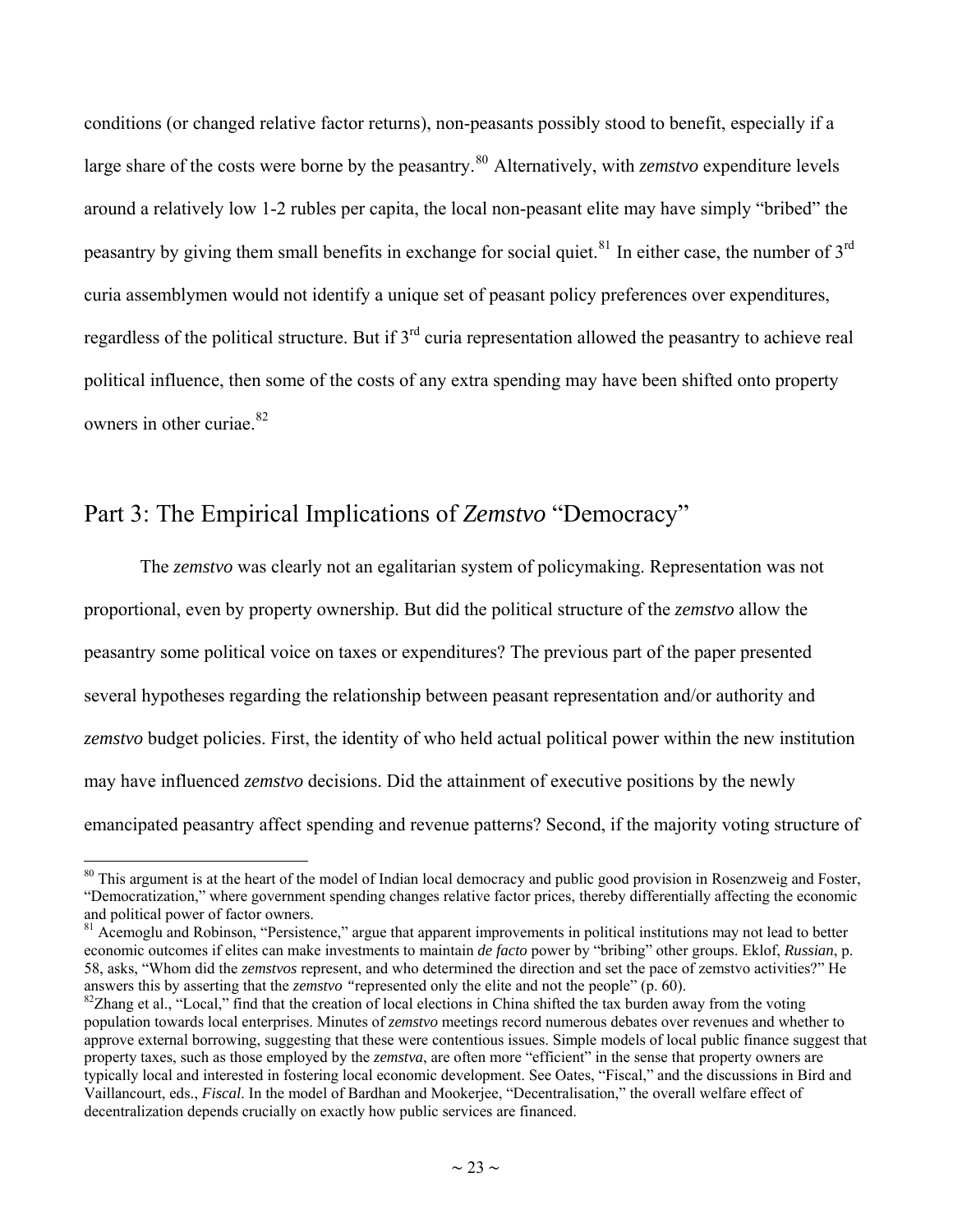<span id="page-22-0"></span>conditions (or changed relative factor returns), non-peasants possibly stood to benefit, especially if a large share of the costs were borne by the peasantry.<sup>[80](#page-22-0)</sup> Alternatively, with *zemstvo* expenditure levels around a relatively low 1-2 rubles per capita, the local non-peasant elite may have simply "bribed" the peasantry by giving them small benefits in exchange for social quiet.<sup>[81](#page-22-0)</sup> In either case, the number of  $3<sup>rd</sup>$ curia assemblymen would not identify a unique set of peasant policy preferences over expenditures, regardless of the political structure. But if 3rd curia representation allowed the peasantry to achieve real political influence, then some of the costs of any extra spending may have been shifted onto property owners in other curiae.<sup>[82](#page-22-0)</sup>

### Part 3: The Empirical Implications of *Zemstvo* "Democracy"

 $\overline{a}$ 

The *zemstvo* was clearly not an egalitarian system of policymaking. Representation was not proportional, even by property ownership. But did the political structure of the *zemstvo* allow the peasantry some political voice on taxes or expenditures? The previous part of the paper presented several hypotheses regarding the relationship between peasant representation and/or authority and *zemstvo* budget policies. First, the identity of who held actual political power within the new institution may have influenced *zemstvo* decisions. Did the attainment of executive positions by the newly emancipated peasantry affect spending and revenue patterns? Second, if the majority voting structure of

<sup>&</sup>lt;sup>80</sup> This argument is at the heart of the model of Indian local democracy and public good provision in Rosenzweig and Foster, "Democratization," where government spending changes relative factor prices, thereby differentially affecting the economic and political power of factor owners.

 $81$  Acemoglu and Robinson, "Persistence," argue that apparent improvements in political institutions may not lead to better economic outcomes if elites can make investments to maintain *de facto* power by "bribing" other groups. Eklof, *Russian*, p. 58, asks, "Whom did the *zemstvos* represent, and who determined the direction and set the pace of zemstvo activities?" He

 ${}^{82}Z$ hang et al., "Local," find that the creation of local elections in China shifted the tax burden away from the voting population towards local enterprises. Minutes of *zemstvo* meetings record numerous debates over revenues and whether to approve external borrowing, suggesting that these were contentious issues. Simple models of local public finance suggest that property taxes, such as those employed by the *zemstva*, are often more "efficient" in the sense that property owners are typically local and interested in fostering local economic development. See Oates, "Fiscal," and the discussions in Bird and Vaillancourt, eds., *Fiscal*. In the model of Bardhan and Mookerjee, "Decentralisation," the overall welfare effect of decentralization depends crucially on exactly how public services are financed.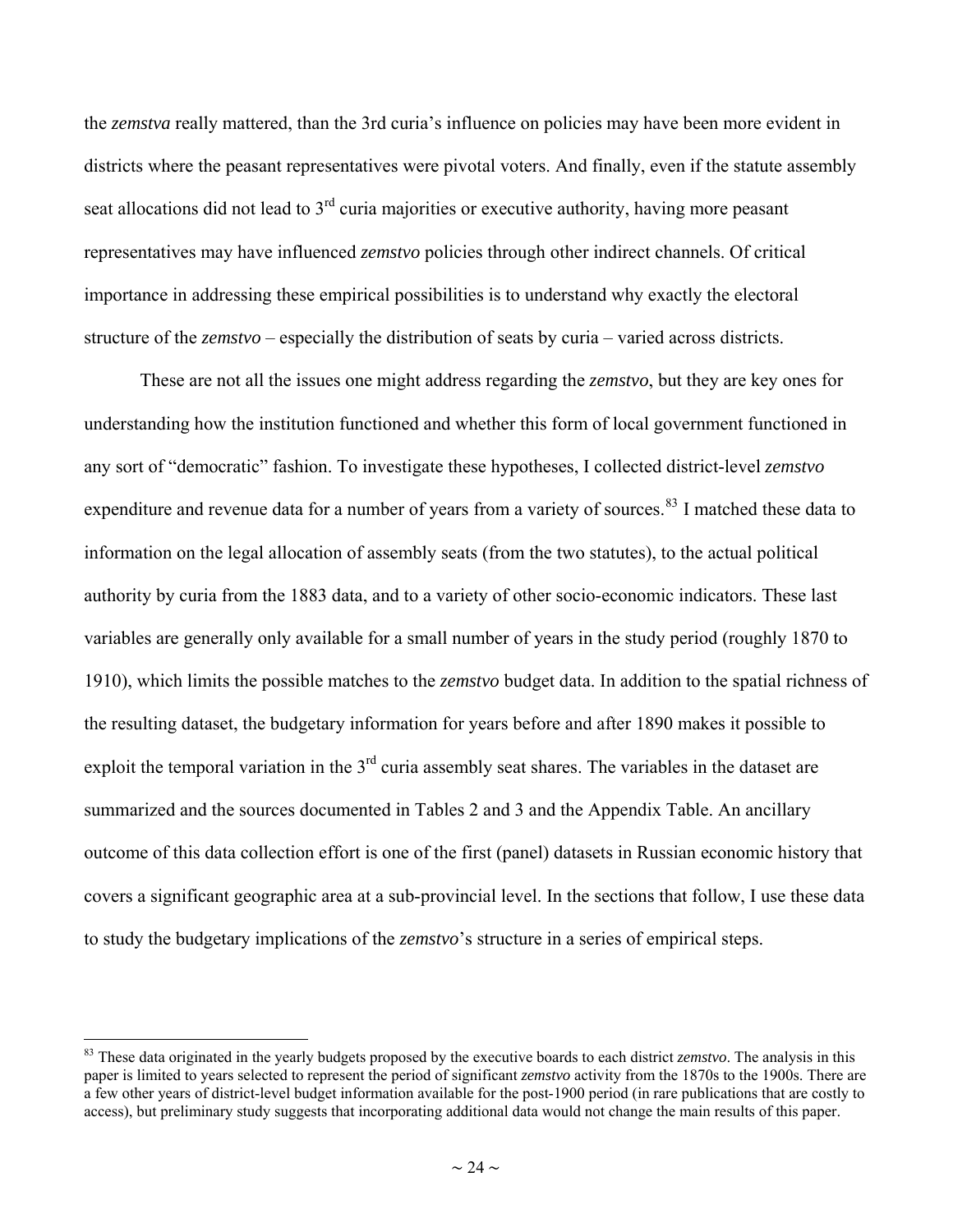<span id="page-23-0"></span>the *zemstva* really mattered, than the 3rd curia's influence on policies may have been more evident in districts where the peasant representatives were pivotal voters. And finally, even if the statute assembly seat allocations did not lead to 3<sup>rd</sup> curia majorities or executive authority, having more peasant representatives may have influenced *zemstvo* policies through other indirect channels. Of critical importance in addressing these empirical possibilities is to understand why exactly the electoral structure of the *zemstvo* – especially the distribution of seats by curia – varied across districts.

These are not all the issues one might address regarding the *zemstvo*, but they are key ones for understanding how the institution functioned and whether this form of local government functioned in any sort of "democratic" fashion. To investigate these hypotheses, I collected district-level *zemstvo*  expenditure and revenue data for a number of years from a variety of sources.<sup>[83](#page-23-0)</sup> I matched these data to information on the legal allocation of assembly seats (from the two statutes), to the actual political authority by curia from the 1883 data, and to a variety of other socio-economic indicators. These last variables are generally only available for a small number of years in the study period (roughly 1870 to 1910), which limits the possible matches to the *zemstvo* budget data. In addition to the spatial richness of the resulting dataset, the budgetary information for years before and after 1890 makes it possible to exploit the temporal variation in the  $3<sup>rd</sup>$  curia assembly seat shares. The variables in the dataset are summarized and the sources documented in Tables 2 and 3 and the Appendix Table. An ancillary outcome of this data collection effort is one of the first (panel) datasets in Russian economic history that covers a significant geographic area at a sub-provincial level. In the sections that follow, I use these data to study the budgetary implications of the *zemstvo*'s structure in a series of empirical steps.

<sup>&</sup>lt;sup>83</sup> These data originated in the yearly budgets proposed by the executive boards to each district *zemstvo*. The analysis in this paper is limited to years selected to represent the period of significant *zemstvo* activity from the 1870s to the 1900s. There are a few other years of district-level budget information available for the post-1900 period (in rare publications that are costly to access), but preliminary study suggests that incorporating additional data would not change the main results of this paper.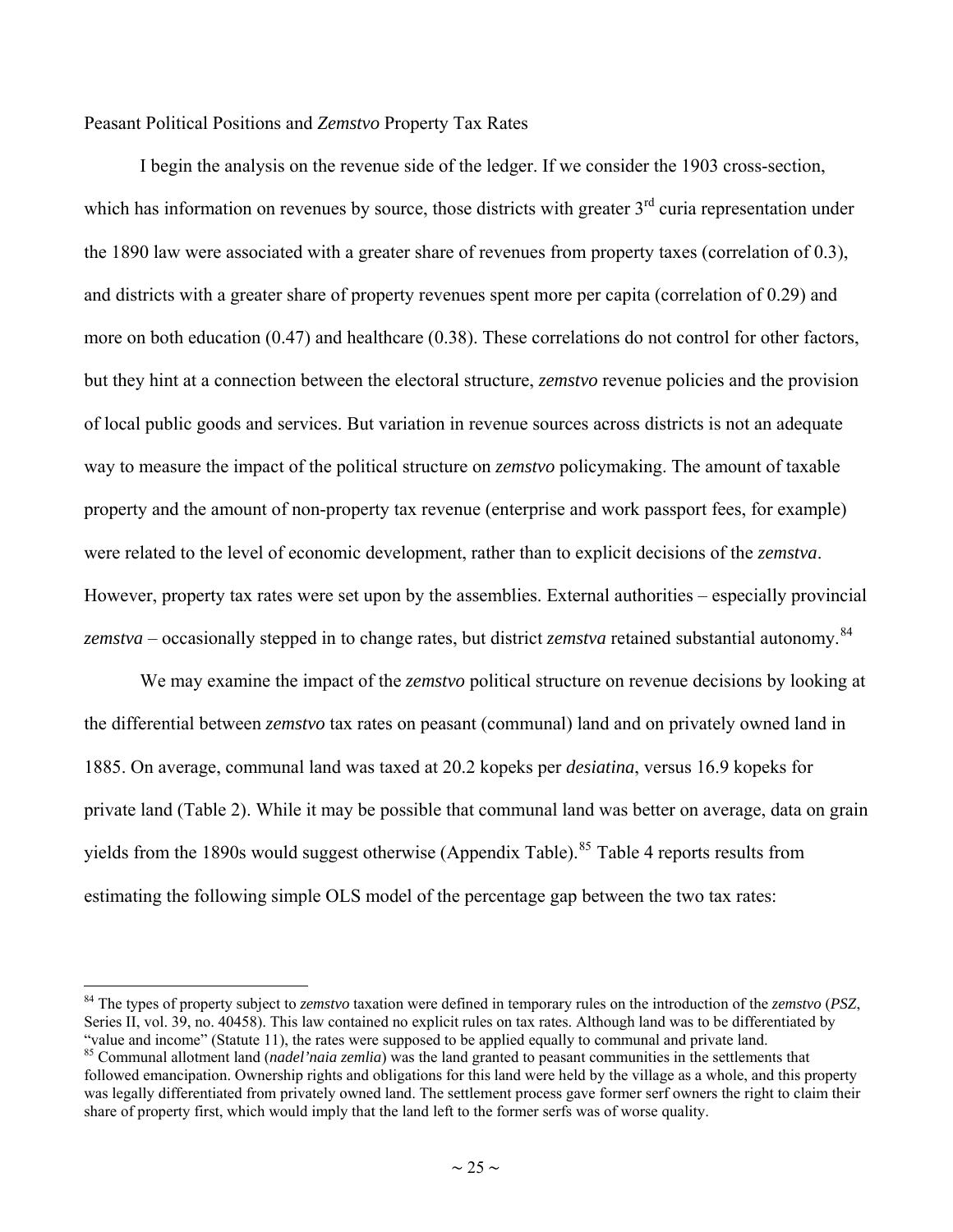<span id="page-24-0"></span>Peasant Political Positions and *Zemstvo* Property Tax Rates

 $\overline{a}$ 

I begin the analysis on the revenue side of the ledger. If we consider the 1903 cross-section, which has information on revenues by source, those districts with greater  $3<sup>rd</sup>$  curia representation under the 1890 law were associated with a greater share of revenues from property taxes (correlation of 0.3), and districts with a greater share of property revenues spent more per capita (correlation of 0.29) and more on both education (0.47) and healthcare (0.38). These correlations do not control for other factors, but they hint at a connection between the electoral structure, *zemstvo* revenue policies and the provision of local public goods and services. But variation in revenue sources across districts is not an adequate way to measure the impact of the political structure on *zemstvo* policymaking. The amount of taxable property and the amount of non-property tax revenue (enterprise and work passport fees, for example) were related to the level of economic development, rather than to explicit decisions of the *zemstva*. However, property tax rates were set upon by the assemblies. External authorities – especially provincial *zemstva* – occasionally stepped in to change rates, but district *zemstva* retained substantial autonomy.<sup>[84](#page-24-0)</sup>

We may examine the impact of the *zemstvo* political structure on revenue decisions by looking at the differential between *zemstvo* tax rates on peasant (communal) land and on privately owned land in 1885. On average, communal land was taxed at 20.2 kopeks per *desiatina*, versus 16.9 kopeks for private land (Table 2). While it may be possible that communal land was better on average, data on grain yields from the 1890s would suggest otherwise (Appendix Table).<sup>[85](#page-24-0)</sup> Table 4 reports results from estimating the following simple OLS model of the percentage gap between the two tax rates:

<sup>84</sup> The types of property subject to *zemstvo* taxation were defined in temporary rules on the introduction of the *zemstvo* (*PSZ*, Series II, vol. 39, no. 40458). This law contained no explicit rules on tax rates. Although land was to be differentiated by "value and income" (Statute 11), the rates were supposed to be applied equally to communal and private land.<br><sup>85</sup> Communal allotment land (*nadel'naia zemlia*) was the land granted to peasant communities in the settlements

followed emancipation. Ownership rights and obligations for this land were held by the village as a whole, and this property was legally differentiated from privately owned land. The settlement process gave former serf owners the right to claim their share of property first, which would imply that the land left to the former serfs was of worse quality.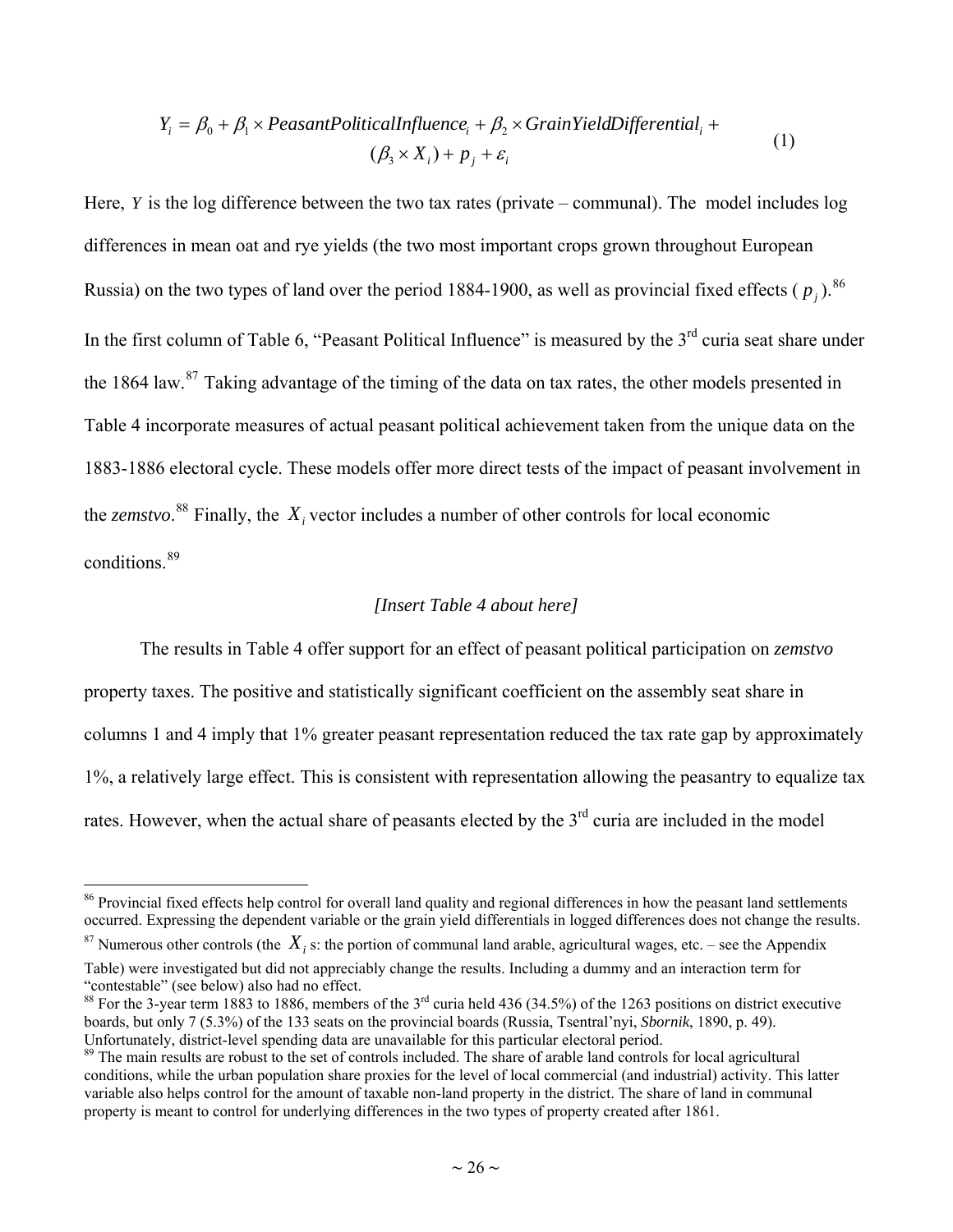<span id="page-25-0"></span>
$$
Y_i = \beta_0 + \beta_1 \times \text{Pearant PoliticalInfluence}_i + \beta_2 \times \text{GrainYieldDifferential}_i +
$$
  

$$
(\beta_3 \times X_i) + p_j + \varepsilon_i
$$
 (1)

Here, *Y* is the log difference between the two tax rates (private – communal). The model includes log differences in mean oat and rye yields (the two most important crops grown throughout European Russia) on the two types of land over the period 1884-1900, as well as provincial fixed effects ( $p_j$ ).<sup>[86](#page-25-0)</sup> In the first column of Table 6, "Peasant Political Influence" is measured by the  $3<sup>rd</sup>$  curia seat share under the 1864 law.<sup>[87](#page-25-0)</sup> Taking advantage of the timing of the data on tax rates, the other models presented in Table 4 incorporate measures of actual peasant political achievement taken from the unique data on the 1883-1886 electoral cycle. These models offer more direct tests of the impact of peasant involvement in the *zemstvo*.<sup>[88](#page-25-0)</sup> Finally, the  $X_i$  vector includes a number of other controls for local economic conditions. [89](#page-25-0)

#### *[Insert Table 4 about here]*

The results in Table 4 offer support for an effect of peasant political participation on *zemstvo* property taxes. The positive and statistically significant coefficient on the assembly seat share in columns 1 and 4 imply that 1% greater peasant representation reduced the tax rate gap by approximately 1%, a relatively large effect. This is consistent with representation allowing the peasantry to equalize tax rates. However, when the actual share of peasants elected by the  $3<sup>rd</sup>$  curia are included in the model

<sup>&</sup>lt;sup>86</sup> Provincial fixed effects help control for overall land quality and regional differences in how the peasant land settlements occurred. Expressing the dependent variable or the grain yield differentials in logged differences does not change the results.

 $^{87}$  Numerous other controls (the  $X_i$  s: the portion of communal land arable, agricultural wages, etc. – see the Appendix Table) were investigated but did not appreciably change the results. Including a dummy and an interaction term for "contestable" (see below) also had no effect.

<sup>&</sup>lt;sup>88</sup> For the 3-year term 1883 to 1886, members of the  $3<sup>rd</sup>$  curia held 436 (34.5%) of the 1263 positions on district executive boards, but only 7 (5.3%) of the 133 seats on the provincial boards (Russia, Tsentral'nyi, *Sbornik*, 1890, p. 49). Unfortunately, district-level spending data are unavailable for this particular electoral period.

<sup>&</sup>lt;sup>89</sup> The main results are robust to the set of controls included. The share of arable land controls for local agricultural conditions, while the urban population share proxies for the level of local commercial (and industrial) activity. This latter variable also helps control for the amount of taxable non-land property in the district. The share of land in communal property is meant to control for underlying differences in the two types of property created after 1861.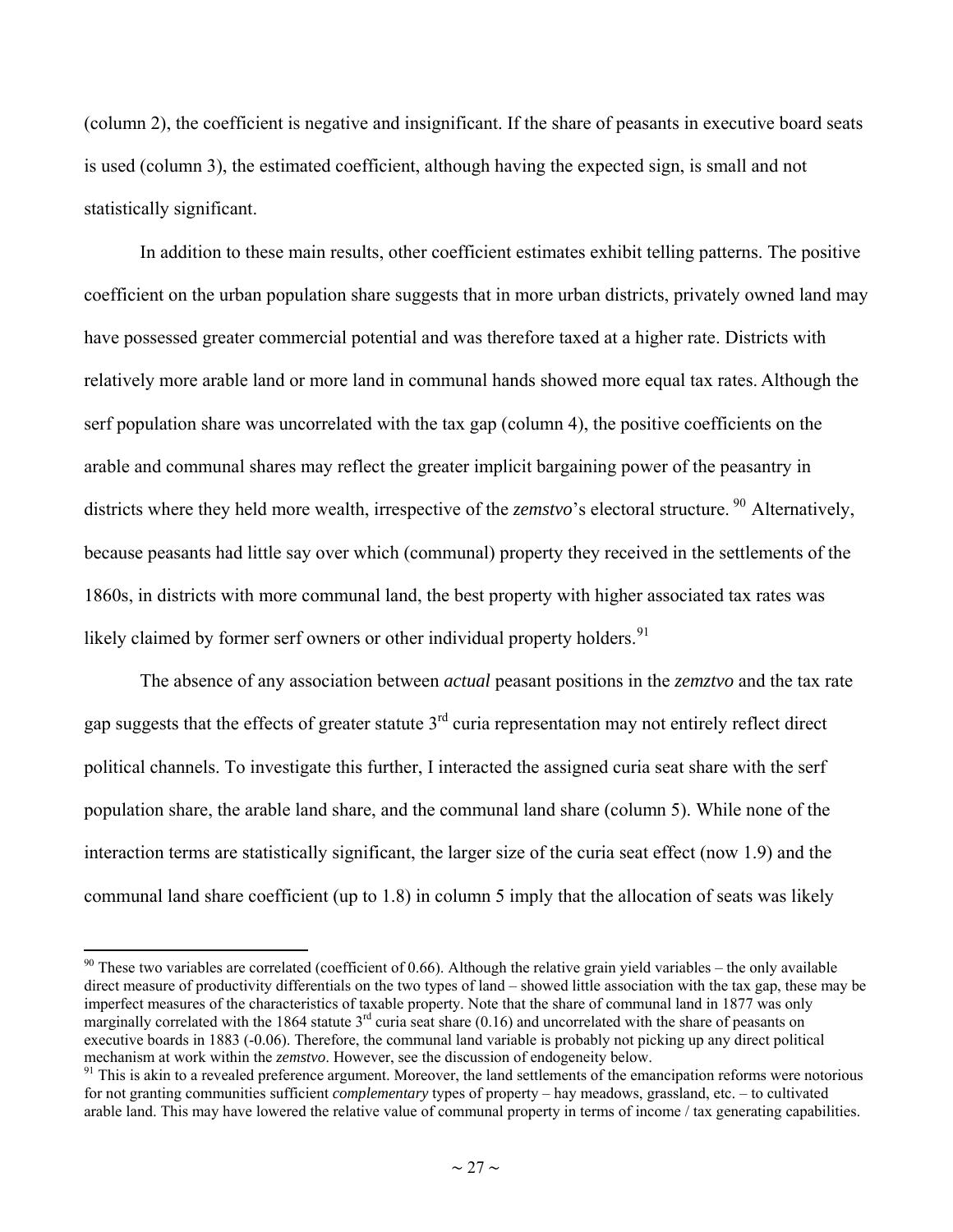<span id="page-26-0"></span>(column 2), the coefficient is negative and insignificant. If the share of peasants in executive board seats is used (column 3), the estimated coefficient, although having the expected sign, is small and not statistically significant.

In addition to these main results, other coefficient estimates exhibit telling patterns. The positive coefficient on the urban population share suggests that in more urban districts, privately owned land may have possessed greater commercial potential and was therefore taxed at a higher rate. Districts with relatively more arable land or more land in communal hands showed more equal tax rates. Although the serf population share was uncorrelated with the tax gap (column 4), the positive coefficients on the arable and communal shares may reflect the greater implicit bargaining power of the peasantry in districts where they held more wealth, irrespective of the *zemstvo*'s electoral structure. <sup>[90](#page-26-0)</sup> Alternatively, because peasants had little say over which (communal) property they received in the settlements of the 1860s, in districts with more communal land, the best property with higher associated tax rates was likely claimed by former serf owners or other individual property holders.<sup>[91](#page-26-0)</sup>

The absence of any association between *actual* peasant positions in the *zemztvo* and the tax rate gap suggests that the effects of greater statute  $3<sup>rd</sup>$  curia representation may not entirely reflect direct political channels. To investigate this further, I interacted the assigned curia seat share with the serf population share, the arable land share, and the communal land share (column 5). While none of the interaction terms are statistically significant, the larger size of the curia seat effect (now 1.9) and the communal land share coefficient (up to 1.8) in column 5 imply that the allocation of seats was likely

 $90$  These two variables are correlated (coefficient of 0.66). Although the relative grain yield variables – the only available direct measure of productivity differentials on the two types of land – showed little association with the tax gap, these may be imperfect measures of the characteristics of taxable property. Note that the share of communal land in 1877 was only marginally correlated with the 1864 statute  $3<sup>rd</sup>$  curia seat share (0.16) and uncorrelated with the share of peasants on executive boards in 1883 (-0.06). Therefore, the communal land variable is probably not picking up any direct political mechanism at work within the *zemstvo*. However, see the discussion of endogeneity below.<br><sup>91</sup> This is akin to a revealed preference argument. Moreover, the land settlements of the emancipation reforms were notorious

for not granting communities sufficient *complementary* types of property – hay meadows, grassland, etc. – to cultivated arable land. This may have lowered the relative value of communal property in terms of income / tax generating capabilities.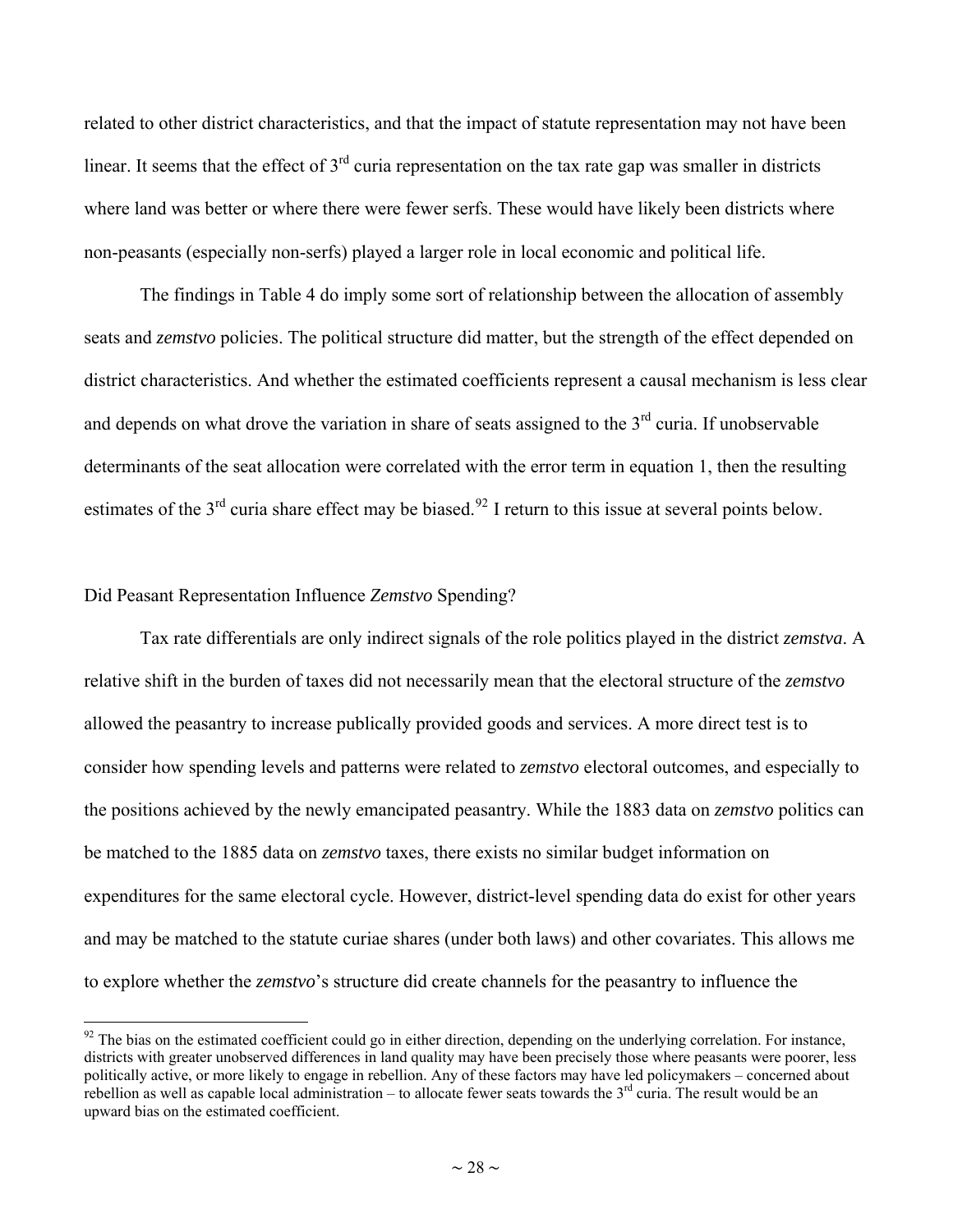<span id="page-27-0"></span>related to other district characteristics, and that the impact of statute representation may not have been linear. It seems that the effect of  $3<sup>rd</sup>$  curia representation on the tax rate gap was smaller in districts where land was better or where there were fewer serfs. These would have likely been districts where non-peasants (especially non-serfs) played a larger role in local economic and political life.

The findings in Table 4 do imply some sort of relationship between the allocation of assembly seats and *zemstvo* policies. The political structure did matter, but the strength of the effect depended on district characteristics. And whether the estimated coefficients represent a causal mechanism is less clear and depends on what drove the variation in share of seats assigned to the  $3<sup>rd</sup>$  curia. If unobservable determinants of the seat allocation were correlated with the error term in equation 1, then the resulting estimates of the 3<sup>rd</sup> curia share effect may be biased.<sup>[92](#page-27-0)</sup> I return to this issue at several points below.

#### Did Peasant Representation Influence *Zemstvo* Spending?

 $\overline{a}$ 

Tax rate differentials are only indirect signals of the role politics played in the district *zemstva*. A relative shift in the burden of taxes did not necessarily mean that the electoral structure of the *zemstvo* allowed the peasantry to increase publically provided goods and services. A more direct test is to consider how spending levels and patterns were related to *zemstvo* electoral outcomes, and especially to the positions achieved by the newly emancipated peasantry. While the 1883 data on *zemstvo* politics can be matched to the 1885 data on *zemstvo* taxes, there exists no similar budget information on expenditures for the same electoral cycle. However, district-level spending data do exist for other years and may be matched to the statute curiae shares (under both laws) and other covariates. This allows me to explore whether the *zemstvo*'s structure did create channels for the peasantry to influence the

 $92$  The bias on the estimated coefficient could go in either direction, depending on the underlying correlation. For instance, districts with greater unobserved differences in land quality may have been precisely those where peasants were poorer, less politically active, or more likely to engage in rebellion. Any of these factors may have led policymakers – concerned about rebellion as well as capable local administration – to allocate fewer seats towards the  $3<sup>rd</sup>$  curia. The result would be an upward bias on the estimated coefficient.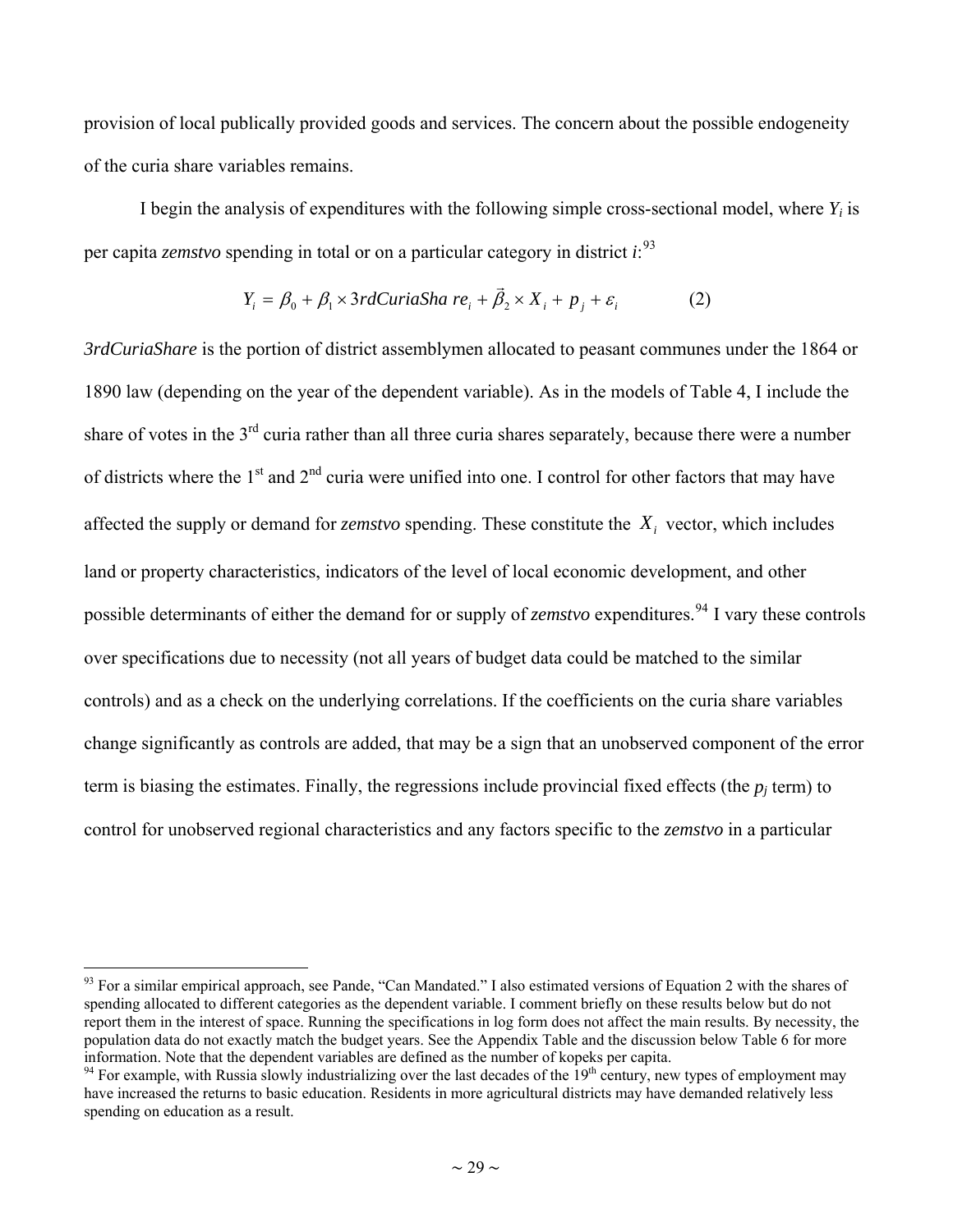<span id="page-28-0"></span>provision of local publically provided goods and services. The concern about the possible endogeneity of the curia share variables remains.

I begin the analysis of expenditures with the following simple cross-sectional model, where *Yi* is per capita *zemstvo* spending in total or on a particular category in district *i*: [93](#page-28-0)

$$
Y_i = \beta_0 + \beta_1 \times 3rdCuria Sha \ re_i + \vec{\beta}_2 \times X_i + p_j + \varepsilon_i \tag{2}
$$

*3rdCuriaShare* is the portion of district assemblymen allocated to peasant communes under the 1864 or 1890 law (depending on the year of the dependent variable). As in the models of Table 4, I include the share of votes in the 3<sup>rd</sup> curia rather than all three curia shares separately, because there were a number of districts where the 1<sup>st</sup> and 2<sup>nd</sup> curia were unified into one. I control for other factors that may have affected the supply or demand for *zemstvo* spending. These constitute the  $X_i$  vector, which includes land or property characteristics, indicators of the level of local economic development, and other possible determinants of either the demand for or supply of *zemstvo* expenditures. [94](#page-28-0) I vary these controls over specifications due to necessity (not all years of budget data could be matched to the similar controls) and as a check on the underlying correlations. If the coefficients on the curia share variables change significantly as controls are added, that may be a sign that an unobserved component of the error term is biasing the estimates. Finally, the regressions include provincial fixed effects (the  $p_i$  term) to control for unobserved regional characteristics and any factors specific to the *zemstvo* in a particular

1

 $93$  For a similar empirical approach, see Pande, "Can Mandated." I also estimated versions of Equation 2 with the shares of spending allocated to different categories as the dependent variable. I comment briefly on these results below but do not report them in the interest of space. Running the specifications in log form does not affect the main results. By necessity, the population data do not exactly match the budget years. See the Appendix Table and the discussion below Table 6 for more information. Note that the dependent variables are defined as the number of kopeks per capita.

 $94$  For example, with Russia slowly industrializing over the last decades of the  $19<sup>th</sup>$  century, new types of employment may have increased the returns to basic education. Residents in more agricultural districts may have demanded relatively less spending on education as a result.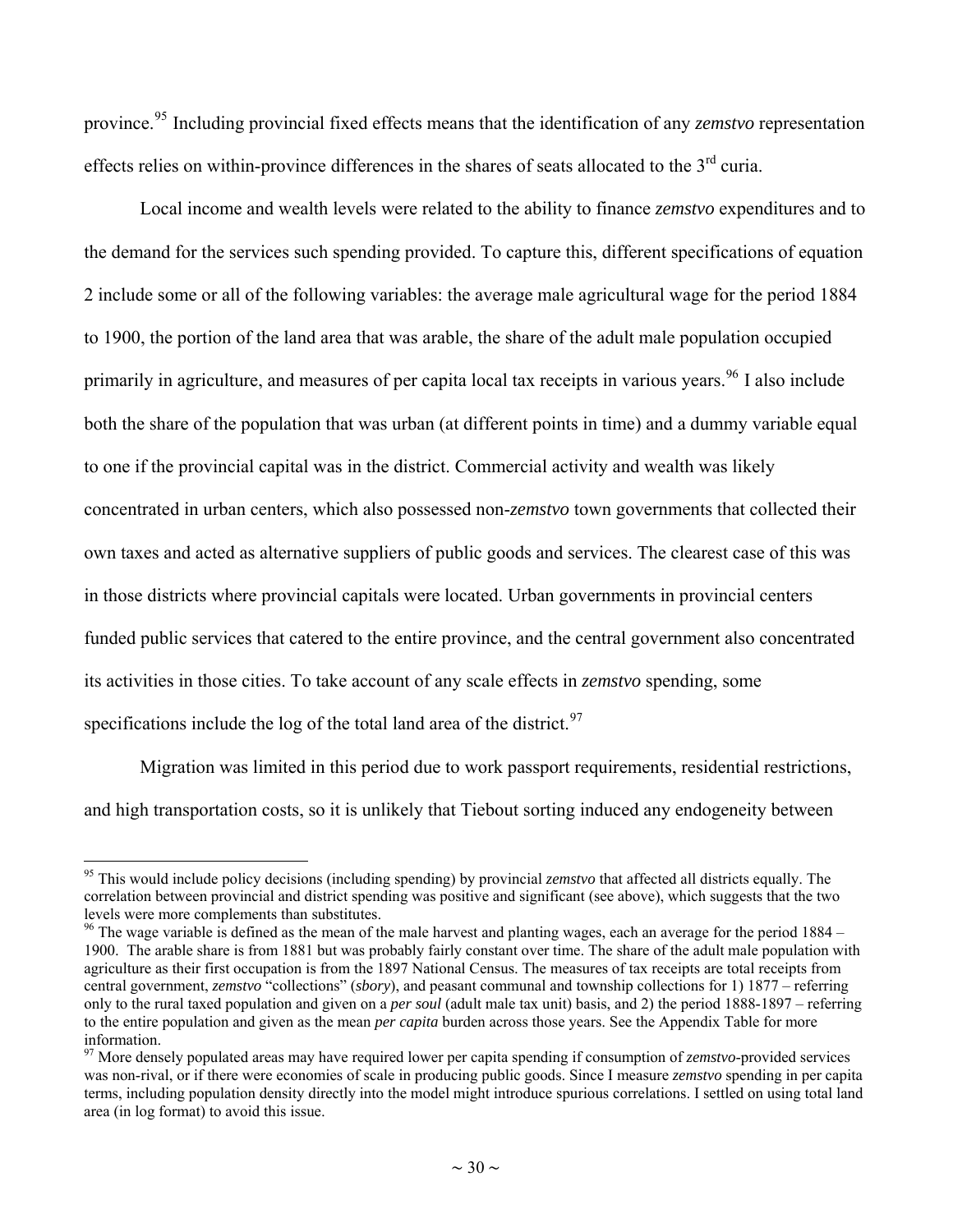<span id="page-29-0"></span>province.[95](#page-29-0) Including provincial fixed effects means that the identification of any *zemstvo* representation effects relies on within-province differences in the shares of seats allocated to the  $3<sup>rd</sup>$  curia.

Local income and wealth levels were related to the ability to finance *zemstvo* expenditures and to the demand for the services such spending provided. To capture this, different specifications of equation 2 include some or all of the following variables: the average male agricultural wage for the period 1884 to 1900, the portion of the land area that was arable, the share of the adult male population occupied primarily in agriculture, and measures of per capita local tax receipts in various years.<sup>[96](#page-29-0)</sup> I also include both the share of the population that was urban (at different points in time) and a dummy variable equal to one if the provincial capital was in the district. Commercial activity and wealth was likely concentrated in urban centers, which also possessed non-*zemstvo* town governments that collected their own taxes and acted as alternative suppliers of public goods and services. The clearest case of this was in those districts where provincial capitals were located. Urban governments in provincial centers funded public services that catered to the entire province, and the central government also concentrated its activities in those cities. To take account of any scale effects in *zemstvo* spending, some specifications include the log of the total land area of the district.<sup>[97](#page-29-0)</sup>

Migration was limited in this period due to work passport requirements, residential restrictions, and high transportation costs, so it is unlikely that Tiebout sorting induced any endogeneity between

<sup>&</sup>lt;sup>95</sup> This would include policy decisions (including spending) by provincial *zemstvo* that affected all districts equally. The correlation between provincial and district spending was positive and significant (see above), which suggests that the two levels were more complements than substitutes.

 $96$  The wage variable is defined as the mean of the male harvest and planting wages, each an average for the period  $1884 -$ 1900. The arable share is from 1881 but was probably fairly constant over time. The share of the adult male population with agriculture as their first occupation is from the 1897 National Census. The measures of tax receipts are total receipts from central government, *zemstvo* "collections" (*sbory*), and peasant communal and township collections for 1) 1877 – referring only to the rural taxed population and given on a *per soul* (adult male tax unit) basis, and 2) the period 1888-1897 – referring to the entire population and given as the mean *per capita* burden across those years. See the Appendix Table for more information.

<sup>97</sup> More densely populated areas may have required lower per capita spending if consumption of *zemstvo*-provided services was non-rival, or if there were economies of scale in producing public goods. Since I measure *zemstvo* spending in per capita terms, including population density directly into the model might introduce spurious correlations. I settled on using total land area (in log format) to avoid this issue.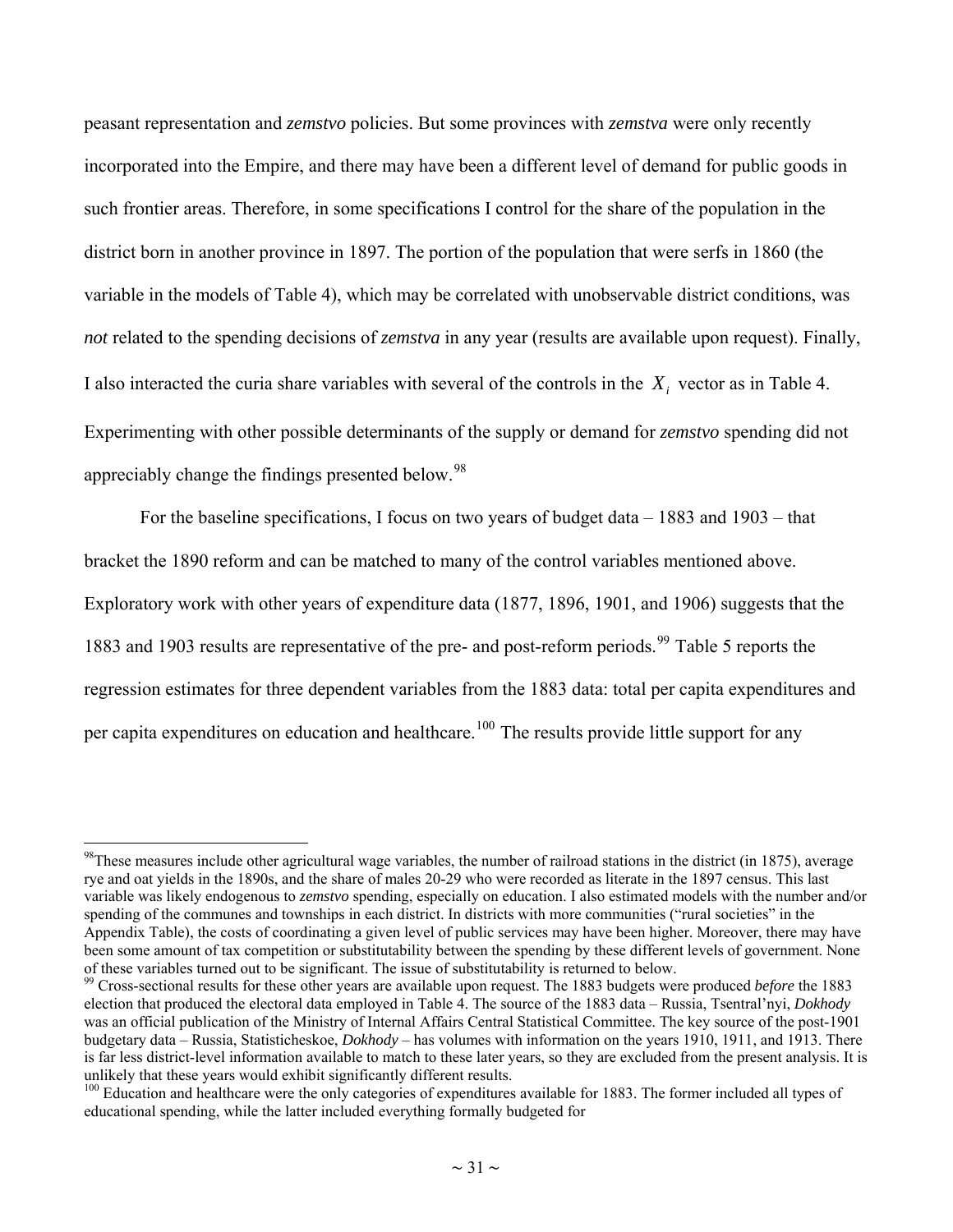<span id="page-30-0"></span>peasant representation and *zemstvo* policies. But some provinces with *zemstva* were only recently incorporated into the Empire, and there may have been a different level of demand for public goods in such frontier areas. Therefore, in some specifications I control for the share of the population in the district born in another province in 1897. The portion of the population that were serfs in 1860 (the variable in the models of Table 4), which may be correlated with unobservable district conditions, was *not* related to the spending decisions of *zemstva* in any year (results are available upon request). Finally, I also interacted the curia share variables with several of the controls in the  $X_i$  vector as in Table 4. Experimenting with other possible determinants of the supply or demand for *zemstvo* spending did not appreciably change the findings presented below.<sup>[98](#page-30-0)</sup>

For the baseline specifications, I focus on two years of budget data – 1883 and 1903 – that bracket the 1890 reform and can be matched to many of the control variables mentioned above. Exploratory work with other years of expenditure data (1877, 1896, 1901, and 1906) suggests that the 1883 and 1903 results are representative of the pre- and post-reform periods.<sup>[99](#page-30-0)</sup> Table 5 reports the regression estimates for three dependent variables from the 1883 data: total per capita expenditures and per capita expenditures on education and healthcare.<sup>[100](#page-30-0)</sup> The results provide little support for any

<sup>&</sup>lt;sup>98</sup>These measures include other agricultural wage variables, the number of railroad stations in the district (in 1875), average rye and oat yields in the 1890s, and the share of males 20-29 who were recorded as literate in the 1897 census. This last variable was likely endogenous to *zemstvo* spending, especially on education. I also estimated models with the number and/or spending of the communes and townships in each district. In districts with more communities ("rural societies" in the Appendix Table), the costs of coordinating a given level of public services may have been higher. Moreover, there may have been some amount of tax competition or substitutability between the spending by these different levels of government. None of these variables turned out to be significant. The issue of substitutability is returned to below.

<sup>99</sup> Cross-sectional results for these other years are available upon request. The 1883 budgets were produced *before* the 1883 election that produced the electoral data employed in Table 4. The source of the 1883 data – Russia, Tsentral'nyi, *Dokhody* was an official publication of the Ministry of Internal Affairs Central Statistical Committee. The key source of the post-1901 budgetary data – Russia, Statisticheskoe, *Dokhody* – has volumes with information on the years 1910, 1911, and 1913. There is far less district-level information available to match to these later years, so they are excluded from the present analysis. It is unlikely that these years would exhibit significantly different results.<br><sup>100</sup> Education and healthcare were the only categories of expenditures available for 1883. The former included all types of

educational spending, while the latter included everything formally budgeted for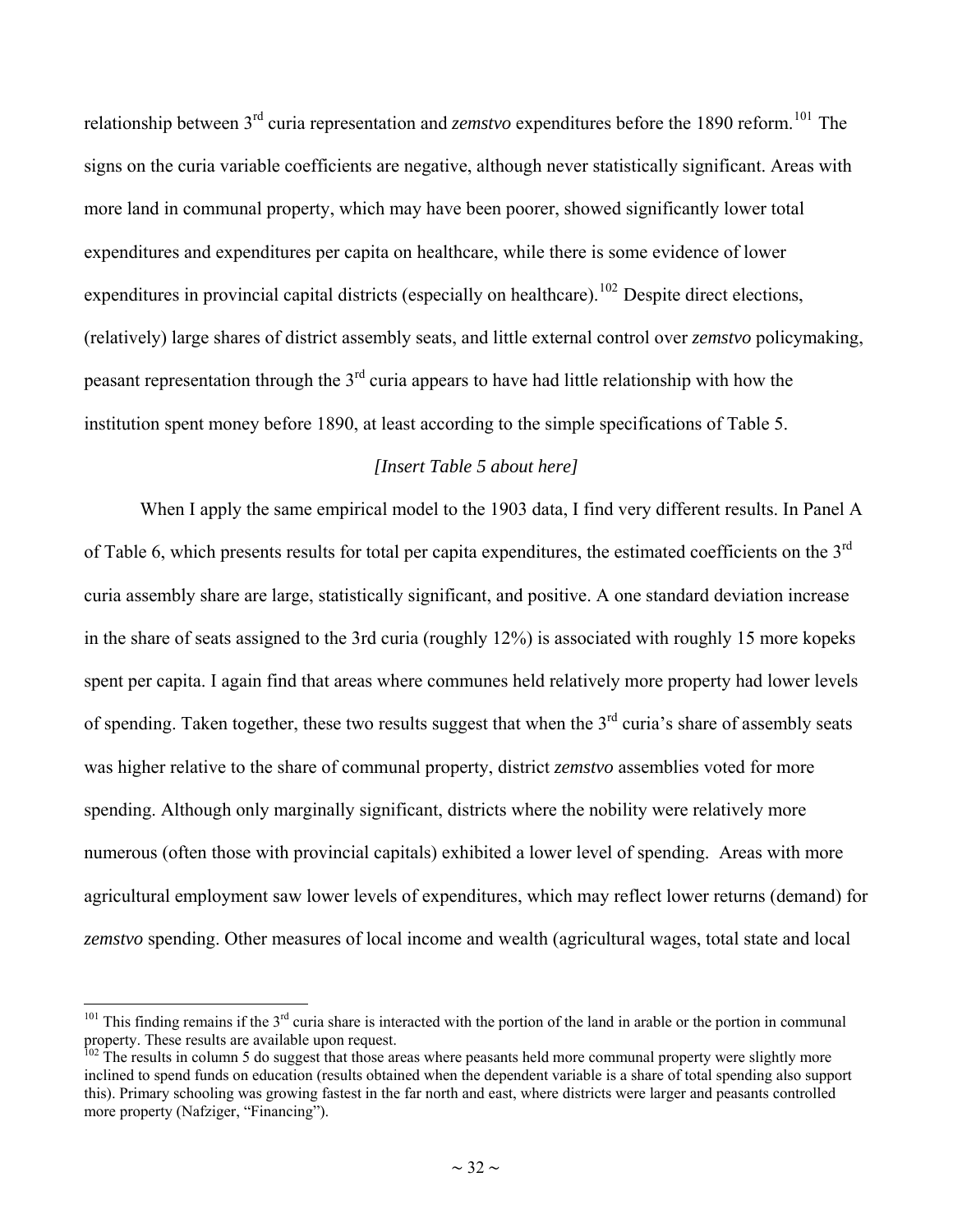<span id="page-31-0"></span>relationship between 3<sup>rd</sup> curia representation and *zemstvo* expenditures before the 1890 reform.<sup>[101](#page-31-0)</sup> The signs on the curia variable coefficients are negative, although never statistically significant. Areas with more land in communal property, which may have been poorer, showed significantly lower total expenditures and expenditures per capita on healthcare, while there is some evidence of lower expenditures in provincial capital districts (especially on healthcare).<sup>[102](#page-31-0)</sup> Despite direct elections, (relatively) large shares of district assembly seats, and little external control over *zemstvo* policymaking, peasant representation through the  $3<sup>rd</sup>$  curia appears to have had little relationship with how the institution spent money before 1890, at least according to the simple specifications of Table 5.

#### *[Insert Table 5 about here]*

When I apply the same empirical model to the 1903 data, I find very different results. In Panel A of Table 6, which presents results for total per capita expenditures, the estimated coefficients on the 3<sup>rd</sup> curia assembly share are large, statistically significant, and positive. A one standard deviation increase in the share of seats assigned to the 3rd curia (roughly 12%) is associated with roughly 15 more kopeks spent per capita. I again find that areas where communes held relatively more property had lower levels of spending. Taken together, these two results suggest that when the  $3<sup>rd</sup>$  curia's share of assembly seats was higher relative to the share of communal property, district *zemstvo* assemblies voted for more spending. Although only marginally significant, districts where the nobility were relatively more numerous (often those with provincial capitals) exhibited a lower level of spending. Areas with more agricultural employment saw lower levels of expenditures, which may reflect lower returns (demand) for *zemstvo* spending. Other measures of local income and wealth (agricultural wages, total state and local

 $101$  This finding remains if the  $3<sup>rd</sup>$  curia share is interacted with the portion of the land in arable or the portion in communal property. These results are available upon request.

 $102$  The results in column 5 do suggest that those areas where peasants held more communal property were slightly more inclined to spend funds on education (results obtained when the dependent variable is a share of total spending also support this). Primary schooling was growing fastest in the far north and east, where districts were larger and peasants controlled more property (Nafziger, "Financing").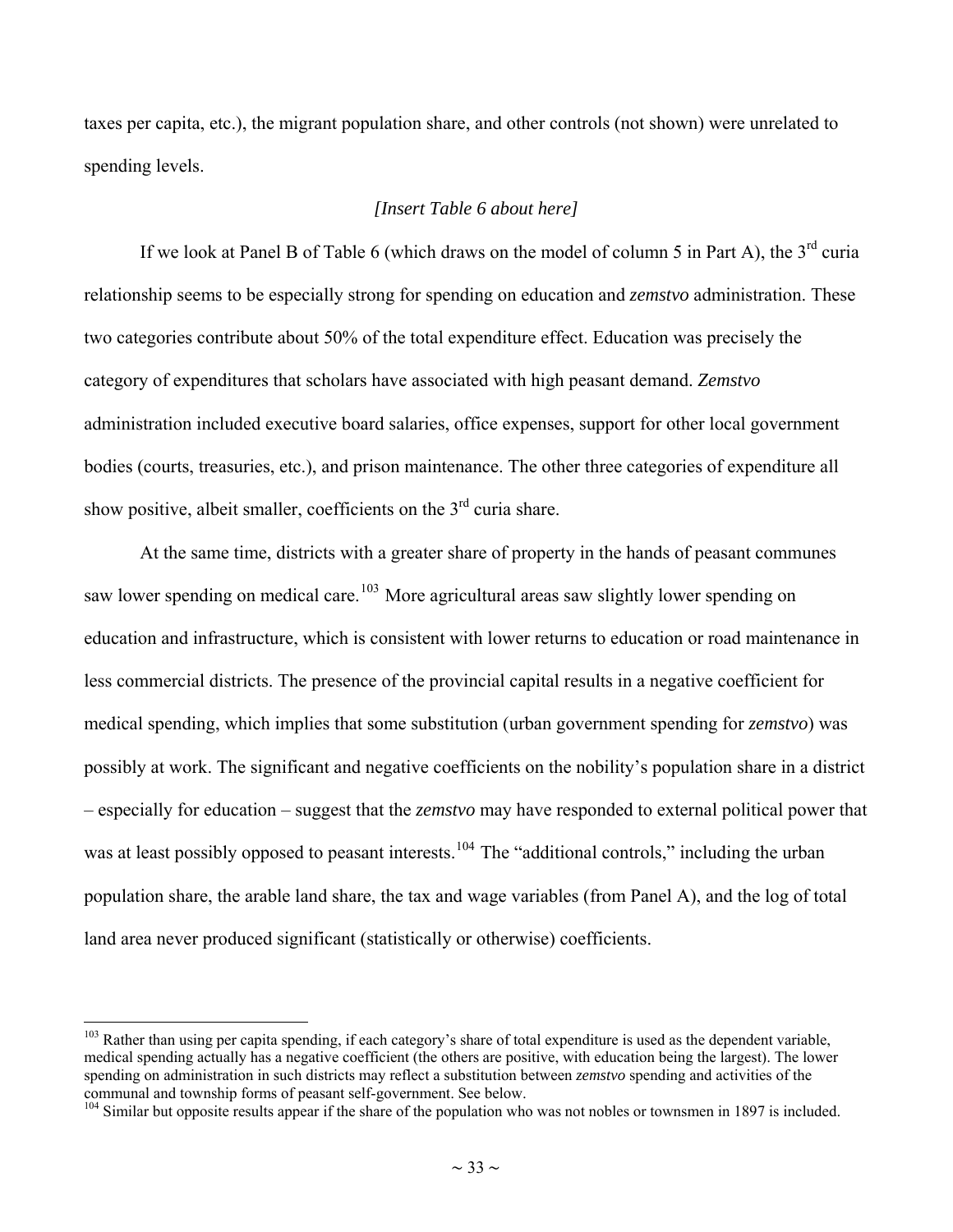<span id="page-32-0"></span>taxes per capita, etc.), the migrant population share, and other controls (not shown) were unrelated to spending levels.

#### *[Insert Table 6 about here]*

If we look at Panel B of Table 6 (which draws on the model of column 5 in Part A), the  $3^{rd}$  curia relationship seems to be especially strong for spending on education and *zemstvo* administration. These two categories contribute about 50% of the total expenditure effect. Education was precisely the category of expenditures that scholars have associated with high peasant demand. *Zemstvo* administration included executive board salaries, office expenses, support for other local government bodies (courts, treasuries, etc.), and prison maintenance. The other three categories of expenditure all show positive, albeit smaller, coefficients on the  $3<sup>rd</sup>$  curia share.

At the same time, districts with a greater share of property in the hands of peasant communes saw lower spending on medical care.<sup>[103](#page-32-0)</sup> More agricultural areas saw slightly lower spending on education and infrastructure, which is consistent with lower returns to education or road maintenance in less commercial districts. The presence of the provincial capital results in a negative coefficient for medical spending, which implies that some substitution (urban government spending for *zemstvo*) was possibly at work. The significant and negative coefficients on the nobility's population share in a district – especially for education – suggest that the *zemstvo* may have responded to external political power that was at least possibly opposed to peasant interests.<sup>[104](#page-32-0)</sup> The "additional controls," including the urban population share, the arable land share, the tax and wage variables (from Panel A), and the log of total land area never produced significant (statistically or otherwise) coefficients.

<sup>&</sup>lt;sup>103</sup> Rather than using per capita spending, if each category's share of total expenditure is used as the dependent variable, medical spending actually has a negative coefficient (the others are positive, with education being the largest). The lower spending on administration in such districts may reflect a substitution between *zemstvo* spending and activities of the communal and township forms of peasant self-government. See below.<br><sup>104</sup> Similar but opposite results appear if the share of the population who was not nobles or townsmen in 1897 is included.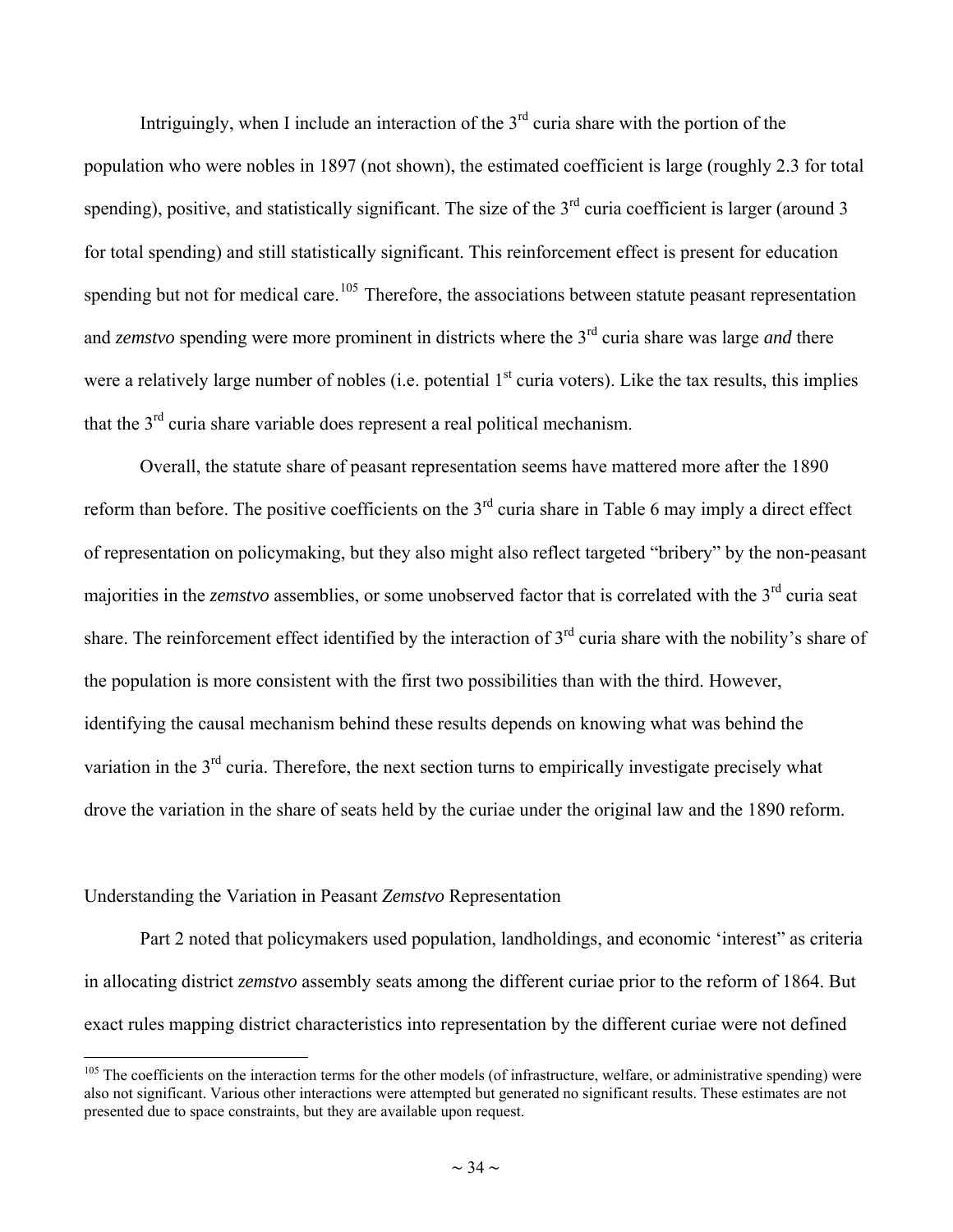<span id="page-33-0"></span>Intriguingly, when I include an interaction of the  $3<sup>rd</sup>$  curia share with the portion of the population who were nobles in 1897 (not shown), the estimated coefficient is large (roughly 2.3 for total spending), positive, and statistically significant. The size of the  $3<sup>rd</sup>$  curia coefficient is larger (around 3 for total spending) and still statistically significant. This reinforcement effect is present for education spending but not for medical care.<sup>[105](#page-33-0)</sup> Therefore, the associations between statute peasant representation and *zemstvo* spending were more prominent in districts where the 3<sup>rd</sup> curia share was large *and* there were a relatively large number of nobles (i.e. potential  $1<sup>st</sup>$  curia voters). Like the tax results, this implies that the  $3<sup>rd</sup>$  curia share variable does represent a real political mechanism.

Overall, the statute share of peasant representation seems have mattered more after the 1890 reform than before. The positive coefficients on the  $3<sup>rd</sup>$  curia share in Table 6 may imply a direct effect of representation on policymaking, but they also might also reflect targeted "bribery" by the non-peasant majorities in the *zemstvo* assemblies, or some unobserved factor that is correlated with the 3<sup>rd</sup> curia seat share. The reinforcement effect identified by the interaction of 3<sup>rd</sup> curia share with the nobility's share of the population is more consistent with the first two possibilities than with the third. However, identifying the causal mechanism behind these results depends on knowing what was behind the variation in the 3<sup>rd</sup> curia. Therefore, the next section turns to empirically investigate precisely what drove the variation in the share of seats held by the curiae under the original law and the 1890 reform.

#### Understanding the Variation in Peasant *Zemstvo* Representation

 $\overline{a}$ 

Part 2 noted that policymakers used population, landholdings, and economic 'interest" as criteria in allocating district *zemstvo* assembly seats among the different curiae prior to the reform of 1864. But exact rules mapping district characteristics into representation by the different curiae were not defined

 $105$  The coefficients on the interaction terms for the other models (of infrastructure, welfare, or administrative spending) were also not significant. Various other interactions were attempted but generated no significant results. These estimates are not presented due to space constraints, but they are available upon request.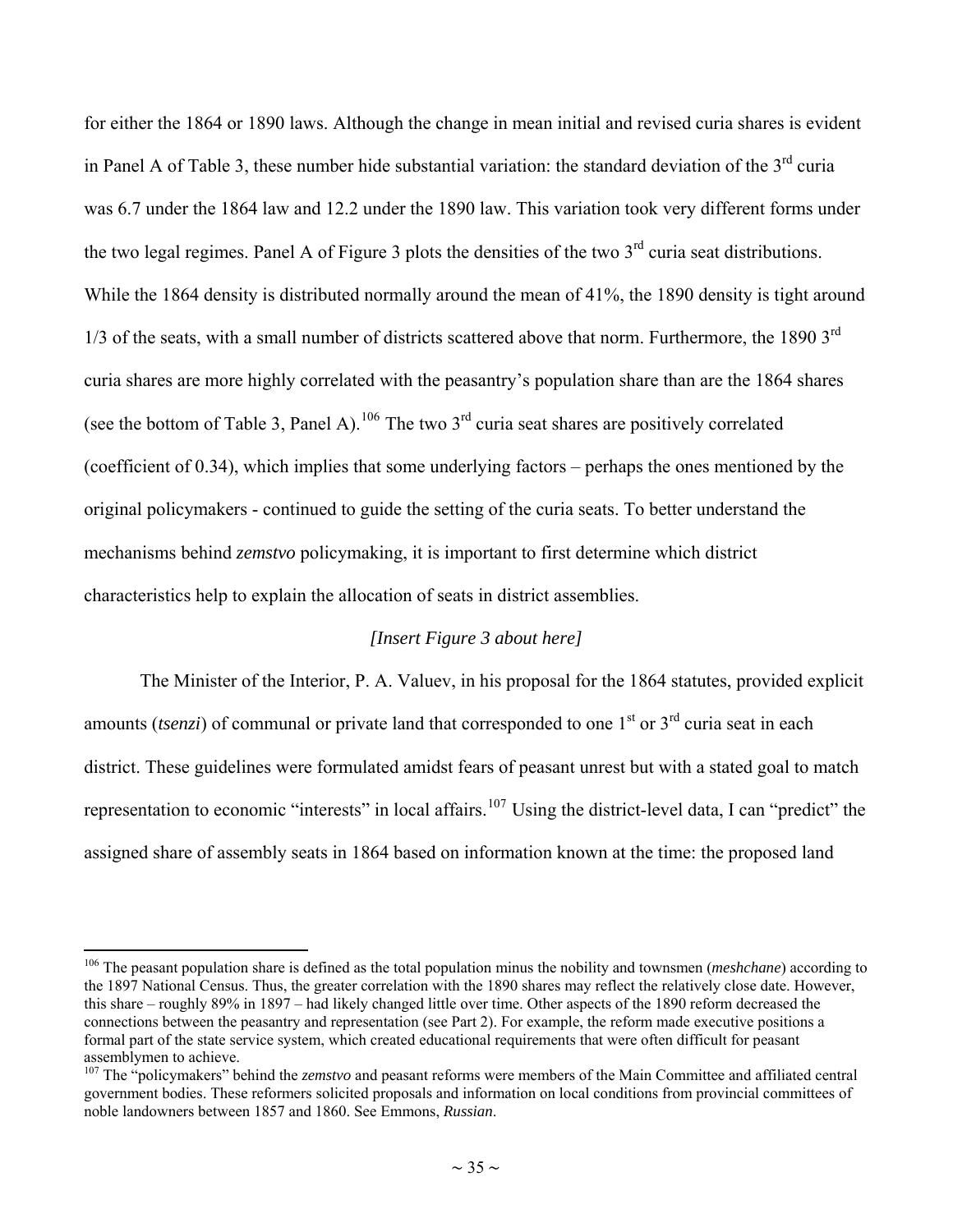<span id="page-34-0"></span>for either the 1864 or 1890 laws. Although the change in mean initial and revised curia shares is evident in Panel A of Table 3, these number hide substantial variation: the standard deviation of the  $3<sup>rd</sup>$  curia was 6.7 under the 1864 law and 12.2 under the 1890 law. This variation took very different forms under the two legal regimes. Panel A of Figure 3 plots the densities of the two  $3<sup>rd</sup>$  curia seat distributions. While the 1864 density is distributed normally around the mean of 41%, the 1890 density is tight around  $1/3$  of the seats, with a small number of districts scattered above that norm. Furthermore, the 1890  $3<sup>rd</sup>$ curia shares are more highly correlated with the peasantry's population share than are the 1864 shares (see the bottom of Table 3, Panel A).<sup>[106](#page-34-0)</sup> The two 3<sup>rd</sup> curia seat shares are positively correlated (coefficient of 0.34), which implies that some underlying factors – perhaps the ones mentioned by the original policymakers - continued to guide the setting of the curia seats. To better understand the mechanisms behind *zemstvo* policymaking, it is important to first determine which district characteristics help to explain the allocation of seats in district assemblies.

#### *[Insert Figure 3 about here]*

The Minister of the Interior, P. A. Valuev, in his proposal for the 1864 statutes, provided explicit amounts (*tsenzi*) of communal or private land that corresponded to one 1<sup>st</sup> or 3<sup>rd</sup> curia seat in each district. These guidelines were formulated amidst fears of peasant unrest but with a stated goal to match representation to economic "interests" in local affairs.<sup>[107](#page-34-0)</sup> Using the district-level data, I can "predict" the assigned share of assembly seats in 1864 based on information known at the time: the proposed land

<sup>106</sup> The peasant population share is defined as the total population minus the nobility and townsmen (*meshchane*) according to the 1897 National Census. Thus, the greater correlation with the 1890 shares may reflect the relatively close date. However, this share – roughly 89% in 1897 – had likely changed little over time. Other aspects of the 1890 reform decreased the connections between the peasantry and representation (see Part 2). For example, the reform made executive positions a formal part of the state service system, which created educational requirements that were often difficult for peasant assemblymen to achieve.

<sup>107</sup> The "policymakers" behind the *zemstvo* and peasant reforms were members of the Main Committee and affiliated central government bodies. These reformers solicited proposals and information on local conditions from provincial committees of noble landowners between 1857 and 1860. See Emmons, *Russian*.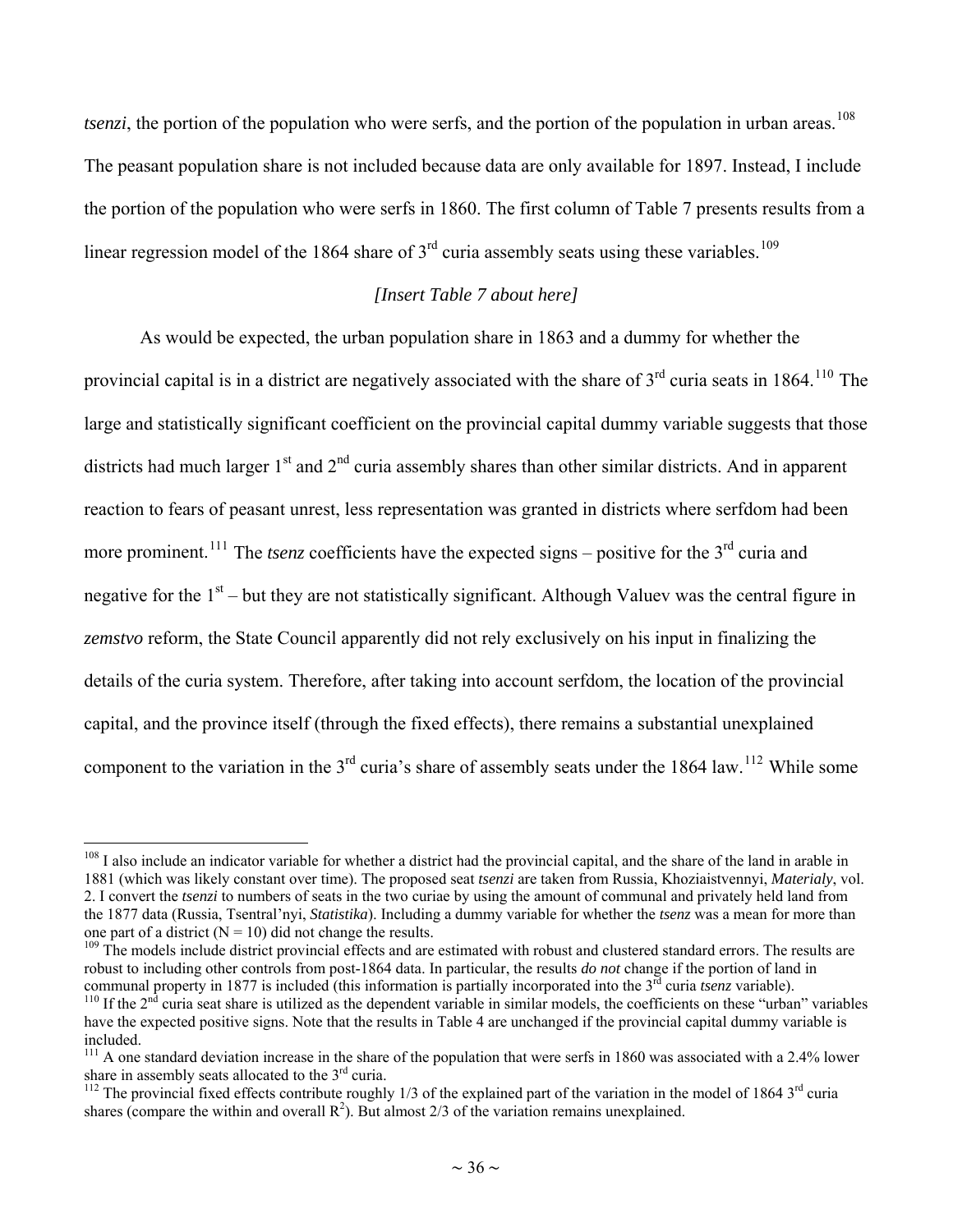<span id="page-35-0"></span>*tsenzi*, the portion of the population who were serfs, and the portion of the population in urban areas.<sup>[108](#page-35-0)</sup> The peasant population share is not included because data are only available for 1897. Instead, I include the portion of the population who were serfs in 1860. The first column of Table 7 presents results from a linear regression model of the 1864 share of  $3<sup>rd</sup>$  curia assembly seats using these variables.<sup>[109](#page-35-0)</sup>

#### *[Insert Table 7 about here]*

As would be expected, the urban population share in 1863 and a dummy for whether the provincial capital is in a district are negatively associated with the share of  $3<sup>rd</sup>$  curia seats in 1864.<sup>[110](#page-35-0)</sup> The large and statistically significant coefficient on the provincial capital dummy variable suggests that those districts had much larger  $1<sup>st</sup>$  and  $2<sup>nd</sup>$  curia assembly shares than other similar districts. And in apparent reaction to fears of peasant unrest, less representation was granted in districts where serfdom had been more prominent.<sup>[111](#page-35-0)</sup> The *tsenz* coefficients have the expected signs – positive for the 3<sup>rd</sup> curia and negative for the  $1<sup>st</sup>$  – but they are not statistically significant. Although Valuev was the central figure in *zemstvo* reform, the State Council apparently did not rely exclusively on his input in finalizing the details of the curia system. Therefore, after taking into account serfdom, the location of the provincial capital, and the province itself (through the fixed effects), there remains a substantial unexplained component to the variation in the  $3<sup>rd</sup>$  curia's share of assembly seats under the 1864 law.<sup>[112](#page-35-0)</sup> While some

 $108$  I also include an indicator variable for whether a district had the provincial capital, and the share of the land in arable in 1881 (which was likely constant over time). The proposed seat *tsenzi* are taken from Russia, Khoziaistvennyi, *Materialy*, vol. 2. I convert the *tsenzi* to numbers of seats in the two curiae by using the amount of communal and privately held land from the 1877 data (Russia, Tsentral'nyi, *Statistika*). Including a dummy variable for whether the *tsenz* was a mean for more than one part of a district  $(N = 10)$  did not change the results.

<sup>&</sup>lt;sup>109</sup> The models include district provincial effects and are estimated with robust and clustered standard errors. The results are robust to including other controls from post-1864 data. In particular, the results *do not* change if the portion of land in communal property in 1877 is included (this information is partially incorporated into the 3<sup>rd</sup>

 $^{110}$  If the  $2<sup>nd</sup>$  curia seat share is utilized as the dependent variable in similar models, the coefficients on these "urban" variables have the expected positive signs. Note that the results in Table 4 are unchanged if the provincial capital dummy variable is included.

<sup>&</sup>lt;sup>111</sup> A one standard deviation increase in the share of the population that were serfs in 1860 was associated with a 2.4% lower share in assembly seats allocated to the  $3<sup>rd</sup>$  curia.

<sup>&</sup>lt;sup>112</sup> The provincial fixed effects contribute roughly  $1/3$  of the explained part of the variation in the model of 1864  $3<sup>rd</sup>$  curia shares (compare the within and overall  $\mathbb{R}^2$ ). But almost 2/3 of the variation remains unexplained.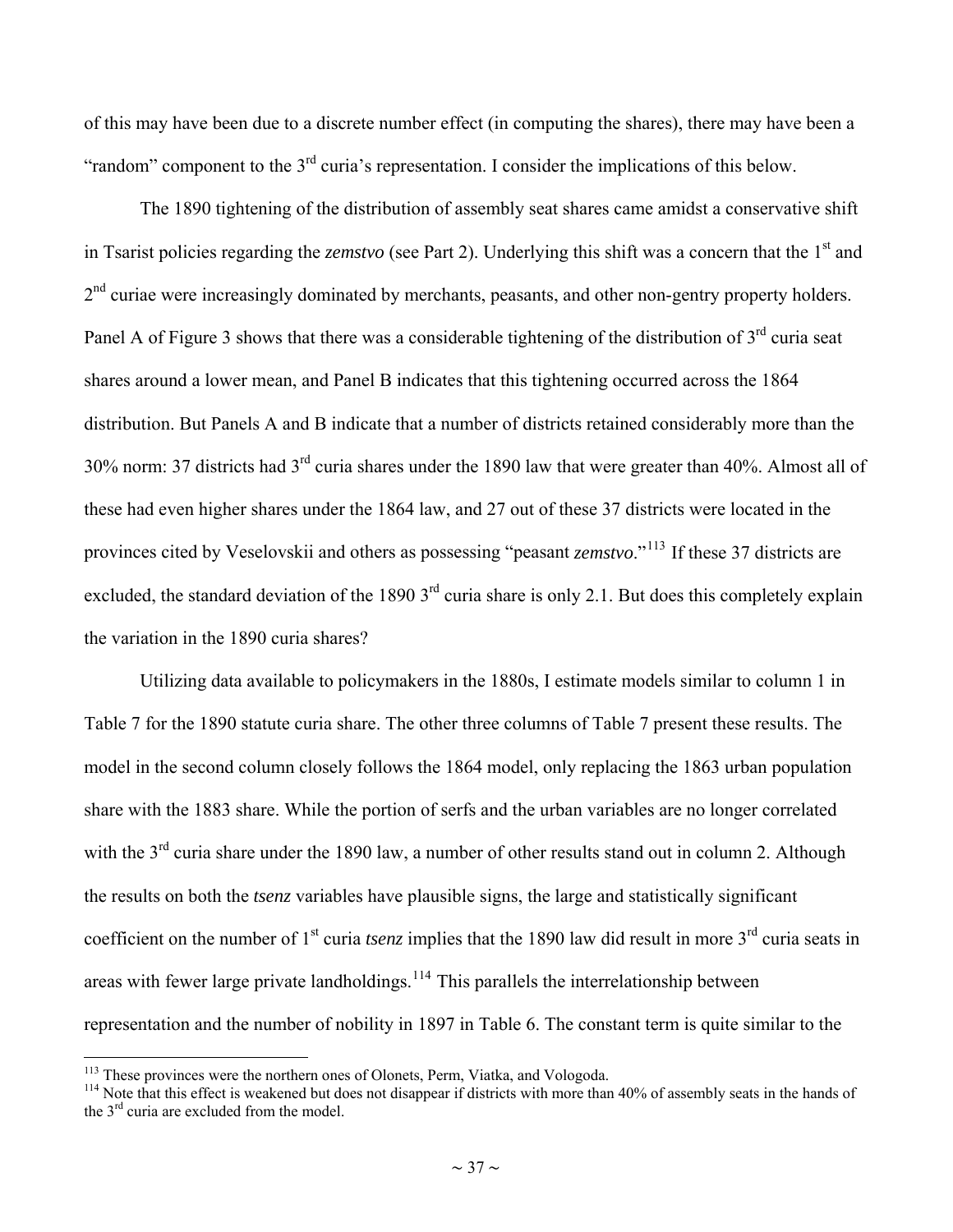<span id="page-36-0"></span>of this may have been due to a discrete number effect (in computing the shares), there may have been a "random" component to the  $3<sup>rd</sup>$  curia's representation. I consider the implications of this below.

The 1890 tightening of the distribution of assembly seat shares came amidst a conservative shift in Tsarist policies regarding the *zemstvo* (see Part 2). Underlying this shift was a concern that the 1<sup>st</sup> and  $2<sup>nd</sup>$  curiae were increasingly dominated by merchants, peasants, and other non-gentry property holders. Panel A of Figure 3 shows that there was a considerable tightening of the distribution of  $3<sup>rd</sup>$  curia seat shares around a lower mean, and Panel B indicates that this tightening occurred across the 1864 distribution. But Panels A and B indicate that a number of districts retained considerably more than the 30% norm: 37 districts had 3rd curia shares under the 1890 law that were greater than 40%. Almost all of these had even higher shares under the 1864 law, and 27 out of these 37 districts were located in the provinces cited by Veselovskii and others as possessing "peasant *zemstvo*."[113](#page-36-0) If these 37 districts are excluded, the standard deviation of the 1890  $3<sup>rd</sup>$  curia share is only 2.1. But does this completely explain the variation in the 1890 curia shares?

Utilizing data available to policymakers in the 1880s, I estimate models similar to column 1 in Table 7 for the 1890 statute curia share. The other three columns of Table 7 present these results. The model in the second column closely follows the 1864 model, only replacing the 1863 urban population share with the 1883 share. While the portion of serfs and the urban variables are no longer correlated with the 3<sup>rd</sup> curia share under the 1890 law, a number of other results stand out in column 2. Although the results on both the *tsenz* variables have plausible signs, the large and statistically significant coefficient on the number of  $1<sup>st</sup>$  curia *tsenz* implies that the 1890 law did result in more  $3<sup>rd</sup>$  curia seats in areas with fewer large private landholdings.<sup>[114](#page-36-0)</sup> This parallels the interrelationship between representation and the number of nobility in 1897 in Table 6. The constant term is quite similar to the

<sup>&</sup>lt;sup>113</sup> These provinces were the northern ones of Olonets, Perm, Viatka, and Vologoda.

 $114$  Note that this effect is weakened but does not disappear if districts with more than 40% of assembly seats in the hands of the 3<sup>rd</sup> curia are excluded from the model.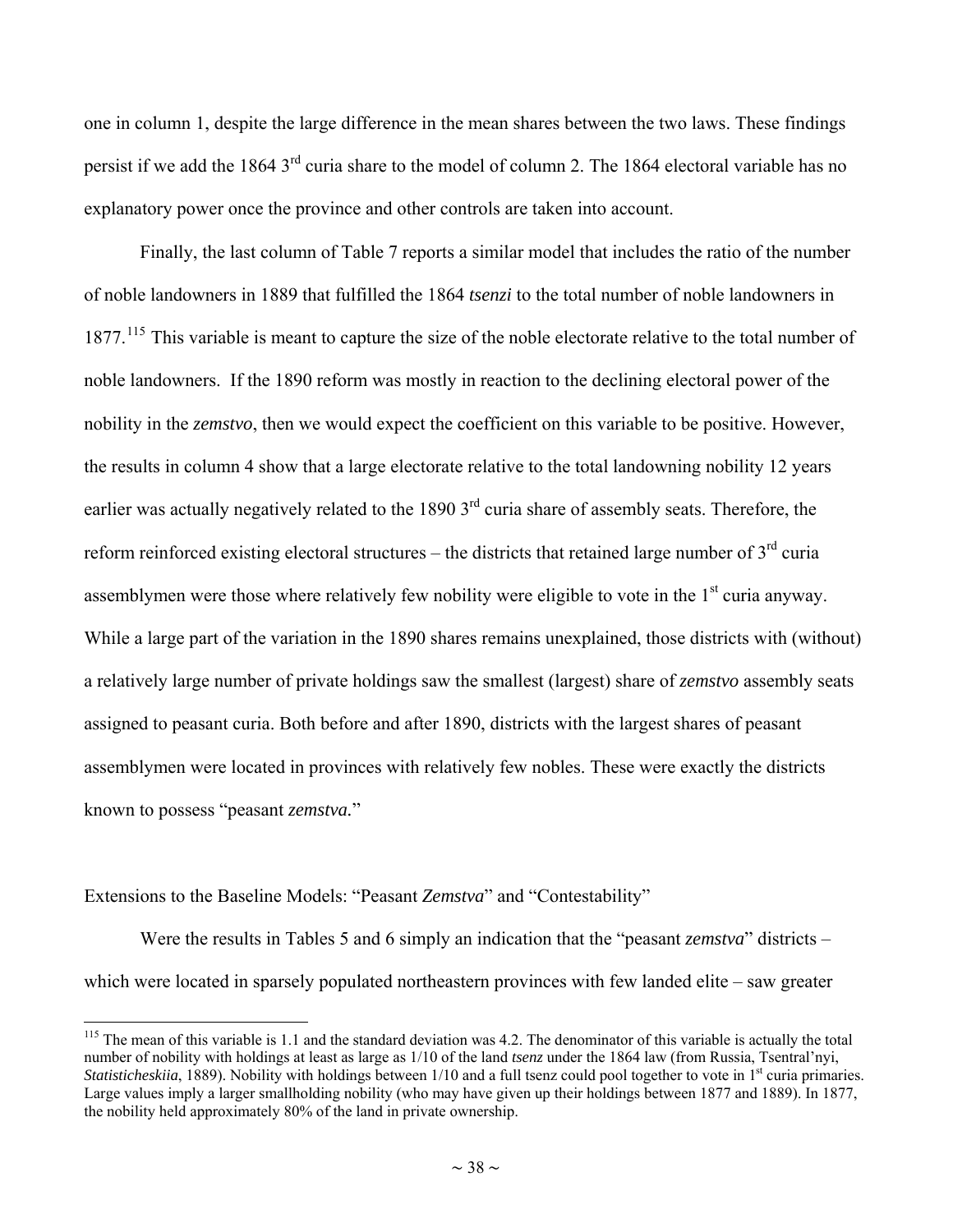<span id="page-37-0"></span>one in column 1, despite the large difference in the mean shares between the two laws. These findings persist if we add the 1864 3rd curia share to the model of column 2. The 1864 electoral variable has no explanatory power once the province and other controls are taken into account.

Finally, the last column of Table 7 reports a similar model that includes the ratio of the number of noble landowners in 1889 that fulfilled the 1864 *tsenzi* to the total number of noble landowners in 1877.<sup>[115](#page-37-0)</sup> This variable is meant to capture the size of the noble electorate relative to the total number of noble landowners. If the 1890 reform was mostly in reaction to the declining electoral power of the nobility in the *zemstvo*, then we would expect the coefficient on this variable to be positive. However, the results in column 4 show that a large electorate relative to the total landowning nobility 12 years earlier was actually negatively related to the 1890 3<sup>rd</sup> curia share of assembly seats. Therefore, the reform reinforced existing electoral structures – the districts that retained large number of  $3<sup>rd</sup>$  curia assemblymen were those where relatively few nobility were eligible to vote in the 1<sup>st</sup> curia anyway. While a large part of the variation in the 1890 shares remains unexplained, those districts with (without) a relatively large number of private holdings saw the smallest (largest) share of *zemstvo* assembly seats assigned to peasant curia. Both before and after 1890, districts with the largest shares of peasant assemblymen were located in provinces with relatively few nobles. These were exactly the districts known to possess "peasant *zemstva.*"

#### Extensions to the Baseline Models: "Peasant *Zemstva*" and "Contestability"

 $\overline{a}$ 

Were the results in Tables 5 and 6 simply an indication that the "peasant *zemstva*" districts – which were located in sparsely populated northeastern provinces with few landed elite – saw greater

<sup>&</sup>lt;sup>115</sup> The mean of this variable is 1.1 and the standard deviation was 4.2. The denominator of this variable is actually the total number of nobility with holdings at least as large as 1/10 of the land *tsenz* under the 1864 law (from Russia, Tsentral'nyi, *Statisticheskiia*, 1889). Nobility with holdings between 1/10 and a full tsenz could pool together to vote in 1<sup>st</sup> curia primaries. Large values imply a larger smallholding nobility (who may have given up their holdings between 1877 and 1889). In 1877, the nobility held approximately 80% of the land in private ownership.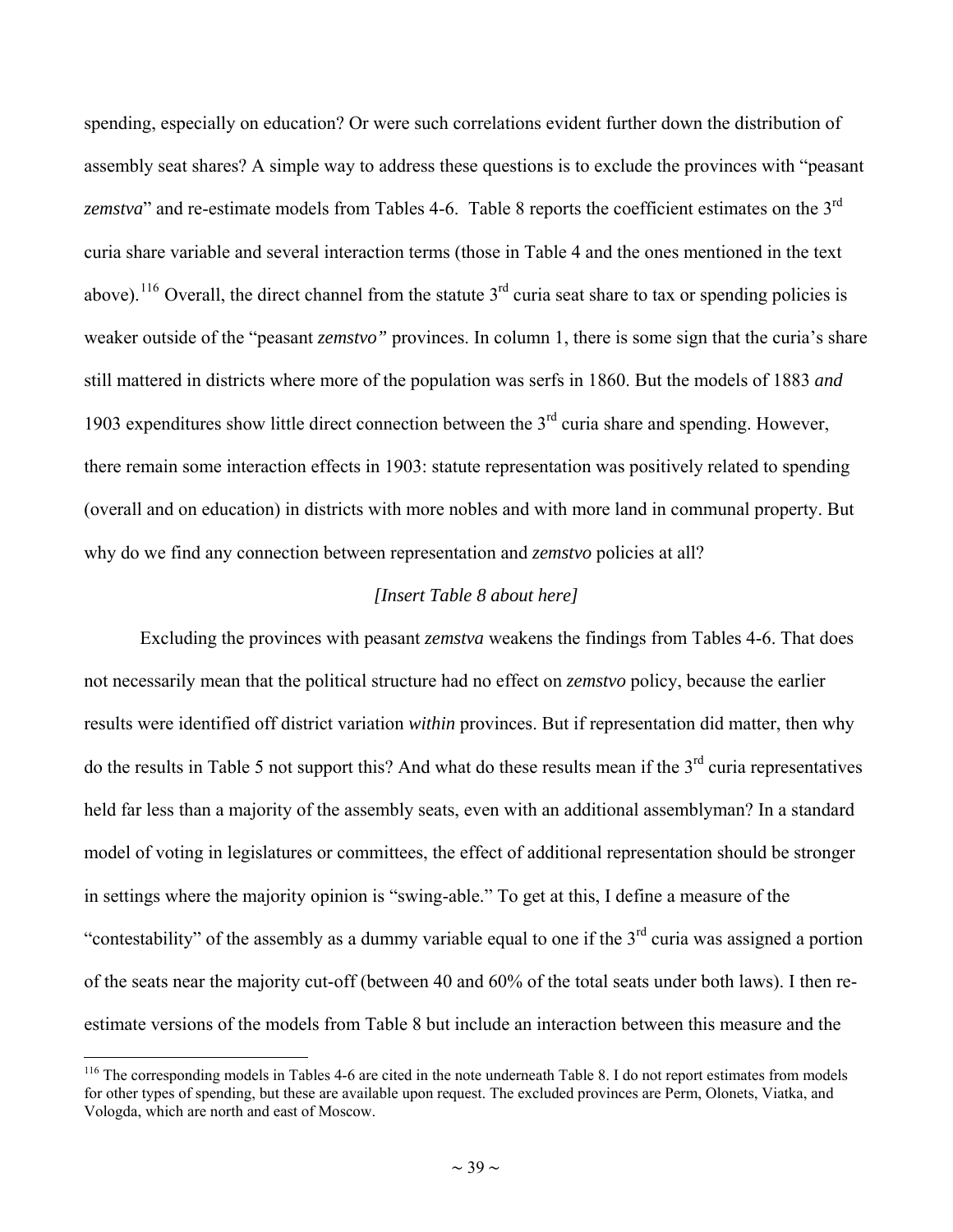<span id="page-38-0"></span>spending, especially on education? Or were such correlations evident further down the distribution of assembly seat shares? A simple way to address these questions is to exclude the provinces with "peasant zemstva" and re-estimate models from Tables 4-6. Table 8 reports the coefficient estimates on the 3<sup>rd</sup> curia share variable and several interaction terms (those in Table 4 and the ones mentioned in the text above).<sup>[116](#page-38-0)</sup> Overall, the direct channel from the statute  $3<sup>rd</sup>$  curia seat share to tax or spending policies is weaker outside of the "peasant *zemstvo*" provinces. In column 1, there is some sign that the curia's share still mattered in districts where more of the population was serfs in 1860. But the models of 1883 *and* 1903 expenditures show little direct connection between the  $3<sup>rd</sup>$  curia share and spending. However, there remain some interaction effects in 1903: statute representation was positively related to spending (overall and on education) in districts with more nobles and with more land in communal property. But why do we find any connection between representation and *zemstvo* policies at all?

#### *[Insert Table 8 about here]*

Excluding the provinces with peasant *zemstva* weakens the findings from Tables 4-6. That does not necessarily mean that the political structure had no effect on *zemstvo* policy, because the earlier results were identified off district variation *within* provinces. But if representation did matter, then why do the results in Table 5 not support this? And what do these results mean if the 3rd curia representatives held far less than a majority of the assembly seats, even with an additional assemblyman? In a standard model of voting in legislatures or committees, the effect of additional representation should be stronger in settings where the majority opinion is "swing-able." To get at this, I define a measure of the "contestability" of the assembly as a dummy variable equal to one if the  $3<sup>rd</sup>$  curia was assigned a portion of the seats near the majority cut-off (between 40 and 60% of the total seats under both laws). I then reestimate versions of the models from Table 8 but include an interaction between this measure and the

<sup>&</sup>lt;sup>116</sup> The corresponding models in Tables 4-6 are cited in the note underneath Table 8. I do not report estimates from models for other types of spending, but these are available upon request. The excluded provinces are Perm, Olonets, Viatka, and Vologda, which are north and east of Moscow.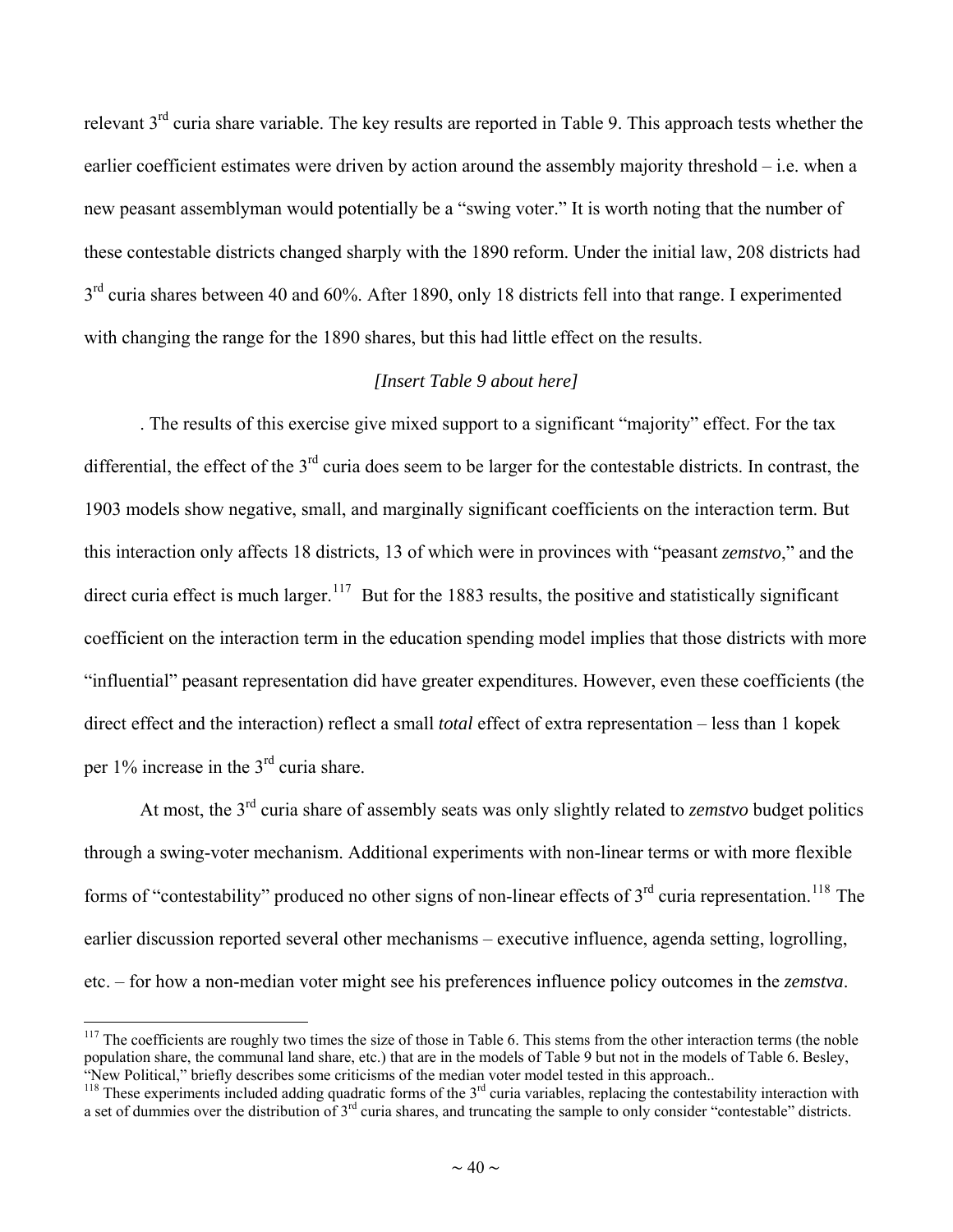<span id="page-39-0"></span>relevant 3<sup>rd</sup> curia share variable. The key results are reported in Table 9. This approach tests whether the earlier coefficient estimates were driven by action around the assembly majority threshold – i.e. when a new peasant assemblyman would potentially be a "swing voter." It is worth noting that the number of these contestable districts changed sharply with the 1890 reform. Under the initial law, 208 districts had  $3<sup>rd</sup>$  curia shares between 40 and 60%. After 1890, only 18 districts fell into that range. I experimented with changing the range for the 1890 shares, but this had little effect on the results.

#### *[Insert Table 9 about here]*

. The results of this exercise give mixed support to a significant "majority" effect. For the tax differential, the effect of the  $3<sup>rd</sup>$  curia does seem to be larger for the contestable districts. In contrast, the 1903 models show negative, small, and marginally significant coefficients on the interaction term. But this interaction only affects 18 districts, 13 of which were in provinces with "peasant *zemstvo*," and the direct curia effect is much larger.<sup>[117](#page-39-0)</sup> But for the 1883 results, the positive and statistically significant coefficient on the interaction term in the education spending model implies that those districts with more "influential" peasant representation did have greater expenditures. However, even these coefficients (the direct effect and the interaction) reflect a small *total* effect of extra representation – less than 1 kopek per 1% increase in the 3rd curia share.

At most, the 3rd curia share of assembly seats was only slightly related to *zemstvo* budget politics through a swing-voter mechanism. Additional experiments with non-linear terms or with more flexible forms of "contestability" produced no other signs of non-linear effects of  $3<sup>rd</sup>$  curia representation.<sup>[118](#page-39-0)</sup> The earlier discussion reported several other mechanisms – executive influence, agenda setting, logrolling, etc. – for how a non-median voter might see his preferences influence policy outcomes in the *zemstva*.

 $117$  The coefficients are roughly two times the size of those in Table 6. This stems from the other interaction terms (the noble population share, the communal land share, etc.) that are in the models of Table 9 but not in the models of Table 6. Besley, "New Political," briefly describes some criticisms of the median voter model tested in this approach..

<sup>&</sup>lt;sup>118</sup> These experiments included adding quadratic forms of the  $3<sup>rd</sup>$  curia variables, replacing the contestability interaction with a set of dummies over the distribution of 3<sup>rd</sup> curia shares, and truncating the sample to only consider "contestable" districts.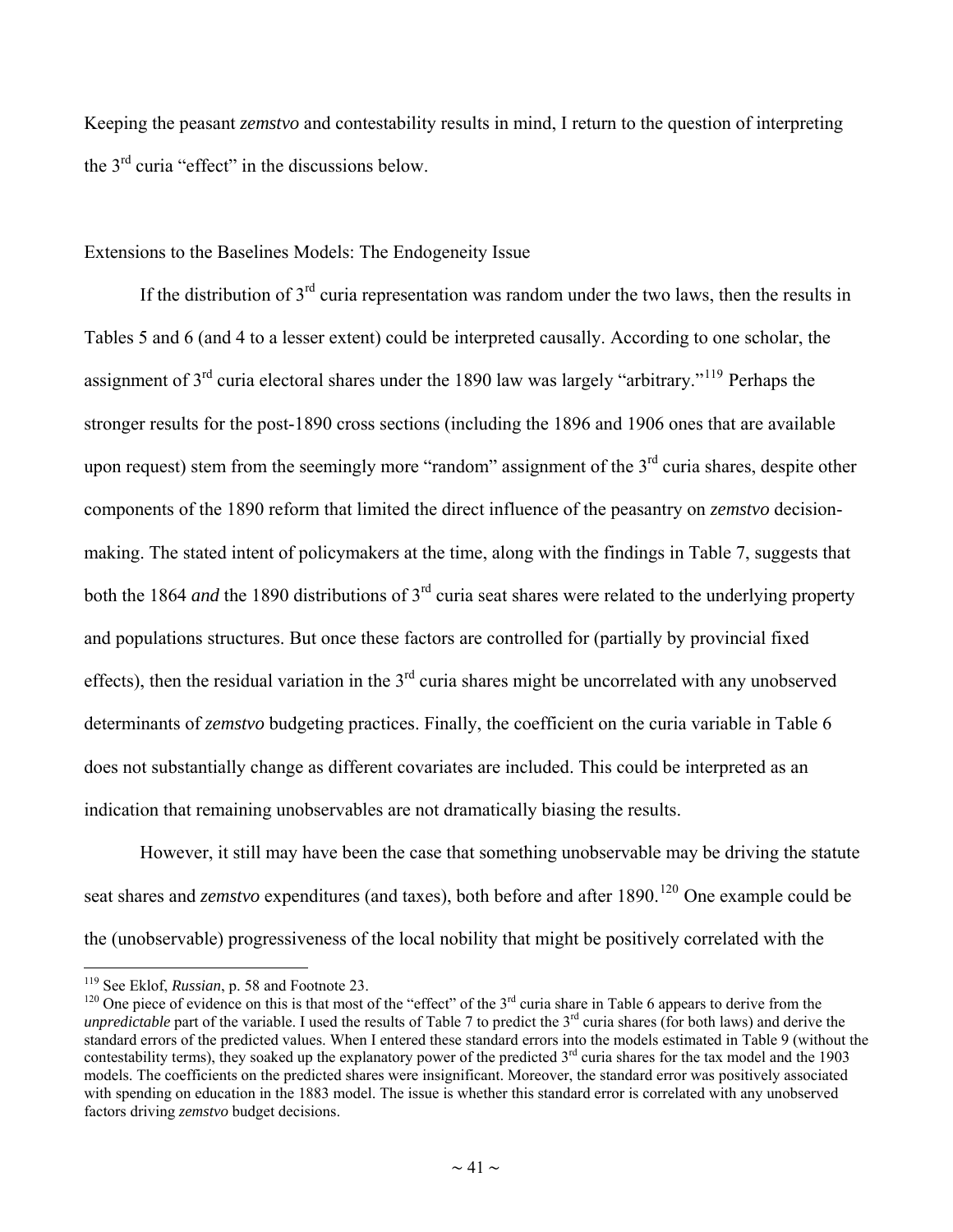<span id="page-40-0"></span>Keeping the peasant *zemstvo* and contestability results in mind, I return to the question of interpreting the 3rd curia "effect" in the discussions below.

#### Extensions to the Baselines Models: The Endogeneity Issue

If the distribution of  $3<sup>rd</sup>$  curia representation was random under the two laws, then the results in Tables 5 and 6 (and 4 to a lesser extent) could be interpreted causally. According to one scholar, the assignment of 3rd curia electoral shares under the 1890 law was largely "arbitrary."[119](#page-40-0) Perhaps the stronger results for the post-1890 cross sections (including the 1896 and 1906 ones that are available upon request) stem from the seemingly more "random" assignment of the  $3<sup>rd</sup>$  curia shares, despite other components of the 1890 reform that limited the direct influence of the peasantry on *zemstvo* decisionmaking. The stated intent of policymakers at the time, along with the findings in Table 7, suggests that both the 1864 *and* the 1890 distributions of 3rd curia seat shares were related to the underlying property and populations structures. But once these factors are controlled for (partially by provincial fixed effects), then the residual variation in the  $3<sup>rd</sup>$  curia shares might be uncorrelated with any unobserved determinants of *zemstvo* budgeting practices. Finally, the coefficient on the curia variable in Table 6 does not substantially change as different covariates are included. This could be interpreted as an indication that remaining unobservables are not dramatically biasing the results.

However, it still may have been the case that something unobservable may be driving the statute seat shares and *zemstvo* expenditures (and taxes), both before and after 1890.<sup>[120](#page-40-0)</sup> One example could be the (unobservable) progressiveness of the local nobility that might be positively correlated with the

<sup>&</sup>lt;sup>119</sup> See Eklof, *Russian*, p. 58 and Footnote 23.

<sup>&</sup>lt;sup>120</sup> One piece of evidence on this is that most of the "effect" of the 3<sup>rd</sup> curia share in Table 6 appears to derive from the *unpredictable* part of the variable. I used the results of Table 7 to predict the  $3<sup>rd</sup>$  curia shares (for both laws) and derive the standard errors of the predicted values. When I entered these standard errors into the models estimated in Table 9 (without the contestability terms), they soaked up the explanatory power of the predicted 3<sup>rd</sup> curia shares for the tax model and the 1903 models. The coefficients on the predicted shares were insignificant. Moreover, the standard error was positively associated with spending on education in the 1883 model. The issue is whether this standard error is correlated with any unobserved factors driving *zemstvo* budget decisions.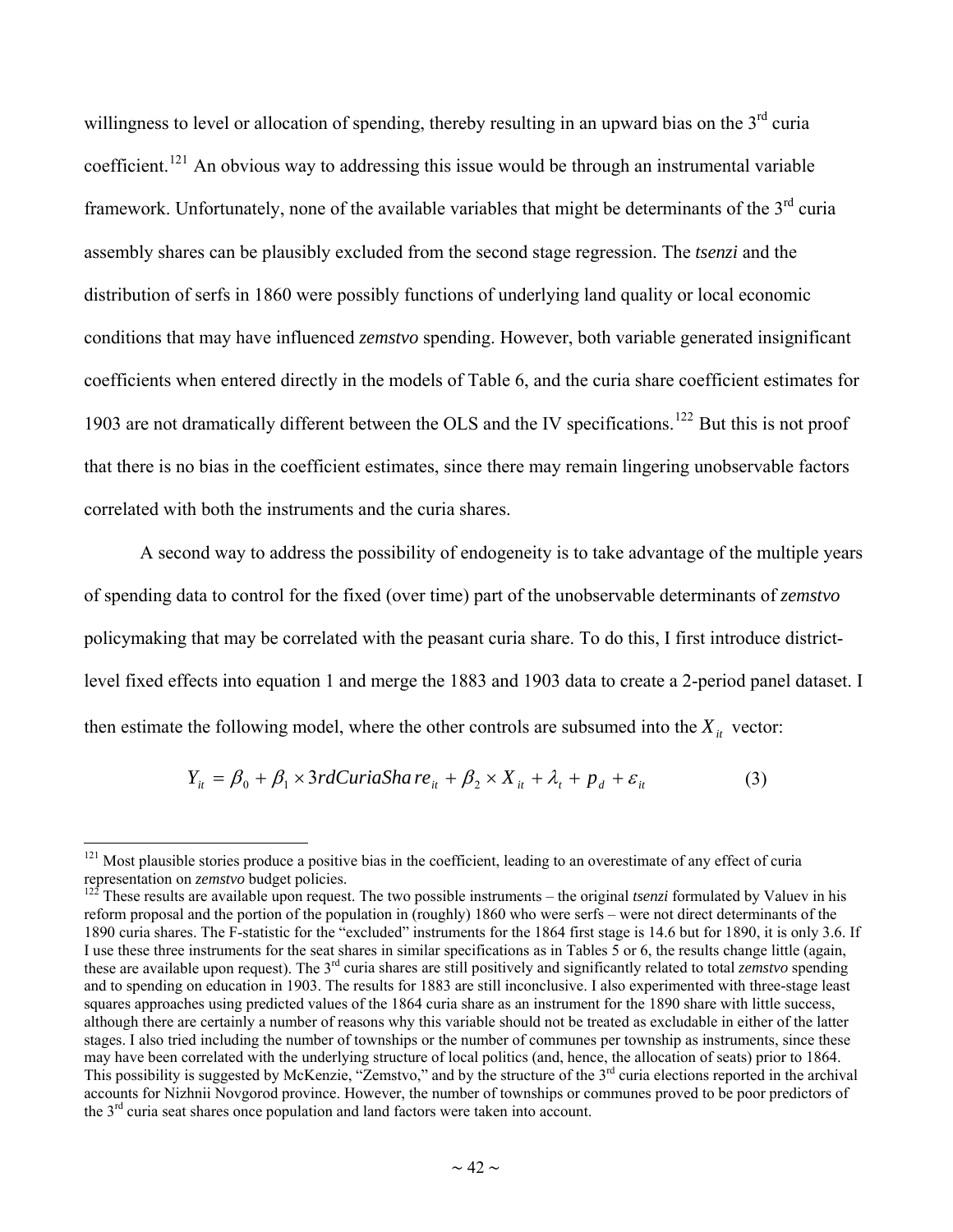<span id="page-41-0"></span>willingness to level or allocation of spending, thereby resulting in an upward bias on the 3<sup>rd</sup> curia coefficient.<sup>[121](#page-41-0)</sup> An obvious way to addressing this issue would be through an instrumental variable framework. Unfortunately, none of the available variables that might be determinants of the  $3<sup>rd</sup>$  curia assembly shares can be plausibly excluded from the second stage regression. The *tsenzi* and the distribution of serfs in 1860 were possibly functions of underlying land quality or local economic conditions that may have influenced *zemstvo* spending. However, both variable generated insignificant coefficients when entered directly in the models of Table 6, and the curia share coefficient estimates for 1903 are not dramatically different between the OLS and the IV specifications.<sup>[122](#page-41-0)</sup> But this is not proof that there is no bias in the coefficient estimates, since there may remain lingering unobservable factors correlated with both the instruments and the curia shares.

A second way to address the possibility of endogeneity is to take advantage of the multiple years of spending data to control for the fixed (over time) part of the unobservable determinants of *zemstvo*  policymaking that may be correlated with the peasant curia share. To do this, I first introduce districtlevel fixed effects into equation 1 and merge the 1883 and 1903 data to create a 2-period panel dataset. I then estimate the following model, where the other controls are subsumed into the  $X_i$  vector:

$$
Y_{it} = \beta_0 + \beta_1 \times 3rdCuriaSha \, re_{it} + \beta_2 \times X_{it} + \lambda_t + p_d + \varepsilon_{it} \tag{3}
$$

 $121$  Most plausible stories produce a positive bias in the coefficient, leading to an overestimate of any effect of curia representation on *zemstvo* budget policies.<br><sup>122</sup> These *xx* = <sup>1</sup>'

<sup>122</sup> These results are available upon request. The two possible instruments – the original *tsenzi* formulated by Valuev in his reform proposal and the portion of the population in (roughly) 1860 who were serfs – were not direct determinants of the 1890 curia shares. The F-statistic for the "excluded" instruments for the 1864 first stage is 14.6 but for 1890, it is only 3.6. If I use these three instruments for the seat shares in similar specifications as in Tables 5 or 6, the results change little (again, these are available upon request). The 3rd curia shares are still positively and significantly related to total *zemstvo* spending and to spending on education in 1903. The results for 1883 are still inconclusive. I also experimented with three-stage least squares approaches using predicted values of the 1864 curia share as an instrument for the 1890 share with little success, although there are certainly a number of reasons why this variable should not be treated as excludable in either of the latter stages. I also tried including the number of townships or the number of communes per township as instruments, since these may have been correlated with the underlying structure of local politics (and, hence, the allocation of seats) prior to 1864. This possibility is suggested by McKenzie, "Zemstvo," and by the structure of the  $3<sup>rd</sup>$  curia elections reported in the archival accounts for Nizhnii Novgorod province. However, the number of townships or communes proved to be poor predictors of the 3rd curia seat shares once population and land factors were taken into account.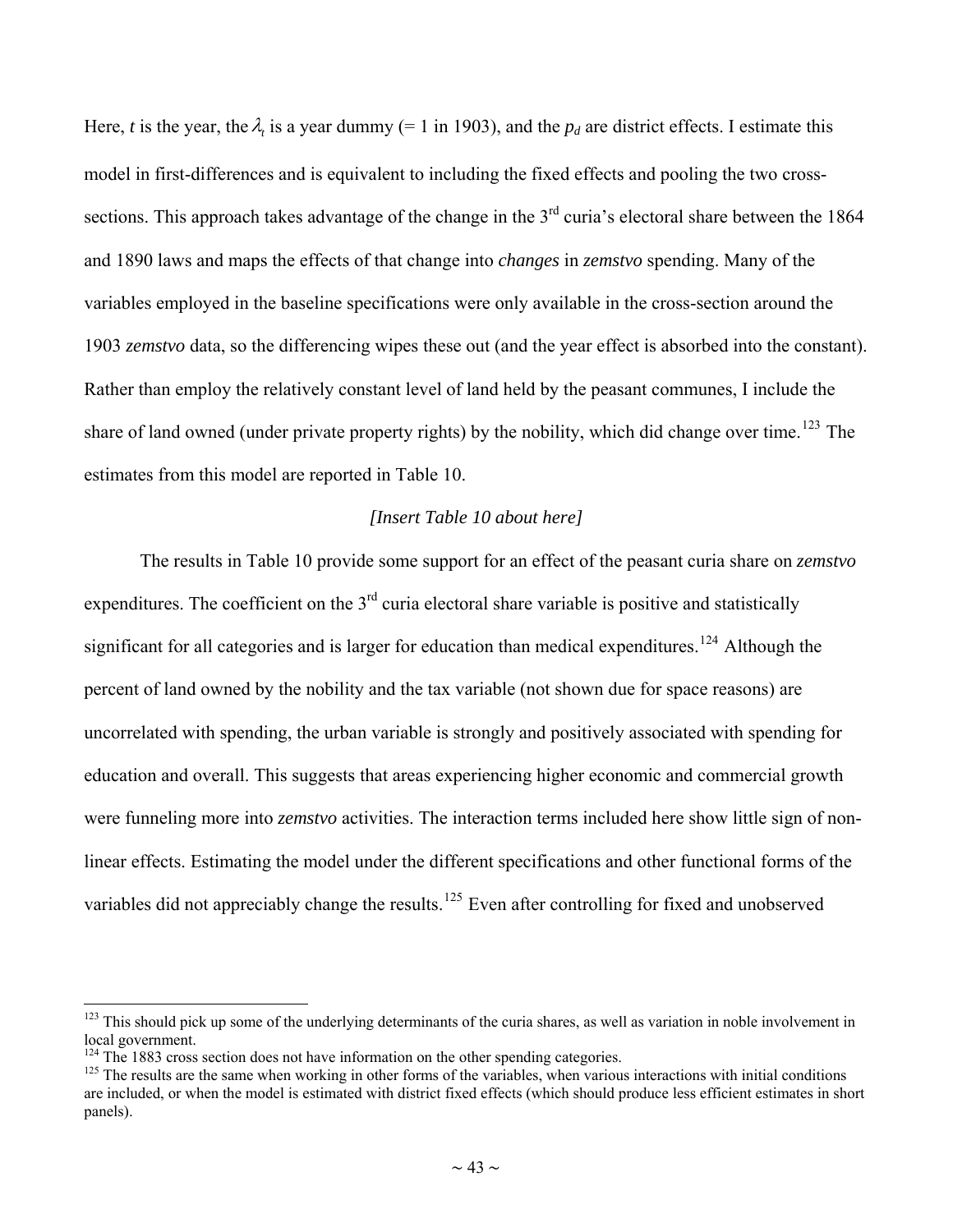<span id="page-42-0"></span>Here, *t* is the year, the  $\lambda$ , is a year dummy (= 1 in 1903), and the  $p_d$  are district effects. I estimate this model in first-differences and is equivalent to including the fixed effects and pooling the two crosssections. This approach takes advantage of the change in the  $3<sup>rd</sup>$  curia's electoral share between the 1864 and 1890 laws and maps the effects of that change into *changes* in *zemstvo* spending. Many of the variables employed in the baseline specifications were only available in the cross-section around the 1903 *zemstvo* data, so the differencing wipes these out (and the year effect is absorbed into the constant). Rather than employ the relatively constant level of land held by the peasant communes, I include the share of land owned (under private property rights) by the nobility, which did change over time.<sup>[123](#page-42-0)</sup> The estimates from this model are reported in Table 10.

#### *[Insert Table 10 about here]*

 The results in Table 10 provide some support for an effect of the peasant curia share on *zemstvo* expenditures. The coefficient on the  $3<sup>rd</sup>$  curia electoral share variable is positive and statistically significant for all categories and is larger for education than medical expenditures.<sup>[124](#page-42-0)</sup> Although the percent of land owned by the nobility and the tax variable (not shown due for space reasons) are uncorrelated with spending, the urban variable is strongly and positively associated with spending for education and overall. This suggests that areas experiencing higher economic and commercial growth were funneling more into *zemstvo* activities. The interaction terms included here show little sign of nonlinear effects. Estimating the model under the different specifications and other functional forms of the variables did not appreciably change the results.<sup>[125](#page-42-0)</sup> Even after controlling for fixed and unobserved

 $123$  This should pick up some of the underlying determinants of the curia shares, as well as variation in noble involvement in local government.

 $124$  The 1883 cross section does not have information on the other spending categories.

 $125$  The results are the same when working in other forms of the variables, when various interactions with initial conditions are included, or when the model is estimated with district fixed effects (which should produce less efficient estimates in short panels).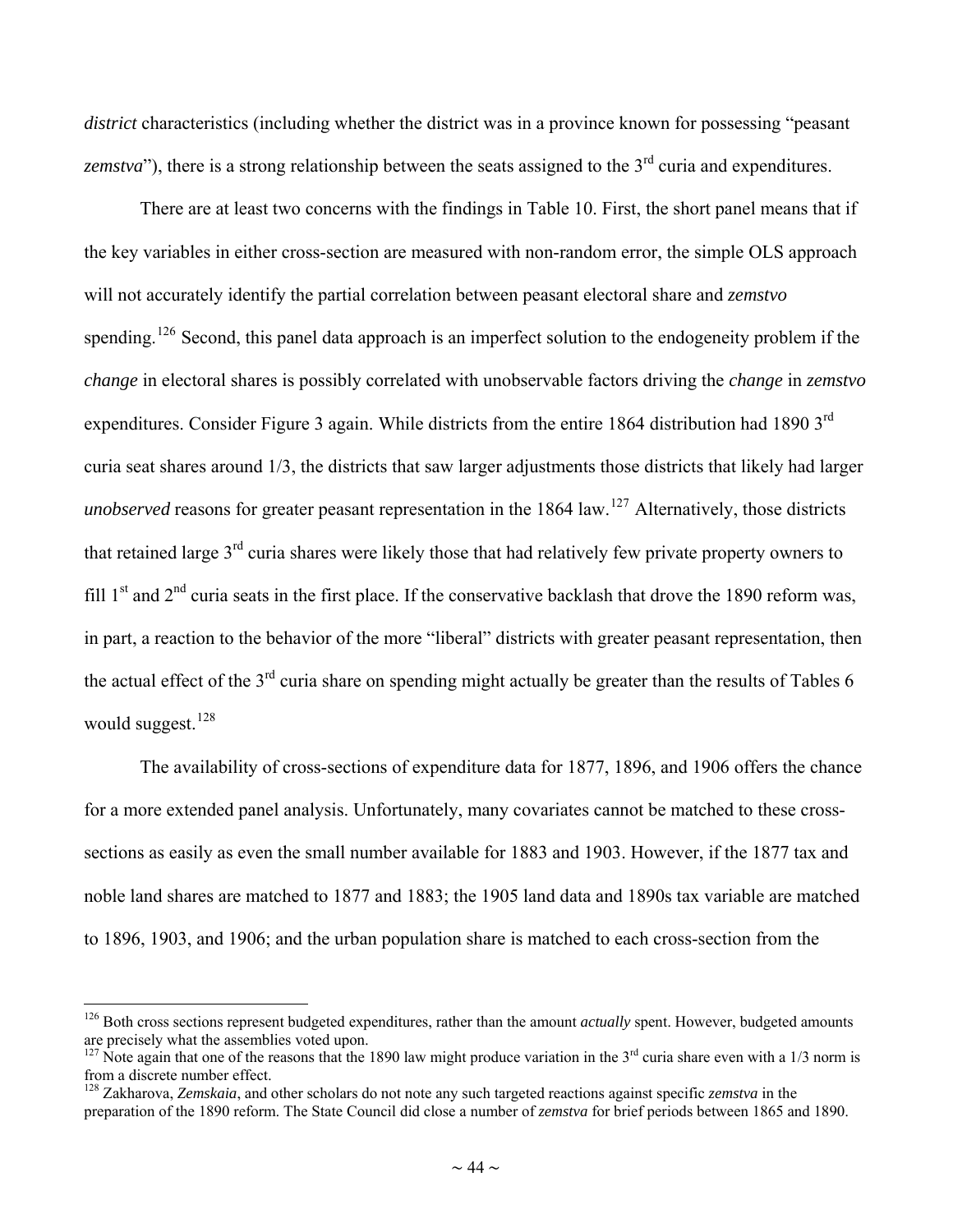<span id="page-43-0"></span>*district* characteristics (including whether the district was in a province known for possessing "peasant" *zemstva*"), there is a strong relationship between the seats assigned to the 3<sup>rd</sup> curia and expenditures.

There are at least two concerns with the findings in Table 10. First, the short panel means that if the key variables in either cross-section are measured with non-random error, the simple OLS approach will not accurately identify the partial correlation between peasant electoral share and *zemstvo* spending.<sup>[126](#page-43-0)</sup> Second, this panel data approach is an imperfect solution to the endogeneity problem if the *change* in electoral shares is possibly correlated with unobservable factors driving the *change* in *zemstvo* expenditures. Consider Figure 3 again. While districts from the entire 1864 distribution had 1890 3<sup>rd</sup> curia seat shares around 1/3, the districts that saw larger adjustments those districts that likely had larger *unobserved* reasons for greater peasant representation in the 1864 law.<sup>[127](#page-43-0)</sup> Alternatively, those districts that retained large 3rd curia shares were likely those that had relatively few private property owners to fill  $1<sup>st</sup>$  and  $2<sup>nd</sup>$  curia seats in the first place. If the conservative backlash that drove the 1890 reform was, in part, a reaction to the behavior of the more "liberal" districts with greater peasant representation, then the actual effect of the  $3<sup>rd</sup>$  curia share on spending might actually be greater than the results of Tables 6 would suggest.<sup>[128](#page-43-0)</sup>

The availability of cross-sections of expenditure data for 1877, 1896, and 1906 offers the chance for a more extended panel analysis. Unfortunately, many covariates cannot be matched to these crosssections as easily as even the small number available for 1883 and 1903. However, if the 1877 tax and noble land shares are matched to 1877 and 1883; the 1905 land data and 1890s tax variable are matched to 1896, 1903, and 1906; and the urban population share is matched to each cross-section from the

<sup>&</sup>lt;sup>126</sup> Both cross sections represent budgeted expenditures, rather than the amount *actually* spent. However, budgeted amounts are precisely what the assemblies voted upon.

<sup>&</sup>lt;sup>127</sup> Note again that one of the reasons that the 1890 law might produce variation in the 3<sup>rd</sup> curia share even with a 1/3 norm is from a discrete number effect.

<sup>128</sup> Zakharova, *Zemskaia*, and other scholars do not note any such targeted reactions against specific *zemstva* in the preparation of the 1890 reform. The State Council did close a number of *zemstva* for brief periods between 1865 and 1890.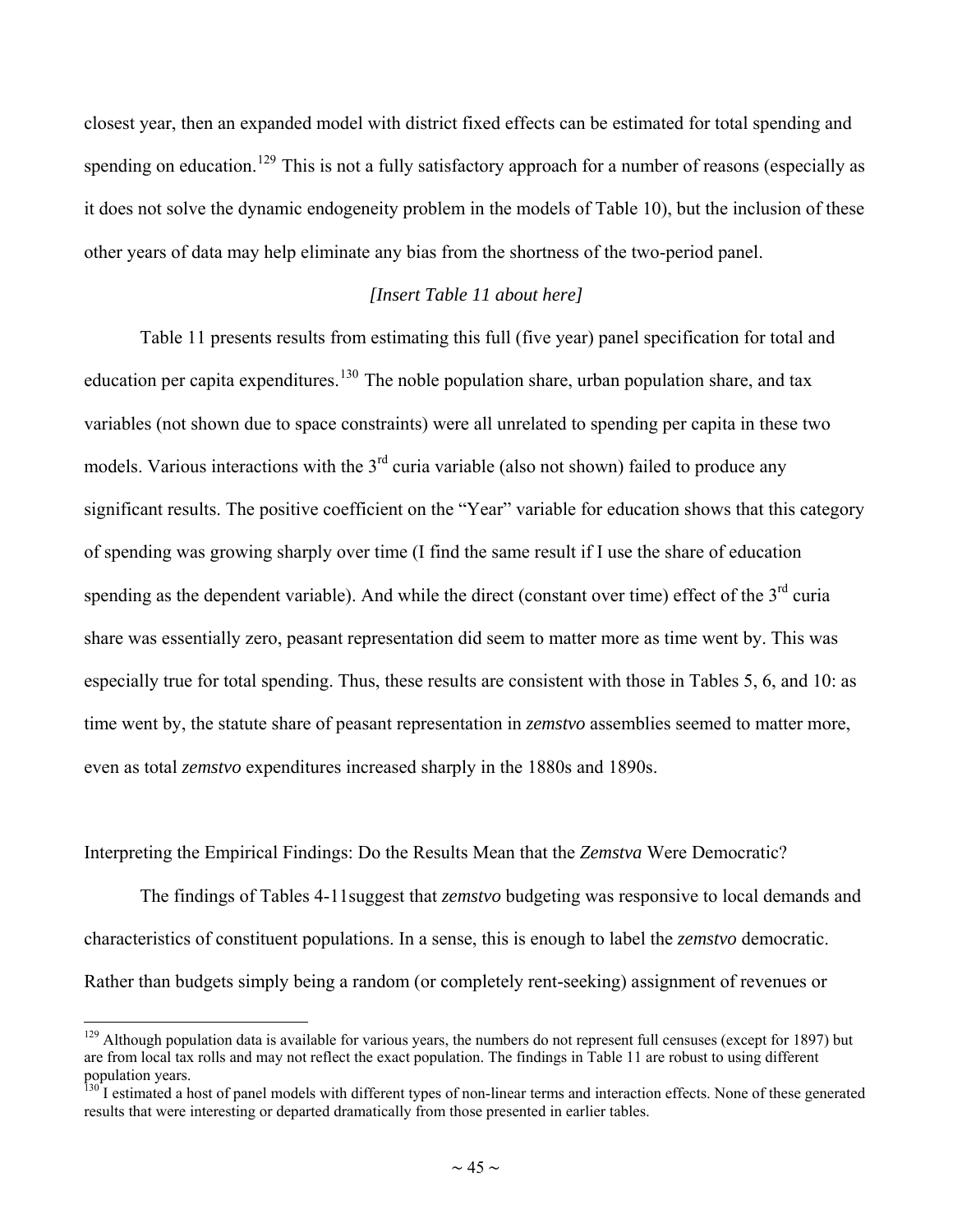<span id="page-44-0"></span>closest year, then an expanded model with district fixed effects can be estimated for total spending and spending on education.<sup>[129](#page-44-0)</sup> This is not a fully satisfactory approach for a number of reasons (especially as it does not solve the dynamic endogeneity problem in the models of Table 10), but the inclusion of these other years of data may help eliminate any bias from the shortness of the two-period panel.

#### *[Insert Table 11 about here]*

Table 11 presents results from estimating this full (five year) panel specification for total and education per capita expenditures.<sup>[130](#page-44-0)</sup> The noble population share, urban population share, and tax variables (not shown due to space constraints) were all unrelated to spending per capita in these two models. Various interactions with the  $3<sup>rd</sup>$  curia variable (also not shown) failed to produce any significant results. The positive coefficient on the "Year" variable for education shows that this category of spending was growing sharply over time (I find the same result if I use the share of education spending as the dependent variable). And while the direct (constant over time) effect of the  $3<sup>rd</sup>$  curia share was essentially zero, peasant representation did seem to matter more as time went by. This was especially true for total spending. Thus, these results are consistent with those in Tables 5, 6, and 10: as time went by, the statute share of peasant representation in *zemstvo* assemblies seemed to matter more, even as total *zemstvo* expenditures increased sharply in the 1880s and 1890s.

Interpreting the Empirical Findings: Do the Results Mean that the *Zemstva* Were Democratic?

 $\overline{a}$ 

The findings of Tables 4-11suggest that *zemstvo* budgeting was responsive to local demands and characteristics of constituent populations. In a sense, this is enough to label the *zemstvo* democratic. Rather than budgets simply being a random (or completely rent-seeking) assignment of revenues or

 $129$  Although population data is available for various years, the numbers do not represent full censuses (except for 1897) but are from local tax rolls and may not reflect the exact population. The findings in Table 11 are robust to using different population years.

 $\frac{130}{130}$  I estimated a host of panel models with different types of non-linear terms and interaction effects. None of these generated results that were interesting or departed dramatically from those presented in earlier tables.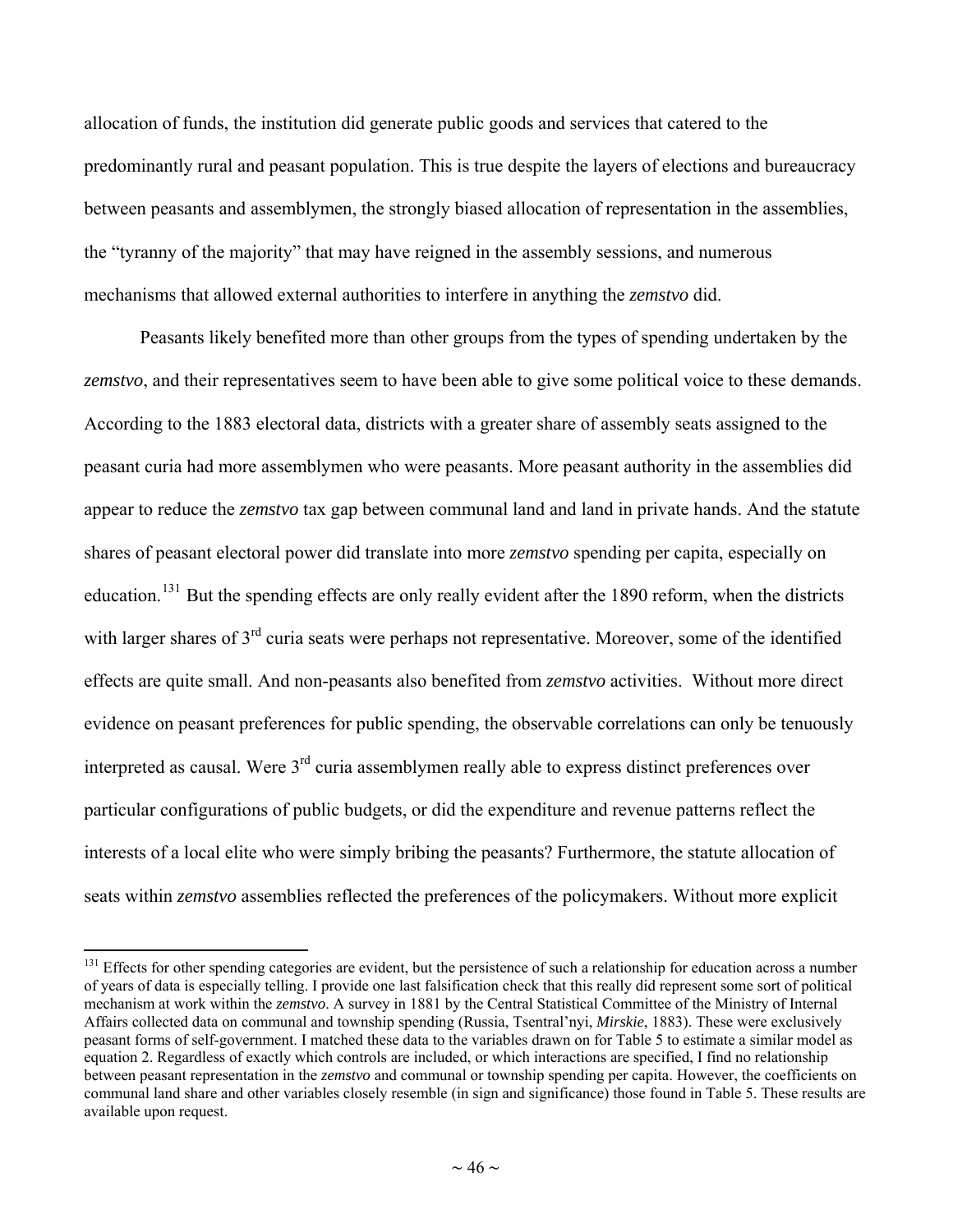<span id="page-45-0"></span>allocation of funds, the institution did generate public goods and services that catered to the predominantly rural and peasant population. This is true despite the layers of elections and bureaucracy between peasants and assemblymen, the strongly biased allocation of representation in the assemblies, the "tyranny of the majority" that may have reigned in the assembly sessions, and numerous mechanisms that allowed external authorities to interfere in anything the *zemstvo* did.

Peasants likely benefited more than other groups from the types of spending undertaken by the *zemstvo*, and their representatives seem to have been able to give some political voice to these demands. According to the 1883 electoral data, districts with a greater share of assembly seats assigned to the peasant curia had more assemblymen who were peasants. More peasant authority in the assemblies did appear to reduce the *zemstvo* tax gap between communal land and land in private hands. And the statute shares of peasant electoral power did translate into more *zemstvo* spending per capita, especially on education.<sup>[131](#page-45-0)</sup> But the spending effects are only really evident after the 1890 reform, when the districts with larger shares of 3<sup>rd</sup> curia seats were perhaps not representative. Moreover, some of the identified effects are quite small. And non-peasants also benefited from *zemstvo* activities. Without more direct evidence on peasant preferences for public spending, the observable correlations can only be tenuously interpreted as causal. Were 3<sup>rd</sup> curia assemblymen really able to express distinct preferences over particular configurations of public budgets, or did the expenditure and revenue patterns reflect the interests of a local elite who were simply bribing the peasants? Furthermore, the statute allocation of seats within *zemstvo* assemblies reflected the preferences of the policymakers. Without more explicit

<sup>&</sup>lt;sup>131</sup> Effects for other spending categories are evident, but the persistence of such a relationship for education across a number of years of data is especially telling. I provide one last falsification check that this really did represent some sort of political mechanism at work within the *zemstvo*. A survey in 1881 by the Central Statistical Committee of the Ministry of Internal Affairs collected data on communal and township spending (Russia, Tsentral'nyi, *Mirskie*, 1883). These were exclusively peasant forms of self-government. I matched these data to the variables drawn on for Table 5 to estimate a similar model as equation 2. Regardless of exactly which controls are included, or which interactions are specified, I find no relationship between peasant representation in the *zemstvo* and communal or township spending per capita. However, the coefficients on communal land share and other variables closely resemble (in sign and significance) those found in Table 5. These results are available upon request.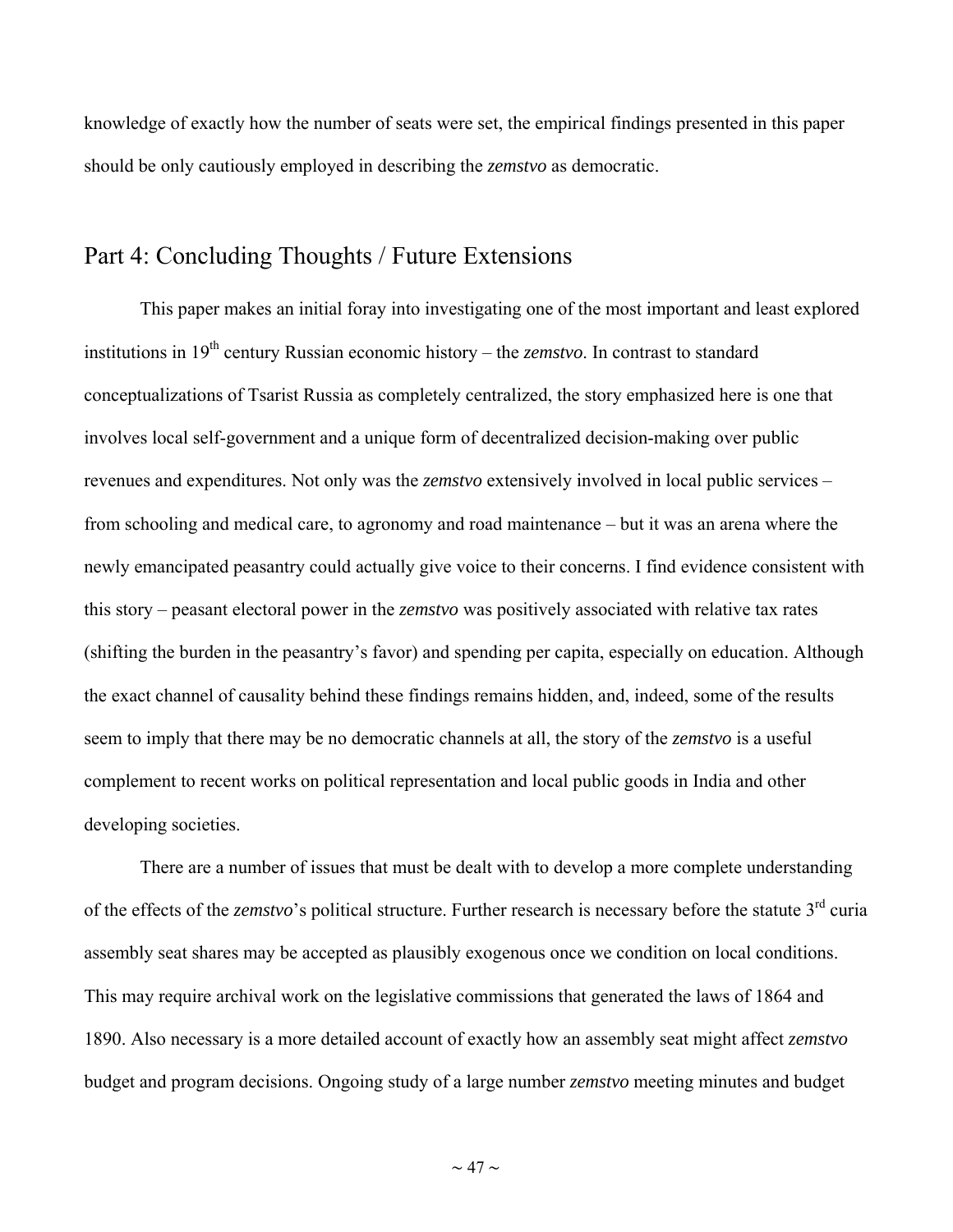knowledge of exactly how the number of seats were set, the empirical findings presented in this paper should be only cautiously employed in describing the *zemstvo* as democratic.

### Part 4: Concluding Thoughts / Future Extensions

This paper makes an initial foray into investigating one of the most important and least explored institutions in 19<sup>th</sup> century Russian economic history – the *zemstvo*. In contrast to standard conceptualizations of Tsarist Russia as completely centralized, the story emphasized here is one that involves local self-government and a unique form of decentralized decision-making over public revenues and expenditures. Not only was the *zemstvo* extensively involved in local public services – from schooling and medical care, to agronomy and road maintenance – but it was an arena where the newly emancipated peasantry could actually give voice to their concerns. I find evidence consistent with this story – peasant electoral power in the *zemstvo* was positively associated with relative tax rates (shifting the burden in the peasantry's favor) and spending per capita, especially on education. Although the exact channel of causality behind these findings remains hidden, and, indeed, some of the results seem to imply that there may be no democratic channels at all, the story of the *zemstvo* is a useful complement to recent works on political representation and local public goods in India and other developing societies.

There are a number of issues that must be dealt with to develop a more complete understanding of the effects of the *zemstvo*'s political structure. Further research is necessary before the statute 3<sup>rd</sup> curia assembly seat shares may be accepted as plausibly exogenous once we condition on local conditions. This may require archival work on the legislative commissions that generated the laws of 1864 and 1890. Also necessary is a more detailed account of exactly how an assembly seat might affect *zemstvo* budget and program decisions. Ongoing study of a large number *zemstvo* meeting minutes and budget

 $\sim$  47  $\sim$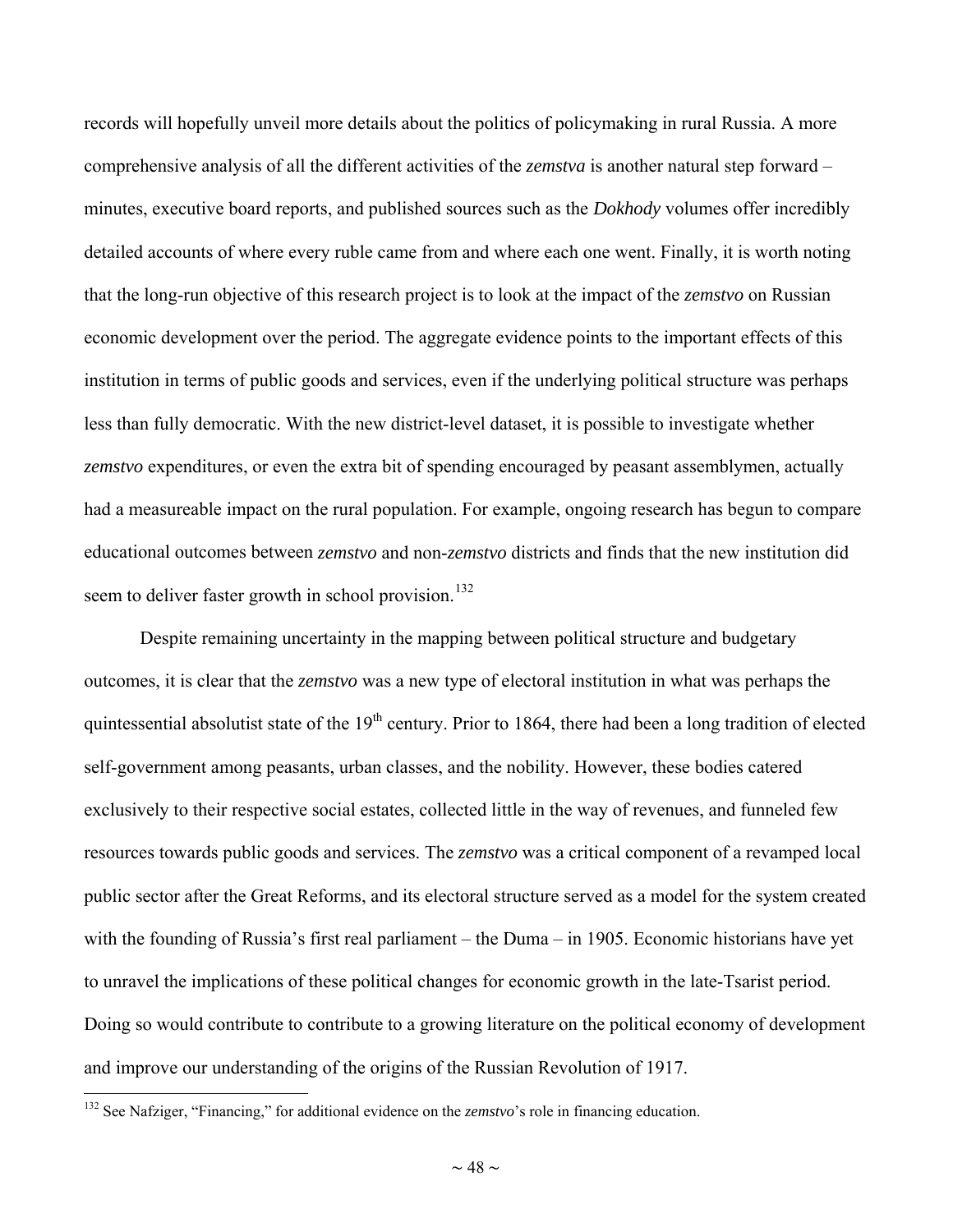<span id="page-47-0"></span>records will hopefully unveil more details about the politics of policymaking in rural Russia. A more comprehensive analysis of all the different activities of the *zemstva* is another natural step forward – minutes, executive board reports, and published sources such as the *Dokhody* volumes offer incredibly detailed accounts of where every ruble came from and where each one went. Finally, it is worth noting that the long-run objective of this research project is to look at the impact of the *zemstvo* on Russian economic development over the period. The aggregate evidence points to the important effects of this institution in terms of public goods and services, even if the underlying political structure was perhaps less than fully democratic. With the new district-level dataset, it is possible to investigate whether *zemstvo* expenditures, or even the extra bit of spending encouraged by peasant assemblymen, actually had a measureable impact on the rural population. For example, ongoing research has begun to compare educational outcomes between *zemstvo* and non-*zemstvo* districts and finds that the new institution did seem to deliver faster growth in school provision.<sup>[132](#page-47-0)</sup>

Despite remaining uncertainty in the mapping between political structure and budgetary outcomes, it is clear that the *zemstvo* was a new type of electoral institution in what was perhaps the quintessential absolutist state of the  $19<sup>th</sup>$  century. Prior to 1864, there had been a long tradition of elected self-government among peasants, urban classes, and the nobility. However, these bodies catered exclusively to their respective social estates, collected little in the way of revenues, and funneled few resources towards public goods and services. The *zemstvo* was a critical component of a revamped local public sector after the Great Reforms, and its electoral structure served as a model for the system created with the founding of Russia's first real parliament – the Duma – in 1905. Economic historians have yet to unravel the implications of these political changes for economic growth in the late-Tsarist period. Doing so would contribute to contribute to a growing literature on the political economy of development and improve our understanding of the origins of the Russian Revolution of 1917.

<sup>&</sup>lt;sup>132</sup> See Nafziger, "Financing," for additional evidence on the *zemstvo*'s role in financing education.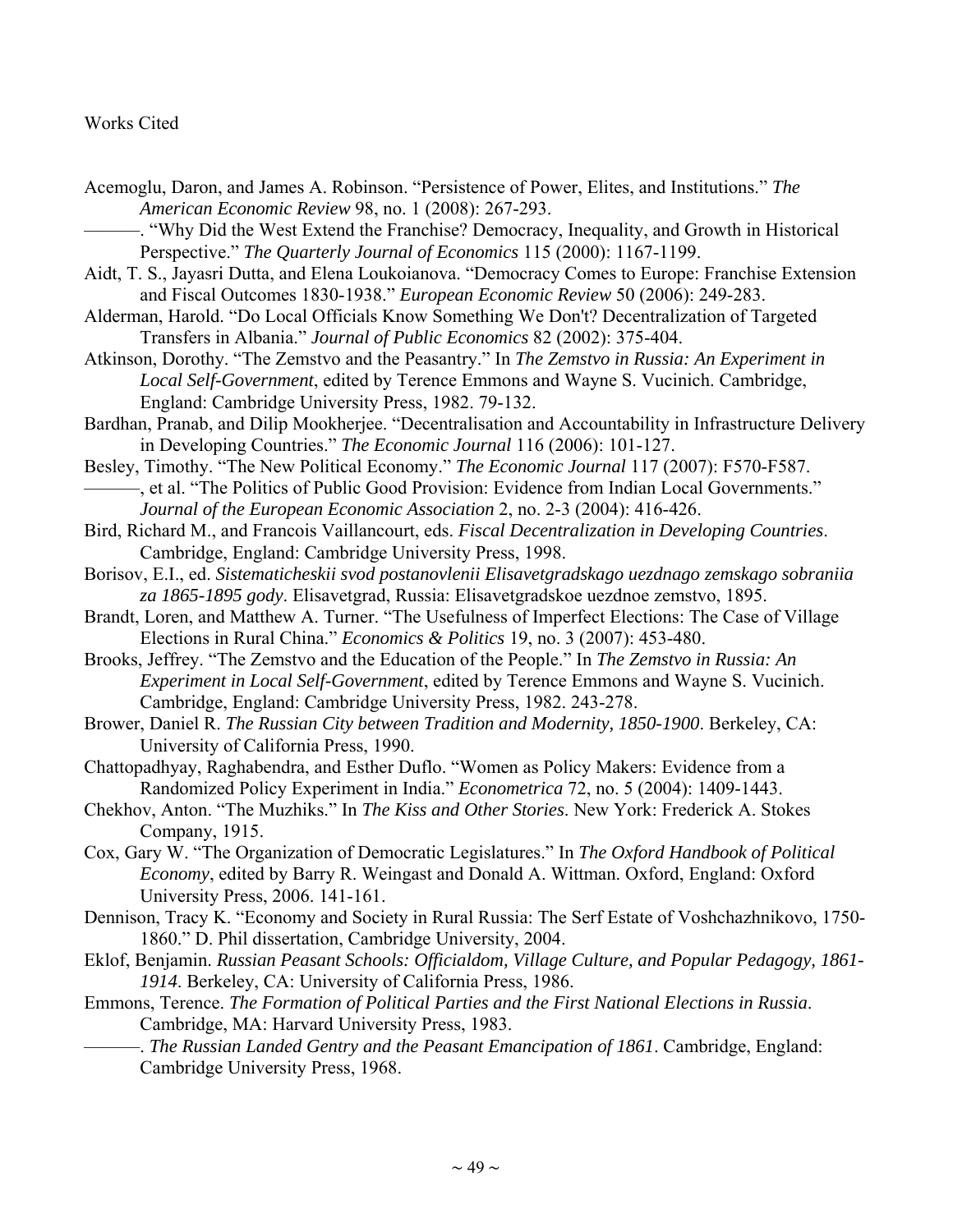#### Works Cited

- Acemoglu, Daron, and James A. Robinson. "Persistence of Power, Elites, and Institutions." *The American Economic Review* 98, no. 1 (2008): 267-293.
	- -. "Why Did the West Extend the Franchise? Democracy, Inequality, and Growth in Historical Perspective." *The Quarterly Journal of Economics* 115 (2000): 1167-1199.
- Aidt, T. S., Jayasri Dutta, and Elena Loukoianova. "Democracy Comes to Europe: Franchise Extension and Fiscal Outcomes 1830-1938." *European Economic Review* 50 (2006): 249-283.
- Alderman, Harold. "Do Local Officials Know Something We Don't? Decentralization of Targeted Transfers in Albania." *Journal of Public Economics* 82 (2002): 375-404.
- Atkinson, Dorothy. "The Zemstvo and the Peasantry." In *The Zemstvo in Russia: An Experiment in Local Self-Government*, edited by Terence Emmons and Wayne S. Vucinich. Cambridge, England: Cambridge University Press, 1982. 79-132.
- Bardhan, Pranab, and Dilip Mookherjee. "Decentralisation and Accountability in Infrastructure Delivery in Developing Countries." *The Economic Journal* 116 (2006): 101-127.
- Besley, Timothy. "The New Political Economy." *The Economic Journal* 117 (2007): F570-F587. ———, et al. "The Politics of Public Good Provision: Evidence from Indian Local Governments."
- *Journal of the European Economic Association* 2, no. 2-3 (2004): 416-426.
- Bird, Richard M., and Francois Vaillancourt, eds. *Fiscal Decentralization in Developing Countries*. Cambridge, England: Cambridge University Press, 1998.
- Borisov, E.I., ed. *Sistematicheskii svod postanovlenii Elisavetgradskago uezdnago zemskago sobraniia za 1865-1895 gody*. Elisavetgrad, Russia: Elisavetgradskoe uezdnoe zemstvo, 1895.
- Brandt, Loren, and Matthew A. Turner. "The Usefulness of Imperfect Elections: The Case of Village Elections in Rural China." *Economics & Politics* 19, no. 3 (2007): 453-480.
- Brooks, Jeffrey. "The Zemstvo and the Education of the People." In *The Zemstvo in Russia: An Experiment in Local Self-Government*, edited by Terence Emmons and Wayne S. Vucinich. Cambridge, England: Cambridge University Press, 1982. 243-278.
- Brower, Daniel R. *The Russian City between Tradition and Modernity, 1850-1900*. Berkeley, CA: University of California Press, 1990.
- Chattopadhyay, Raghabendra, and Esther Duflo. "Women as Policy Makers: Evidence from a Randomized Policy Experiment in India." *Econometrica* 72, no. 5 (2004): 1409-1443.
- Chekhov, Anton. "The Muzhiks." In *The Kiss and Other Stories*. New York: Frederick A. Stokes Company, 1915.
- Cox, Gary W. "The Organization of Democratic Legislatures." In *The Oxford Handbook of Political Economy*, edited by Barry R. Weingast and Donald A. Wittman. Oxford, England: Oxford University Press, 2006. 141-161.
- Dennison, Tracy K. "Economy and Society in Rural Russia: The Serf Estate of Voshchazhnikovo, 1750- 1860." D. Phil dissertation, Cambridge University, 2004.
- Eklof, Benjamin. *Russian Peasant Schools: Officialdom, Village Culture, and Popular Pedagogy, 1861- 1914*. Berkeley, CA: University of California Press, 1986.
- Emmons, Terence. *The Formation of Political Parties and the First National Elections in Russia*. Cambridge, MA: Harvard University Press, 1983.
	- ———. *The Russian Landed Gentry and the Peasant Emancipation of 1861*. Cambridge, England: Cambridge University Press, 1968.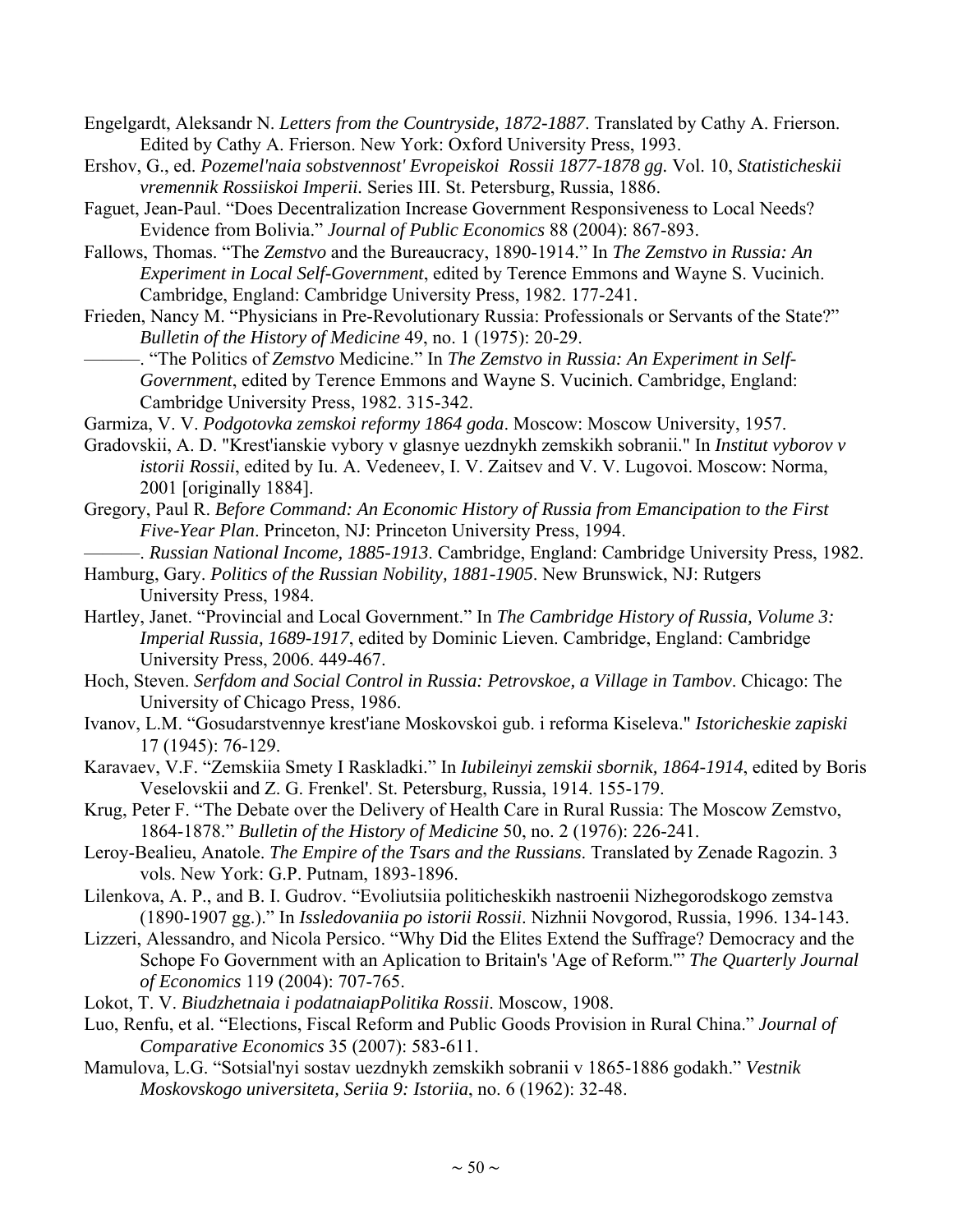- Engelgardt, Aleksandr N. *Letters from the Countryside, 1872-1887*. Translated by Cathy A. Frierson. Edited by Cathy A. Frierson. New York: Oxford University Press, 1993.
- Ershov, G., ed. *Pozemel'naia sobstvennost' Evropeiskoi Rossii 1877-1878 gg.* Vol. 10, *Statisticheskii vremennik Rossiiskoi Imperii.* Series III. St. Petersburg, Russia, 1886.
- Faguet, Jean-Paul. "Does Decentralization Increase Government Responsiveness to Local Needs? Evidence from Bolivia." *Journal of Public Economics* 88 (2004): 867-893.
- Fallows, Thomas. "The *Zemstvo* and the Bureaucracy, 1890-1914." In *The Zemstvo in Russia: An Experiment in Local Self-Government*, edited by Terence Emmons and Wayne S. Vucinich. Cambridge, England: Cambridge University Press, 1982. 177-241.
- Frieden, Nancy M. "Physicians in Pre-Revolutionary Russia: Professionals or Servants of the State?" *Bulletin of the History of Medicine* 49, no. 1 (1975): 20-29.
	- ———. "The Politics of *Zemstvo* Medicine." In *The Zemstvo in Russia: An Experiment in Self-Government*, edited by Terence Emmons and Wayne S. Vucinich. Cambridge, England: Cambridge University Press, 1982. 315-342.
- Garmiza, V. V. *Podgotovka zemskoi reformy 1864 goda*. Moscow: Moscow University, 1957.
- Gradovskii, A. D. "Krest'ianskie vybory v glasnye uezdnykh zemskikh sobranii." In *Institut vyborov v istorii Rossii*, edited by Iu. A. Vedeneev, I. V. Zaitsev and V. V. Lugovoi. Moscow: Norma, 2001 [originally 1884].
- Gregory, Paul R. *Before Command: An Economic History of Russia from Emancipation to the First Five-Year Plan*. Princeton, NJ: Princeton University Press, 1994.
- ———. *Russian National Income, 1885-1913*. Cambridge, England: Cambridge University Press, 1982. Hamburg, Gary. *Politics of the Russian Nobility, 1881-1905*. New Brunswick, NJ: Rutgers University Press, 1984.
- Hartley, Janet. "Provincial and Local Government." In *The Cambridge History of Russia, Volume 3: Imperial Russia, 1689-1917*, edited by Dominic Lieven. Cambridge, England: Cambridge University Press, 2006. 449-467.
- Hoch, Steven. *Serfdom and Social Control in Russia: Petrovskoe, a Village in Tambov*. Chicago: The University of Chicago Press, 1986.
- Ivanov, L.M. "Gosudarstvennye krest'iane Moskovskoi gub. i reforma Kiseleva." *Istoricheskie zapiski* 17 (1945): 76-129.
- Karavaev, V.F. "Zemskiia Smety I Raskladki." In *Iubileinyi zemskii sbornik, 1864-1914*, edited by Boris Veselovskii and Z. G. Frenkel'. St. Petersburg, Russia, 1914. 155-179.
- Krug, Peter F. "The Debate over the Delivery of Health Care in Rural Russia: The Moscow Zemstvo, 1864-1878." *Bulletin of the History of Medicine* 50, no. 2 (1976): 226-241.
- Leroy-Bealieu, Anatole. *The Empire of the Tsars and the Russians*. Translated by Zenade Ragozin. 3 vols. New York: G.P. Putnam, 1893-1896.
- Lilenkova, A. P., and B. I. Gudrov. "Evoliutsiia politicheskikh nastroenii Nizhegorodskogo zemstva (1890-1907 gg.)." In *Issledovaniia po istorii Rossii*. Nizhnii Novgorod, Russia, 1996. 134-143.
- Lizzeri, Alessandro, and Nicola Persico. "Why Did the Elites Extend the Suffrage? Democracy and the Schope Fo Government with an Aplication to Britain's 'Age of Reform.'" *The Quarterly Journal of Economics* 119 (2004): 707-765.
- Lokot, T. V. *Biudzhetnaia i podatnaiapPolitika Rossii*. Moscow, 1908.
- Luo, Renfu, et al. "Elections, Fiscal Reform and Public Goods Provision in Rural China." *Journal of Comparative Economics* 35 (2007): 583-611.
- Mamulova, L.G. "Sotsial'nyi sostav uezdnykh zemskikh sobranii v 1865-1886 godakh." *Vestnik Moskovskogo universiteta, Seriia 9: Istoriia*, no. 6 (1962): 32-48.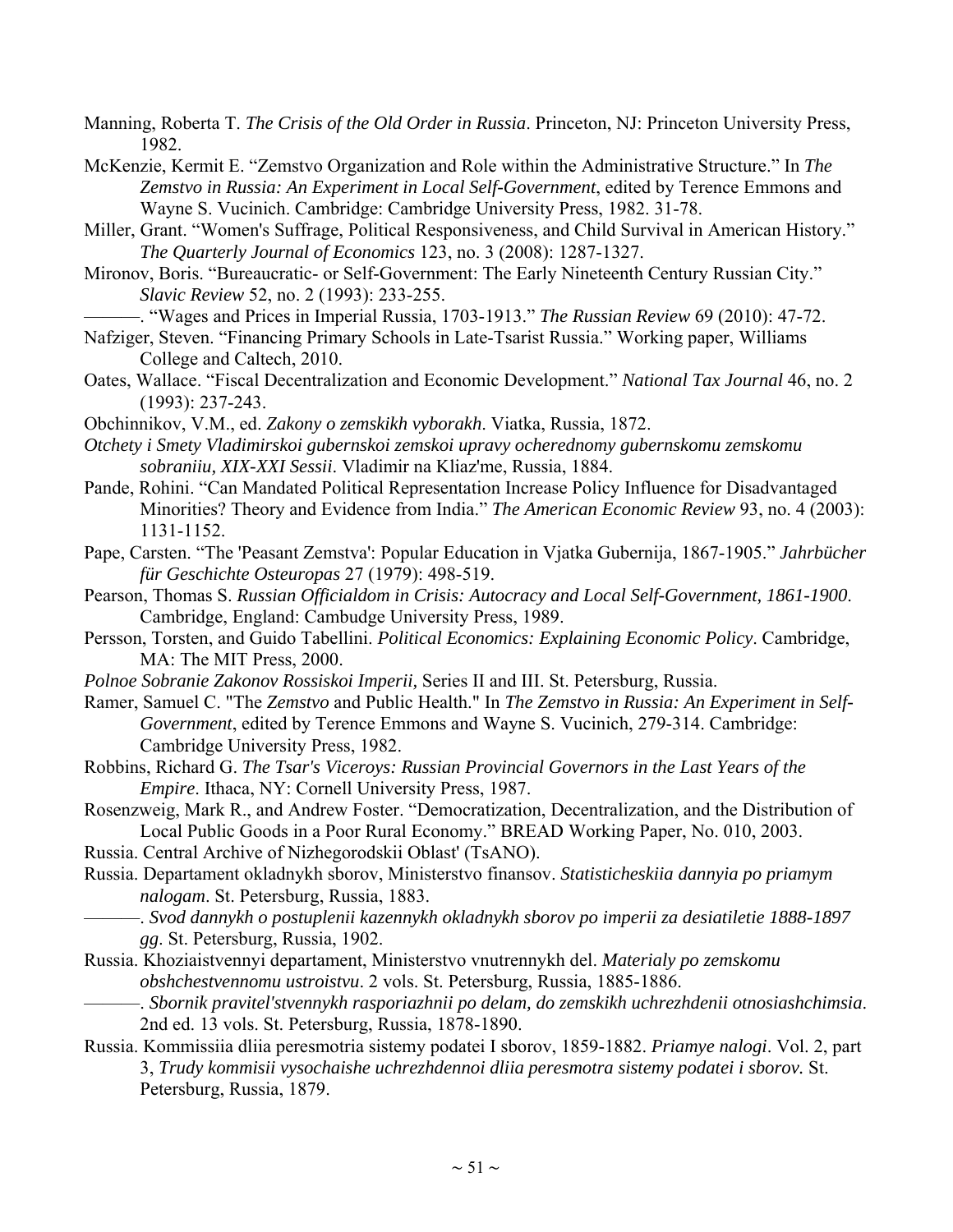Manning, Roberta T. *The Crisis of the Old Order in Russia*. Princeton, NJ: Princeton University Press, 1982.

McKenzie, Kermit E. "Zemstvo Organization and Role within the Administrative Structure." In *The Zemstvo in Russia: An Experiment in Local Self-Government*, edited by Terence Emmons and Wayne S. Vucinich. Cambridge: Cambridge University Press, 1982. 31-78.

Miller, Grant. "Women's Suffrage, Political Responsiveness, and Child Survival in American History." *The Quarterly Journal of Economics* 123, no. 3 (2008): 1287-1327.

Mironov, Boris. "Bureaucratic- or Self-Government: The Early Nineteenth Century Russian City." *Slavic Review* 52, no. 2 (1993): 233-255.

———. "Wages and Prices in Imperial Russia, 1703-1913." *The Russian Review* 69 (2010): 47-72.

- Nafziger, Steven. "Financing Primary Schools in Late-Tsarist Russia." Working paper, Williams College and Caltech, 2010.
- Oates, Wallace. "Fiscal Decentralization and Economic Development." *National Tax Journal* 46, no. 2 (1993): 237-243.
- Obchinnikov, V.M., ed. *Zakony o zemskikh vyborakh*. Viatka, Russia, 1872.
- *Otchety i Smety Vladimirskoi gubernskoi zemskoi upravy ocherednomy gubernskomu zemskomu sobraniiu, XIX-XXI Sessii*. Vladimir na Kliaz'me, Russia, 1884.
- Pande, Rohini. "Can Mandated Political Representation Increase Policy Influence for Disadvantaged Minorities? Theory and Evidence from India." *The American Economic Review* 93, no. 4 (2003): 1131-1152.
- Pape, Carsten. "The 'Peasant Zemstva': Popular Education in Vjatka Gubernija, 1867-1905." *Jahrbücher für Geschichte Osteuropas* 27 (1979): 498-519.
- Pearson, Thomas S. *Russian Officialdom in Crisis: Autocracy and Local Self-Government, 1861-1900*. Cambridge, England: Cambudge University Press, 1989.
- Persson, Torsten, and Guido Tabellini. *Political Economics: Explaining Economic Policy*. Cambridge, MA: The MIT Press, 2000.
- *Polnoe Sobranie Zakonov Rossiskoi Imperii,* Series II and III. St. Petersburg, Russia.
- Ramer, Samuel C. "The *Zemstvo* and Public Health." In *The Zemstvo in Russia: An Experiment in Self-Government*, edited by Terence Emmons and Wayne S. Vucinich, 279-314. Cambridge: Cambridge University Press, 1982.
- Robbins, Richard G. *The Tsar's Viceroys: Russian Provincial Governors in the Last Years of the Empire*. Ithaca, NY: Cornell University Press, 1987.
- Rosenzweig, Mark R., and Andrew Foster. "Democratization, Decentralization, and the Distribution of Local Public Goods in a Poor Rural Economy." BREAD Working Paper, No. 010, 2003.
- Russia. Central Archive of Nizhegorodskii Oblast' (TsANO).
- Russia. Departament okladnykh sborov, Ministerstvo finansov. *Statisticheskiia dannyia po priamym nalogam*. St. Petersburg, Russia, 1883.
	- ———. *Svod dannykh o postuplenii kazennykh okladnykh sborov po imperii za desiatiletie 1888-1897 gg*. St. Petersburg, Russia, 1902.
- Russia. Khoziaistvennyi departament, Ministerstvo vnutrennykh del. *Materialy po zemskomu obshchestvennomu ustroistvu*. 2 vols. St. Petersburg, Russia, 1885-1886.
- ———. *Sbornik pravitel'stvennykh rasporiazhnii po delam, do zemskikh uchrezhdenii otnosiashchimsia*. 2nd ed. 13 vols. St. Petersburg, Russia, 1878-1890.
- Russia. Kommissiia dliia peresmotria sistemy podatei I sborov, 1859-1882. *Priamye nalogi*. Vol. 2, part 3, *Trudy kommisii vysochaishe uchrezhdennoi dliia peresmotra sistemy podatei i sborov.* St. Petersburg, Russia, 1879.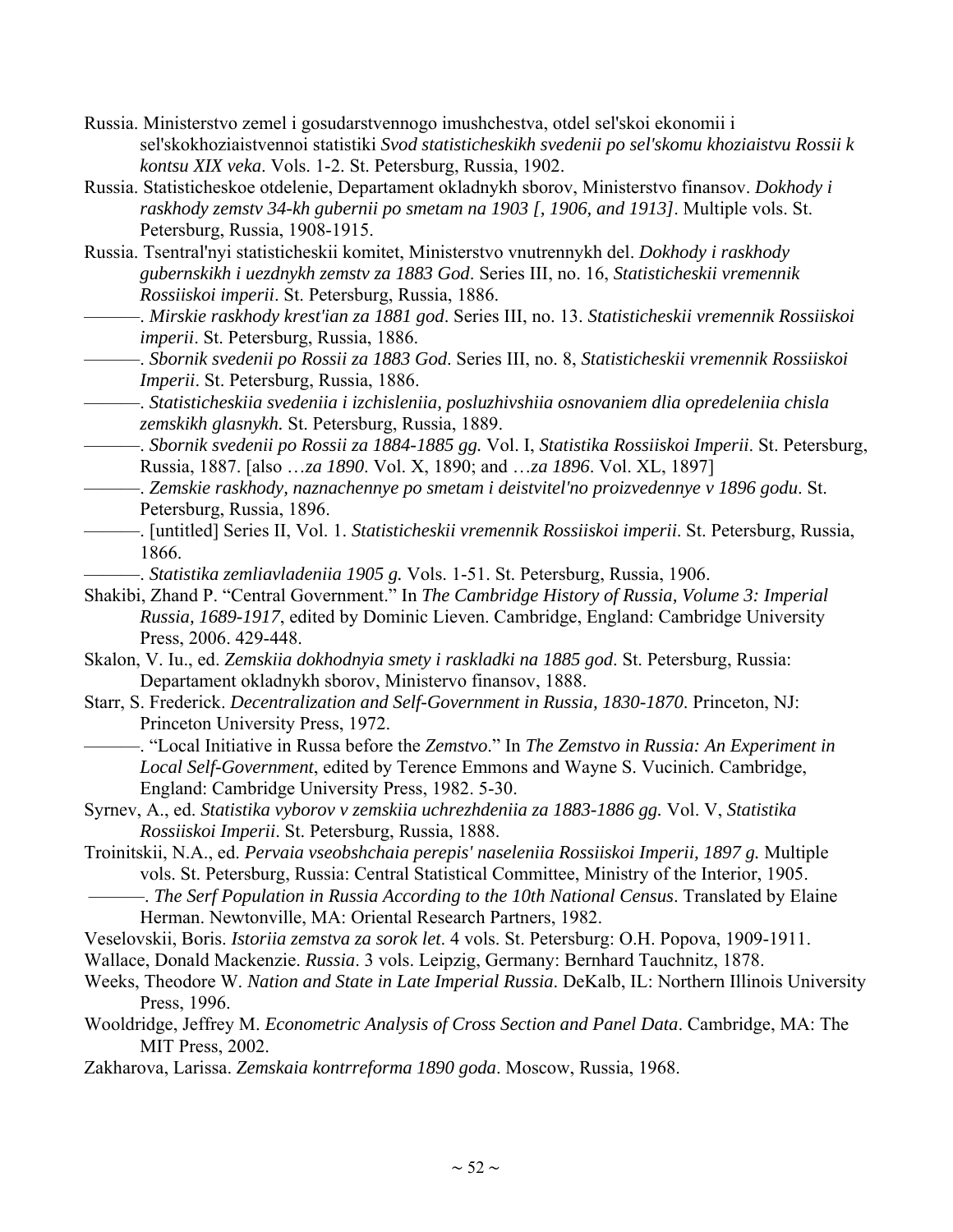- Russia. Ministerstvo zemel i gosudarstvennogo imushchestva, otdel sel'skoi ekonomii i sel'skokhoziaistvennoi statistiki *Svod statisticheskikh svedenii po sel'skomu khoziaistvu Rossii k kontsu XIX veka*. Vols. 1-2. St. Petersburg, Russia, 1902.
- Russia. Statisticheskoe otdelenie, Departament okladnykh sborov, Ministerstvo finansov. *Dokhody i raskhody zemstv 34-kh gubernii po smetam na 1903 [, 1906, and 1913]*. Multiple vols. St. Petersburg, Russia, 1908-1915.
- Russia. Tsentral'nyi statisticheskii komitet, Ministerstvo vnutrennykh del. *Dokhody i raskhody gubernskikh i uezdnykh zemstv za 1883 God*. Series III, no. 16, *Statisticheskii vremennik Rossiiskoi imperii*. St. Petersburg, Russia, 1886.
- ———. *Mirskie raskhody krest'ian za 1881 god*. Series III, no. 13. *Statisticheskii vremennik Rossiiskoi imperii*. St. Petersburg, Russia, 1886.
- ———. *Sbornik svedenii po Rossii za 1883 God*. Series III, no. 8, *Statisticheskii vremennik Rossiiskoi Imperii*. St. Petersburg, Russia, 1886.
- ———. *Statisticheskiia svedeniia i izchisleniia, posluzhivshiia osnovaniem dlia opredeleniia chisla zemskikh glasnykh.* St. Petersburg, Russia, 1889.
- ———. *Sbornik svedenii po Rossii za 1884-1885 gg.* Vol. I, *Statistika Rossiiskoi Imperii*. St. Petersburg, Russia, 1887. [also …*za 1890*. Vol. X, 1890; and …*za 1896*. Vol. XL, 1897]
- ———. *Zemskie raskhody, naznachennye po smetam i deistvitel'no proizvedennye v 1896 godu*. St. Petersburg, Russia, 1896.
- ———. [untitled] Series II, Vol. 1. *Statisticheskii vremennik Rossiiskoi imperii*. St. Petersburg, Russia, 1866.
- ———. *Statistika zemliavladeniia 1905 g.* Vols. 1-51. St. Petersburg, Russia, 1906.
- Shakibi, Zhand P. "Central Government." In *The Cambridge History of Russia, Volume 3: Imperial Russia, 1689-1917*, edited by Dominic Lieven. Cambridge, England: Cambridge University Press, 2006. 429-448.
- Skalon, V. Iu., ed. *Zemskiia dokhodnyia smety i raskladki na 1885 god*. St. Petersburg, Russia: Departament okladnykh sborov, Ministervo finansov, 1888.
- Starr, S. Frederick. *Decentralization and Self-Government in Russia, 1830-1870*. Princeton, NJ: Princeton University Press, 1972.
	- ———. "Local Initiative in Russa before the *Zemstvo*." In *The Zemstvo in Russia: An Experiment in Local Self-Government*, edited by Terence Emmons and Wayne S. Vucinich. Cambridge, England: Cambridge University Press, 1982. 5-30.
- Syrnev, A., ed. *Statistika vyborov v zemskiia uchrezhdeniia za 1883-1886 gg.* Vol. V, *Statistika Rossiiskoi Imperii*. St. Petersburg, Russia, 1888.
- Troinitskii, N.A., ed. *Pervaia vseobshchaia perepis' naseleniia Rossiiskoi Imperii, 1897 g.* Multiple vols. St. Petersburg, Russia: Central Statistical Committee, Ministry of the Interior, 1905.
	- ———. *The Serf Population in Russia According to the 10th National Census*. Translated by Elaine Herman. Newtonville, MA: Oriental Research Partners, 1982.
- Veselovskii, Boris. *Istoriia zemstva za sorok let*. 4 vols. St. Petersburg: O.H. Popova, 1909-1911.
- Wallace, Donald Mackenzie. *Russia*. 3 vols. Leipzig, Germany: Bernhard Tauchnitz, 1878.
- Weeks, Theodore W. *Nation and State in Late Imperial Russia*. DeKalb, IL: Northern Illinois University Press, 1996.
- Wooldridge, Jeffrey M. *Econometric Analysis of Cross Section and Panel Data*. Cambridge, MA: The MIT Press, 2002.
- Zakharova, Larissa. *Zemskaia kontrreforma 1890 goda*. Moscow, Russia, 1968.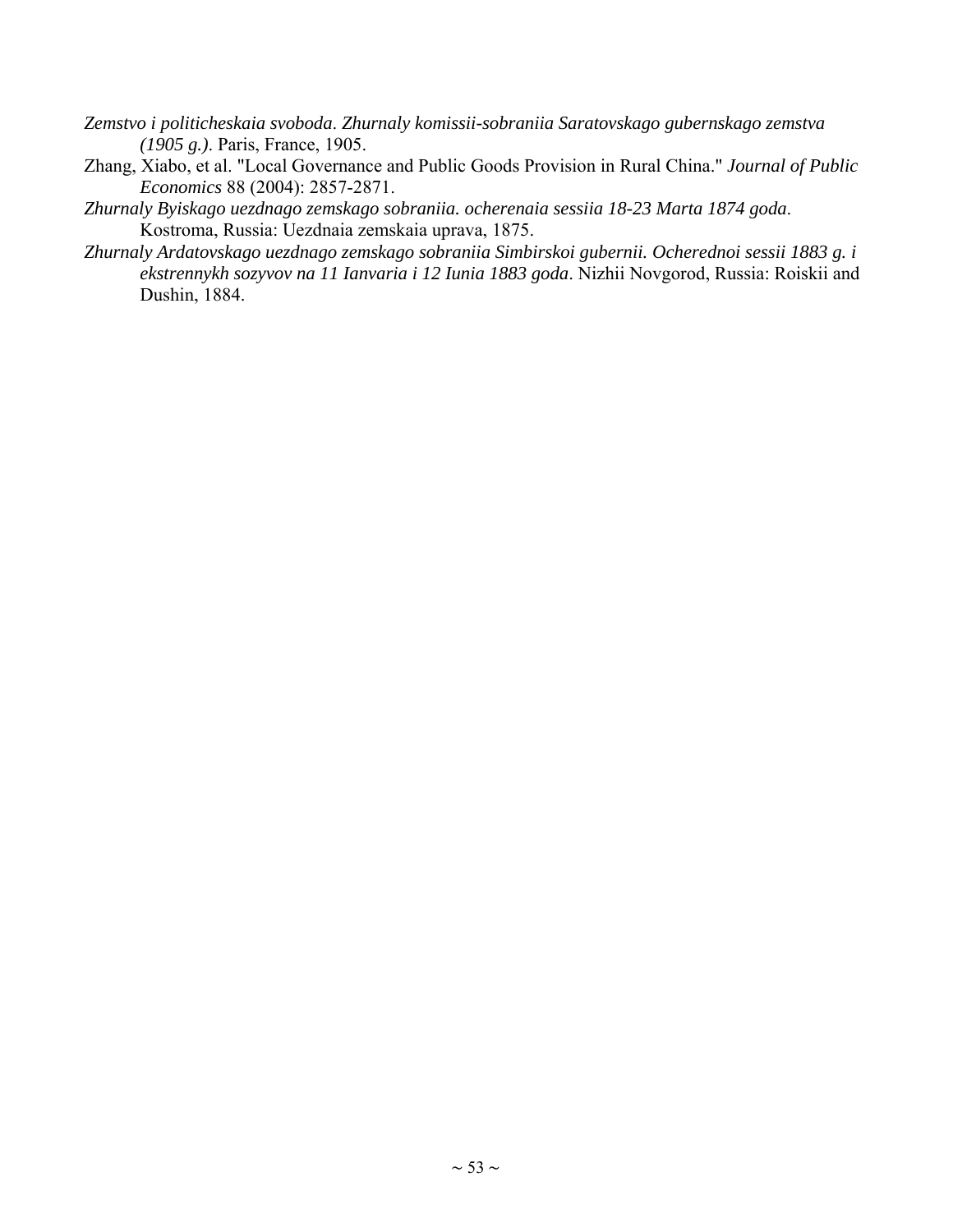- *Zemstvo i politicheskaia svoboda*. *Zhurnaly komissii-sobraniia Saratovskago gubernskago zemstva (1905 g.)*. Paris, France, 1905.
- Zhang, Xiabo, et al. "Local Governance and Public Goods Provision in Rural China." *Journal of Public Economics* 88 (2004): 2857-2871.
- *Zhurnaly Byiskago uezdnago zemskago sobraniia. ocherenaia sessiia 18-23 Marta 1874 goda*. Kostroma, Russia: Uezdnaia zemskaia uprava, 1875.
- *Zhurnaly Ardatovskago uezdnago zemskago sobraniia Simbirskoi gubernii. Ocherednoi sessii 1883 g. i ekstrennykh sozyvov na 11 Ianvaria i 12 Iunia 1883 goda*. Nizhii Novgorod, Russia: Roiskii and Dushin, 1884.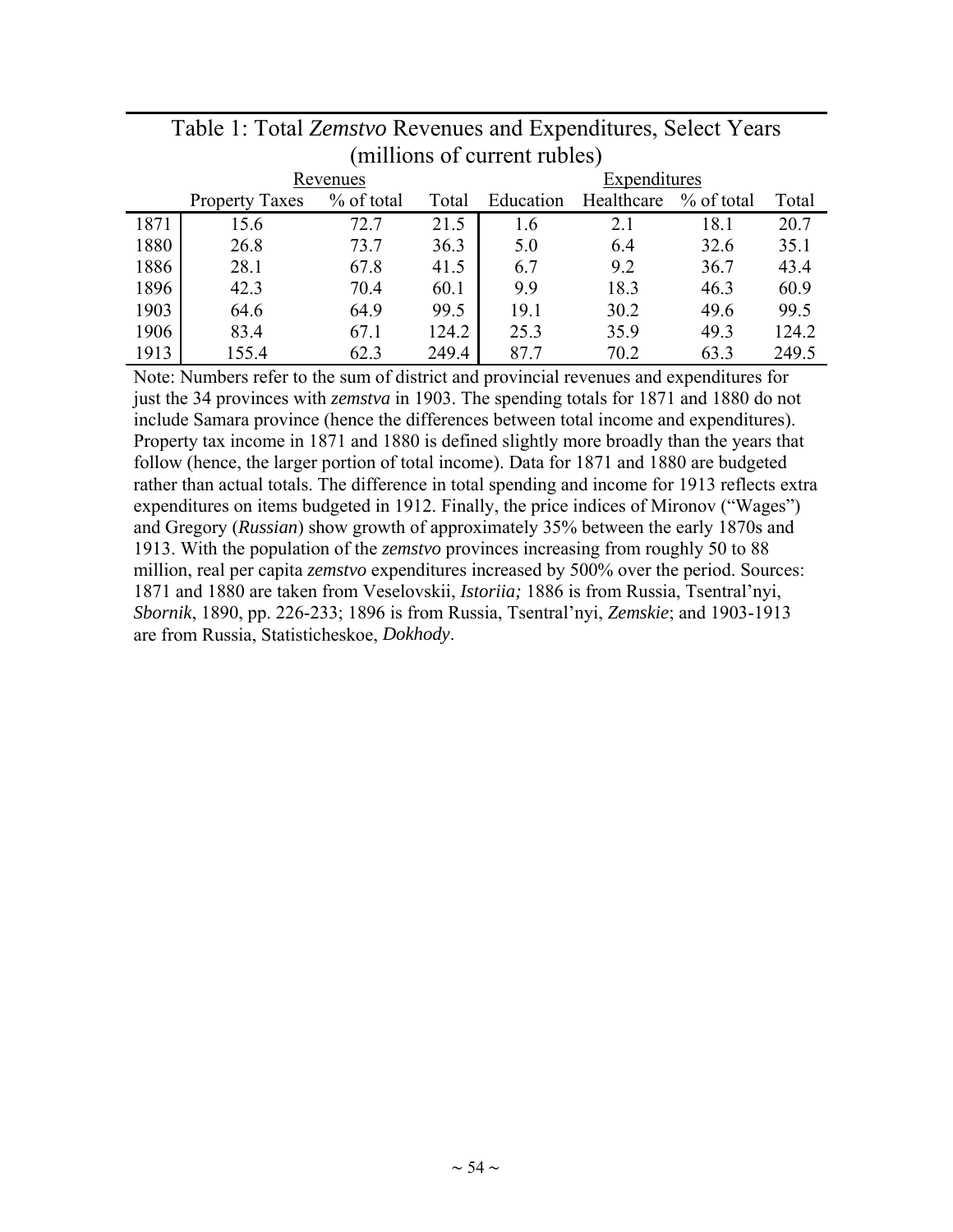|      |                       | Revenues   |       | Expenditures |            |            |       |  |
|------|-----------------------|------------|-------|--------------|------------|------------|-------|--|
|      | <b>Property Taxes</b> | % of total | Total | Education    | Healthcare | % of total | Total |  |
| 1871 | 15.6                  | 72.7       | 21.5  | 1.6          | 2.1        | 18.1       | 20.7  |  |
| 1880 | 26.8                  | 73.7       | 36.3  | 5.0          | 6.4        | 32.6       | 35.1  |  |
| 1886 | 28.1                  | 67.8       | 41.5  | 6.7          | 9.2        | 36.7       | 43.4  |  |
| 1896 | 42.3                  | 70.4       | 60.1  | 9.9          | 18.3       | 46.3       | 60.9  |  |
| 1903 | 64.6                  | 64.9       | 99.5  | 19.1         | 30.2       | 49.6       | 99.5  |  |
| 1906 | 83.4                  | 67.1       | 124.2 | 25.3         | 35.9       | 49.3       | 124.2 |  |
| 1913 | 155.4                 | 62.3       | 249.4 | 87.7         | 70.2       | 63.3       | 249.5 |  |

### Table 1: Total *Zemstvo* Revenues and Expenditures, Select Years (millions of current rubles)

Note: Numbers refer to the sum of district and provincial revenues and expenditures for just the 34 provinces with *zemstva* in 1903. The spending totals for 1871 and 1880 do not include Samara province (hence the differences between total income and expenditures). Property tax income in 1871 and 1880 is defined slightly more broadly than the years that follow (hence, the larger portion of total income). Data for 1871 and 1880 are budgeted rather than actual totals. The difference in total spending and income for 1913 reflects extra expenditures on items budgeted in 1912. Finally, the price indices of Mironov ("Wages") and Gregory (*Russian*) show growth of approximately 35% between the early 1870s and 1913. With the population of the *zemstvo* provinces increasing from roughly 50 to 88 million, real per capita *zemstvo* expenditures increased by 500% over the period. Sources: 1871 and 1880 are taken from Veselovskii, *Istoriia;* 1886 is from Russia, Tsentral'nyi, *Sbornik*, 1890, pp. 226-233; 1896 is from Russia, Tsentral'nyi, *Zemskie*; and 1903-1913 are from Russia, Statisticheskoe, *Dokhody*.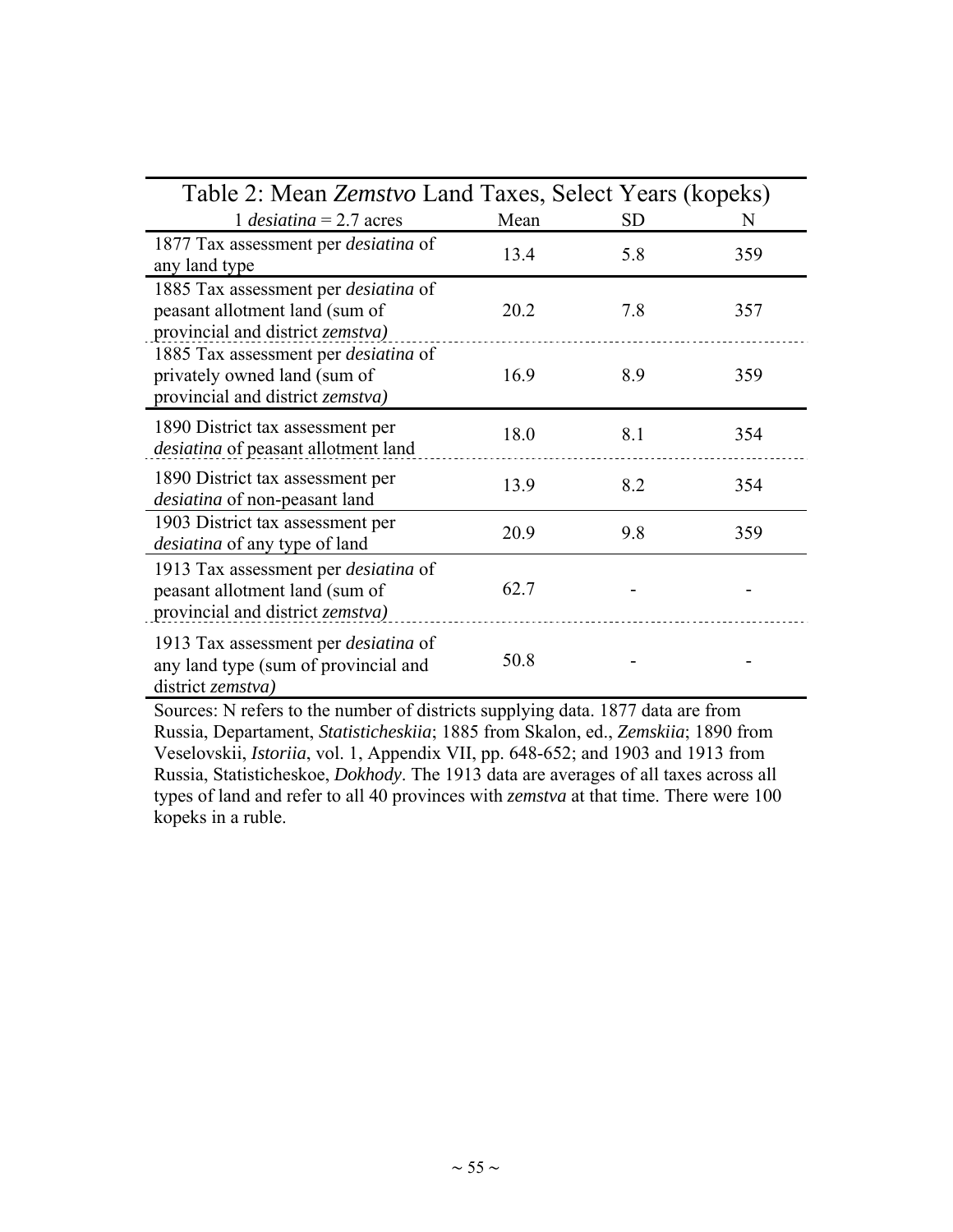| Table 2: Mean Zemstvo Land Taxes, Select Years (kopeks)                                                                   |      |           |     |
|---------------------------------------------------------------------------------------------------------------------------|------|-----------|-----|
| 1 <i>desiatina</i> = $2.7$ acres                                                                                          | Mean | <b>SD</b> | N   |
| 1877 Tax assessment per <i>desiatina</i> of<br>any land type                                                              | 13.4 | 5.8       | 359 |
| 1885 Tax assessment per desiatina of<br>peasant allotment land (sum of<br>provincial and district <i>zemstva</i> )        | 20.2 | 7.8       | 357 |
| 1885 Tax assessment per <i>desiatina</i> of<br>privately owned land (sum of<br>provincial and district <i>zemstva</i> )   | 16.9 | 8.9       | 359 |
| 1890 District tax assessment per<br>desiatina of peasant allotment land                                                   | 18.0 | 8.1       | 354 |
| 1890 District tax assessment per<br><i>desiatina</i> of non-peasant land                                                  | 13.9 | 8.2       | 354 |
| 1903 District tax assessment per<br><i>desiatina</i> of any type of land                                                  | 20.9 | 9.8       | 359 |
| 1913 Tax assessment per <i>desiatina</i> of<br>peasant allotment land (sum of<br>provincial and district <i>zemstva</i> ) | 62.7 |           |     |
| 1913 Tax assessment per <i>desiatina</i> of<br>any land type (sum of provincial and<br>district zemstva)                  | 50.8 |           |     |

Sources: N refers to the number of districts supplying data. 1877 data are from Russia, Departament, *Statisticheskiia*; 1885 from Skalon, ed., *Zemskiia*; 1890 from Veselovskii, *Istoriia*, vol. 1, Appendix VII, pp. 648-652; and 1903 and 1913 from Russia, Statisticheskoe, *Dokhody*. The 1913 data are averages of all taxes across all types of land and refer to all 40 provinces with *zemstva* at that time. There were 100 kopeks in a ruble.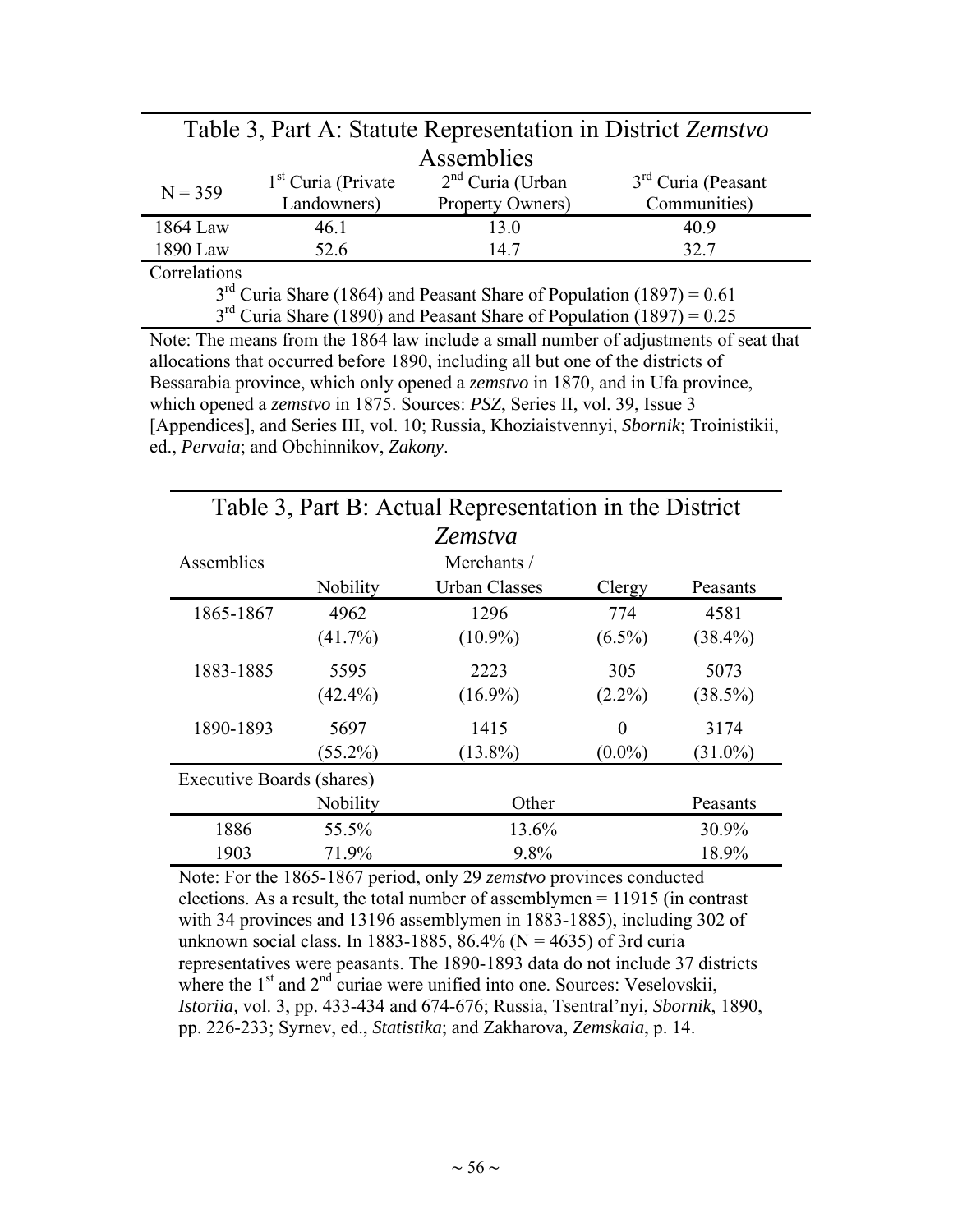| Table 3, Part A: Statute Representation in District Zemstvo               |                                      |                                        |                                      |  |  |  |
|---------------------------------------------------------------------------|--------------------------------------|----------------------------------------|--------------------------------------|--|--|--|
| Assemblies                                                                |                                      |                                        |                                      |  |  |  |
| $N = 359$                                                                 | $1st$ Curia (Private)<br>Landowners) | $2nd$ Curia (Urban<br>Property Owners) | $3rd$ Curia (Peasant<br>Communities) |  |  |  |
| 1864 Law                                                                  | 46.1                                 | 13.0                                   | 40.9                                 |  |  |  |
| 1890 Law                                                                  | 52.6                                 | 14.7                                   | 32.7                                 |  |  |  |
| Correlations                                                              |                                      |                                        |                                      |  |  |  |
| $3^{rd}$ Curia Share (1864) and Peasant Share of Population (1897) = 0.61 |                                      |                                        |                                      |  |  |  |
| $3rd$ Curia Share (1890) and Peasant Share of Population (1897) = 0.25    |                                      |                                        |                                      |  |  |  |

Note: The means from the 1864 law include a small number of adjustments of seat that allocations that occurred before 1890, including all but one of the districts of Bessarabia province, which only opened a *zemstvo* in 1870, and in Ufa province, which opened a *zemstvo* in 1875. Sources: *PSZ*, Series II, vol. 39, Issue 3 [Appendices], and Series III, vol. 10; Russia, Khoziaistvennyi, *Sbornik*; Troinistikii,

ed., *Pervaia*; and Obchinnikov, *Zakony*.

| Table 3, Part B: Actual Representation in the District |            |                      |           |            |  |  |
|--------------------------------------------------------|------------|----------------------|-----------|------------|--|--|
|                                                        |            | Zemstva              |           |            |  |  |
| Assemblies                                             |            | Merchants /          |           |            |  |  |
|                                                        | Nobility   | <b>Urban Classes</b> | Clergy    | Peasants   |  |  |
| 1865-1867                                              | 4962       | 1296                 | 774       | 4581       |  |  |
|                                                        | $(41.7\%)$ | $(10.9\%)$           | $(6.5\%)$ | $(38.4\%)$ |  |  |
| 1883-1885                                              | 5595       | 2223                 | 305       | 5073       |  |  |
|                                                        | $(42.4\%)$ | $(16.9\%)$           | $(2.2\%)$ | $(38.5\%)$ |  |  |
| 1890-1893                                              | 5697       | 1415                 | 0         | 3174       |  |  |
|                                                        | $(55.2\%)$ | $(13.8\%)$           | $(0.0\%)$ | $(31.0\%)$ |  |  |
| Executive Boards (shares)                              |            |                      |           |            |  |  |
|                                                        | Nobility   | Other<br>Peasants    |           |            |  |  |
| 1886                                                   | 55.5%      | 13.6%<br>30.9%       |           |            |  |  |
| 1903                                                   | 71.9%      | 9.8%<br>18.9%        |           |            |  |  |

Note: For the 1865-1867 period, only 29 *zemstvo* provinces conducted elections. As a result, the total number of assemblymen = 11915 (in contrast with 34 provinces and 13196 assemblymen in 1883-1885), including 302 of unknown social class. In 1883-1885, 86.4% ( $N = 4635$ ) of 3rd curia representatives were peasants. The 1890-1893 data do not include 37 districts where the 1<sup>st</sup> and 2<sup>nd</sup> curiae were unified into one. Sources: Veselovskii, *Istoriia,* vol. 3, pp. 433-434 and 674-676; Russia, Tsentral'nyi, *Sbornik*, 1890, pp. 226-233; Syrnev, ed., *Statistika*; and Zakharova, *Zemskaia*, p. 14.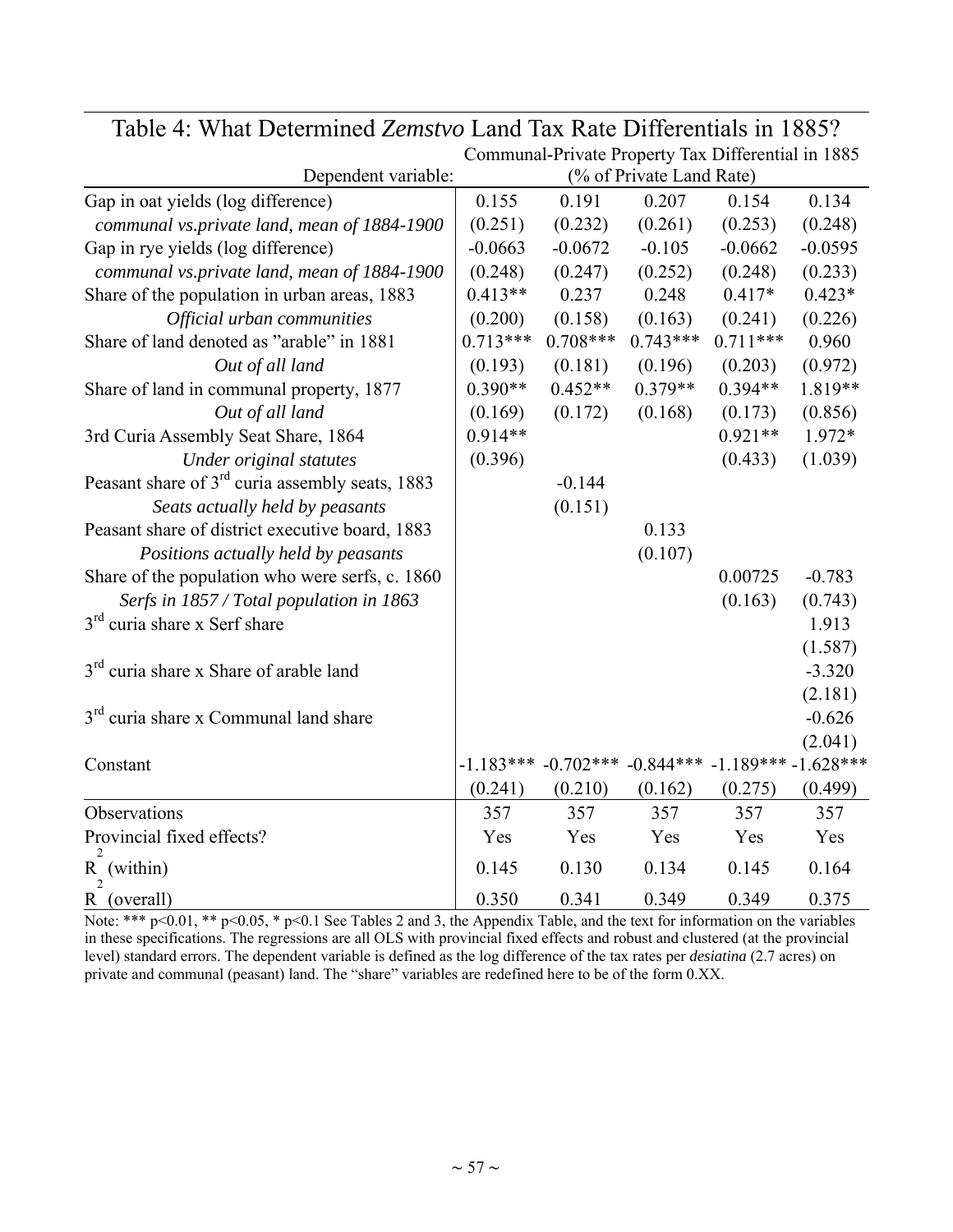|                                                             | Communal-Private Property Tax Differential in 1885 |            |                          |                                                             |           |
|-------------------------------------------------------------|----------------------------------------------------|------------|--------------------------|-------------------------------------------------------------|-----------|
| Dependent variable:                                         |                                                    |            | (% of Private Land Rate) |                                                             |           |
| Gap in oat yields (log difference)                          | 0.155                                              | 0.191      | 0.207                    | 0.154                                                       | 0.134     |
| communal vs.private land, mean of 1884-1900                 | (0.251)                                            | (0.232)    | (0.261)                  | (0.253)                                                     | (0.248)   |
| Gap in rye yields (log difference)                          | $-0.0663$                                          | $-0.0672$  | $-0.105$                 | $-0.0662$                                                   | $-0.0595$ |
| communal vs.private land, mean of 1884-1900                 | (0.248)                                            | (0.247)    | (0.252)                  | (0.248)                                                     | (0.233)   |
| Share of the population in urban areas, 1883                | $0.413**$                                          | 0.237      | 0.248                    | $0.417*$                                                    | $0.423*$  |
| Official urban communities                                  | (0.200)                                            | (0.158)    | (0.163)                  | (0.241)                                                     | (0.226)   |
| Share of land denoted as "arable" in 1881                   | $0.713***$                                         | $0.708***$ | $0.743***$               | $0.711***$                                                  | 0.960     |
| Out of all land                                             | (0.193)                                            | (0.181)    | (0.196)                  | (0.203)                                                     | (0.972)   |
| Share of land in communal property, 1877                    | $0.390**$                                          | $0.452**$  | $0.379**$                | $0.394**$                                                   | 1.819**   |
| Out of all land                                             | (0.169)                                            | (0.172)    | (0.168)                  | (0.173)                                                     | (0.856)   |
| 3rd Curia Assembly Seat Share, 1864                         | $0.914**$                                          |            |                          | $0.921**$                                                   | 1.972*    |
| Under original statutes                                     | (0.396)                                            |            |                          | (0.433)                                                     | (1.039)   |
| Peasant share of 3 <sup>rd</sup> curia assembly seats, 1883 |                                                    | $-0.144$   |                          |                                                             |           |
| Seats actually held by peasants                             |                                                    | (0.151)    |                          |                                                             |           |
| Peasant share of district executive board, 1883             |                                                    |            | 0.133                    |                                                             |           |
| Positions actually held by peasants                         |                                                    |            | (0.107)                  |                                                             |           |
| Share of the population who were serfs, c. 1860             |                                                    |            |                          | 0.00725                                                     | $-0.783$  |
| Serfs in 1857 / Total population in 1863                    |                                                    |            |                          | (0.163)                                                     | (0.743)   |
| 3 <sup>rd</sup> curia share x Serf share                    |                                                    |            |                          |                                                             | 1.913     |
|                                                             |                                                    |            |                          |                                                             | (1.587)   |
| 3 <sup>rd</sup> curia share x Share of arable land          |                                                    |            |                          |                                                             | $-3.320$  |
|                                                             |                                                    |            |                          |                                                             | (2.181)   |
| 3 <sup>rd</sup> curia share x Communal land share           |                                                    |            |                          |                                                             | $-0.626$  |
|                                                             |                                                    |            |                          |                                                             | (2.041)   |
| Constant                                                    |                                                    |            |                          | $-1.183***$ $-0.702***$ $-0.844***$ $-1.189***$ $-1.628***$ |           |
|                                                             | (0.241)                                            | (0.210)    | (0.162)                  | (0.275)                                                     | (0.499)   |
| Observations                                                | 357                                                | 357        | 357                      | 357                                                         | 357       |
| Provincial fixed effects?                                   | Yes                                                | Yes        | Yes                      | Yes                                                         | Yes       |
| R (within)                                                  | 0.145                                              | 0.130      | 0.134                    | 0.145                                                       | 0.164     |
| R (overall)                                                 | 0.350                                              | 0.341      | 0.349                    | 0.349                                                       | 0.375     |

Table 4: What Determined *Zemstvo* Land Tax Rate Differentials in 1885?

Note: \*\*\* p<0.01, \*\* p<0.05, \* p<0.1 See Tables 2 and 3, the Appendix Table, and the text for information on the variables in these specifications. The regressions are all OLS with provincial fixed effects and robust and clustered (at the provincial level) standard errors. The dependent variable is defined as the log difference of the tax rates per *desiatina* (2.7 acres) on private and communal (peasant) land. The "share" variables are redefined here to be of the form 0.XX.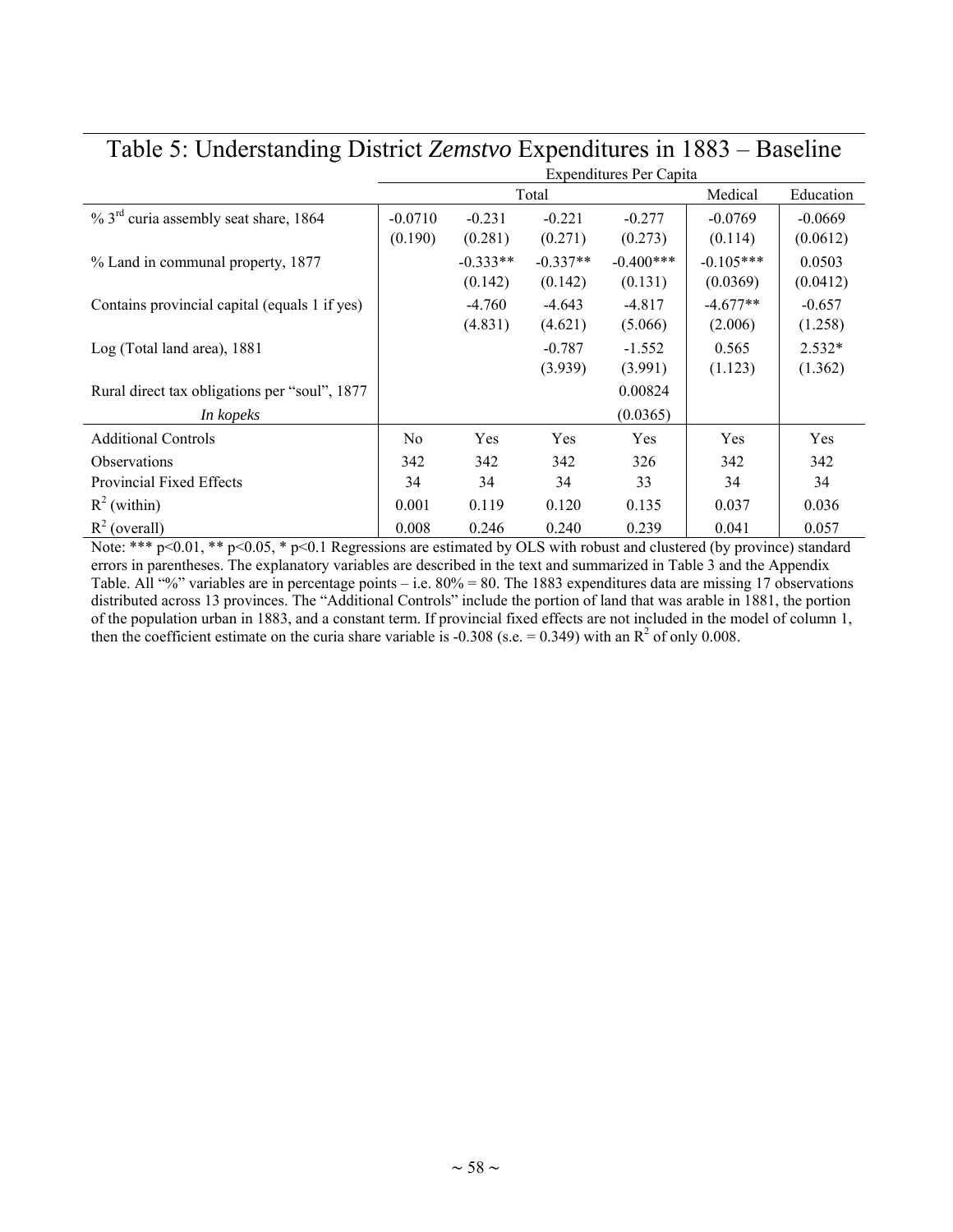| ℃                                                    | <b>Expenditures Per Capita</b> |                                  |                                  |                                   |                                    |                                |
|------------------------------------------------------|--------------------------------|----------------------------------|----------------------------------|-----------------------------------|------------------------------------|--------------------------------|
|                                                      |                                |                                  | Total                            |                                   | Medical                            | Education                      |
| $\%$ 3 <sup>rd</sup> curia assembly seat share, 1864 | $-0.0710$                      | $-0.231$                         | $-0.221$                         | $-0.277$                          | $-0.0769$                          | $-0.0669$                      |
| % Land in communal property, 1877                    | (0.190)                        | (0.281)<br>$-0.333**$<br>(0.142) | (0.271)<br>$-0.337**$<br>(0.142) | (0.273)<br>$-0.400***$<br>(0.131) | (0.114)<br>$-0.105***$<br>(0.0369) | (0.0612)<br>0.0503<br>(0.0412) |
| Contains provincial capital (equals 1 if yes)        |                                | $-4.760$<br>(4.831)              | $-4.643$<br>(4.621)              | $-4.817$<br>(5.066)               | $-4.677**$<br>(2.006)              | $-0.657$<br>(1.258)            |
| Log (Total land area), 1881                          |                                |                                  | $-0.787$<br>(3.939)              | $-1.552$<br>(3.991)               | 0.565<br>(1.123)                   | $2.532*$<br>(1.362)            |
| Rural direct tax obligations per "soul", 1877        |                                |                                  |                                  | 0.00824                           |                                    |                                |
| In kopeks                                            |                                |                                  |                                  | (0.0365)                          |                                    |                                |
| <b>Additional Controls</b>                           | N <sub>0</sub>                 | Yes                              | Yes                              | Yes                               | Yes                                | Yes                            |
| <b>Observations</b>                                  | 342                            | 342                              | 342                              | 326                               | 342                                | 342                            |
| Provincial Fixed Effects                             | 34                             | 34                               | 34                               | 33                                | 34                                 | 34                             |
| $R^2$ (within)                                       | 0.001                          | 0.119                            | 0.120                            | 0.135                             | 0.037                              | 0.036                          |
| $R^2$ (overall)                                      | 0.008                          | 0.246                            | 0.240                            | 0.239                             | 0.041                              | 0.057                          |

## Table 5: Understanding District *Zemstvo* Expenditures in 1883 – Baseline

Note: \*\*\*  $p<0.01$ , \*\*  $p<0.05$ , \*  $p<0.1$  Regressions are estimated by OLS with robust and clustered (by province) standard errors in parentheses. The explanatory variables are described in the text and summarized in Table 3 and the Appendix Table. All "%" variables are in percentage points – i.e. 80% = 80. The 1883 expenditures data are missing 17 observations distributed across 13 provinces. The "Additional Controls" include the portion of land that was arable in 1881, the portion of the population urban in 1883, and a constant term. If provincial fixed effects are not included in the model of column 1, then the coefficient estimate on the curia share variable is -0.308 (s.e.  $= 0.349$ ) with an R<sup>2</sup> of only 0.008.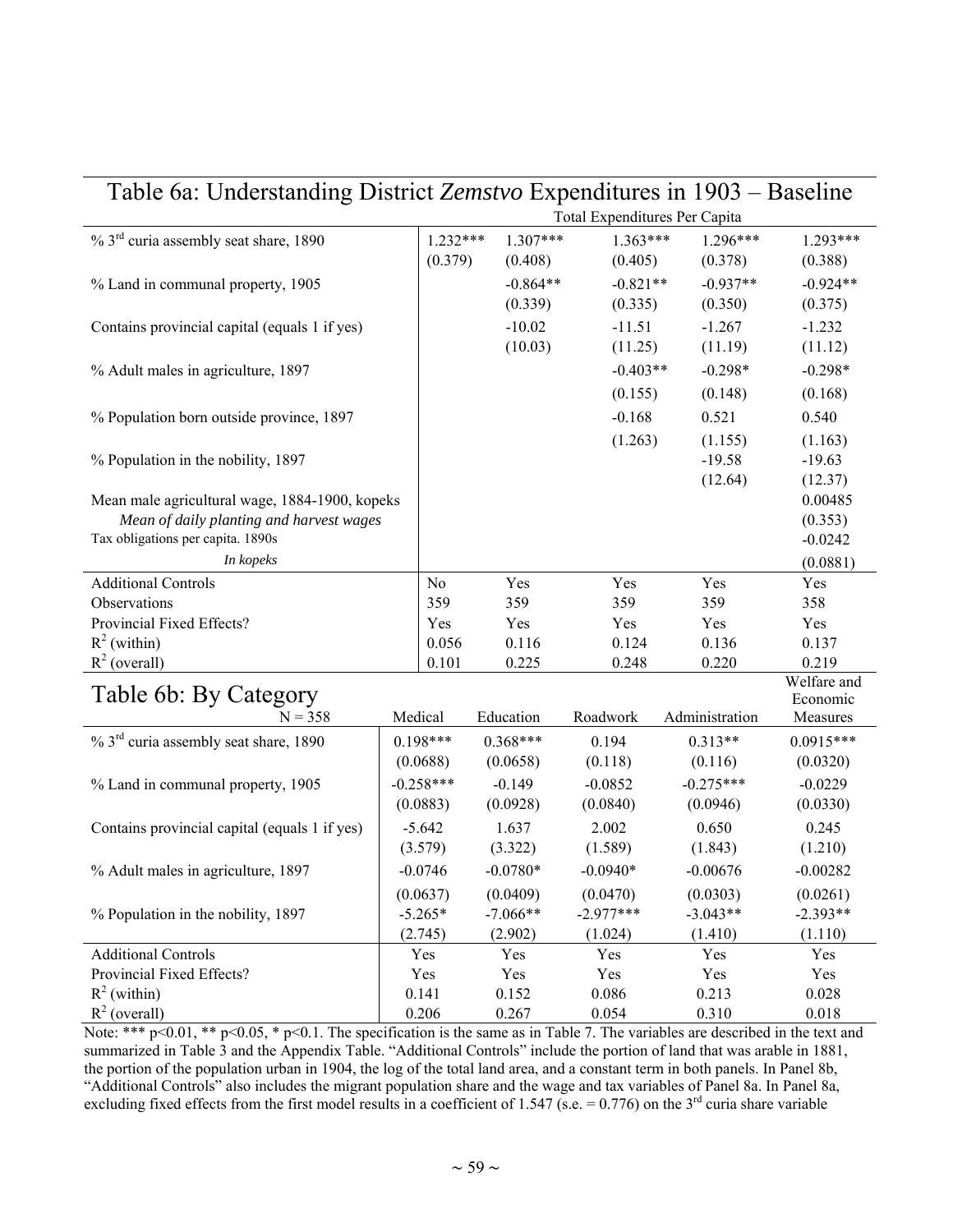| Table 6a: Understanding District Zemstvo Expenditures in 1903 – Baseline |  |                |            |                               |                |                         |
|--------------------------------------------------------------------------|--|----------------|------------|-------------------------------|----------------|-------------------------|
|                                                                          |  |                |            | Total Expenditures Per Capita |                |                         |
| $\%$ 3 <sup>rd</sup> curia assembly seat share, 1890                     |  | $1.232***$     | $1.307***$ | $1.363***$                    | $1.296***$     | 1.293***                |
|                                                                          |  | (0.379)        | (0.408)    | (0.405)                       | (0.378)        | (0.388)                 |
| % Land in communal property, 1905                                        |  |                | $-0.864**$ | $-0.821**$                    | $-0.937**$     | $-0.924**$              |
|                                                                          |  |                | (0.339)    | (0.335)                       | (0.350)        | (0.375)                 |
| Contains provincial capital (equals 1 if yes)                            |  |                | $-10.02$   | $-11.51$                      | $-1.267$       | $-1.232$                |
|                                                                          |  |                | (10.03)    | (11.25)                       | (11.19)        | (11.12)                 |
| % Adult males in agriculture, 1897                                       |  |                |            | $-0.403**$                    | $-0.298*$      | $-0.298*$               |
|                                                                          |  |                |            | (0.155)                       | (0.148)        | (0.168)                 |
| % Population born outside province, 1897                                 |  |                |            | $-0.168$                      | 0.521          | 0.540                   |
|                                                                          |  |                |            | (1.263)                       | (1.155)        | (1.163)                 |
| % Population in the nobility, 1897                                       |  |                |            |                               | $-19.58$       | $-19.63$                |
|                                                                          |  |                |            |                               | (12.64)        | (12.37)                 |
| Mean male agricultural wage, 1884-1900, kopeks                           |  |                |            |                               |                | 0.00485                 |
| Mean of daily planting and harvest wages                                 |  |                |            |                               |                | (0.353)                 |
| Tax obligations per capita. 1890s                                        |  |                |            |                               |                | $-0.0242$               |
| In kopeks                                                                |  |                |            |                               |                | (0.0881)                |
| <b>Additional Controls</b>                                               |  | N <sub>o</sub> | Yes        | Yes                           | Yes            | Yes                     |
| Observations                                                             |  | 359            | 359        | 359                           | 359            | 358                     |
| Provincial Fixed Effects?                                                |  | Yes            | Yes        | Yes                           | Yes            | Yes                     |
| $R^2$ (within)                                                           |  | 0.056          | 0.116      | 0.124                         | 0.136          | 0.137                   |
| $R^2$ (overall)                                                          |  | 0.101          | 0.225      | 0.248                         | 0.220          | 0.219                   |
| Table 6b: By Category                                                    |  |                |            |                               |                | Welfare and<br>Economic |
| $N = 358$                                                                |  | Medical        | Education  | Roadwork                      | Administration | Measures                |
| $\%$ 3 <sup>rd</sup> curia assembly seat share, 1890                     |  | $0.198***$     | $0.368***$ | 0.194                         | $0.313**$      | $0.0915***$             |
|                                                                          |  | (0.0688)       | (0.0658)   | (0.118)                       | (0.116)        | (0.0320)                |
| % Land in communal property, 1905                                        |  | $-0.258***$    | $-0.149$   | $-0.0852$                     | $-0.275***$    | $-0.0229$               |
|                                                                          |  | (0.0883)       | (0.0928)   | (0.0840)                      | (0.0946)       | (0.0330)                |
| Contains provincial capital (equals 1 if yes)                            |  | $-5.642$       | 1.637      | 2.002                         | 0.650          | 0.245                   |
|                                                                          |  | (3.579)        | (3.322)    | (1.589)                       | (1.843)        | (1.210)                 |
| % Adult males in agriculture, 1897                                       |  | $-0.0746$      | $-0.0780*$ | $-0.0940*$                    | $-0.00676$     | $-0.00282$              |
|                                                                          |  | (0.0637)       | (0.0409)   | (0.0470)                      | (0.0303)       | (0.0261)                |
| % Population in the nobility, 1897                                       |  | $-5.265*$      | $-7.066**$ | $-2.977***$                   | $-3.043**$     | $-2.393**$              |
|                                                                          |  | (2.745)        | (2.902)    | (1.024)                       | (1.410)        | (1.110)                 |
| <b>Additional Controls</b>                                               |  | Yes            | Yes        | Yes                           | Yes            | Yes                     |
| Provincial Fixed Effects?                                                |  | Yes            | Yes        | Yes                           | Yes            | Yes                     |
| $R^2$ (within)                                                           |  | 0.141          | 0.152      | 0.086                         | 0.213          | 0.028                   |
| $R^2$ (overall)                                                          |  | 0.206          | 0.267      | 0.054                         | 0.310          | 0.018                   |

Note: \*\*\*  $p$ <0.01, \*\*  $p$ <0.05, \*  $p$ <0.1. The specification is the same as in Table 7. The variables are described in the text and summarized in Table 3 and the Appendix Table. "Additional Controls" include the portion of land that was arable in 1881, the portion of the population urban in 1904, the log of the total land area, and a constant term in both panels. In Panel 8b, "Additional Controls" also includes the migrant population share and the wage and tax variables of Panel 8a. In Panel 8a, excluding fixed effects from the first model results in a coefficient of 1.547 (s.e.  $= 0.776$ ) on the 3<sup>rd</sup> curia share variable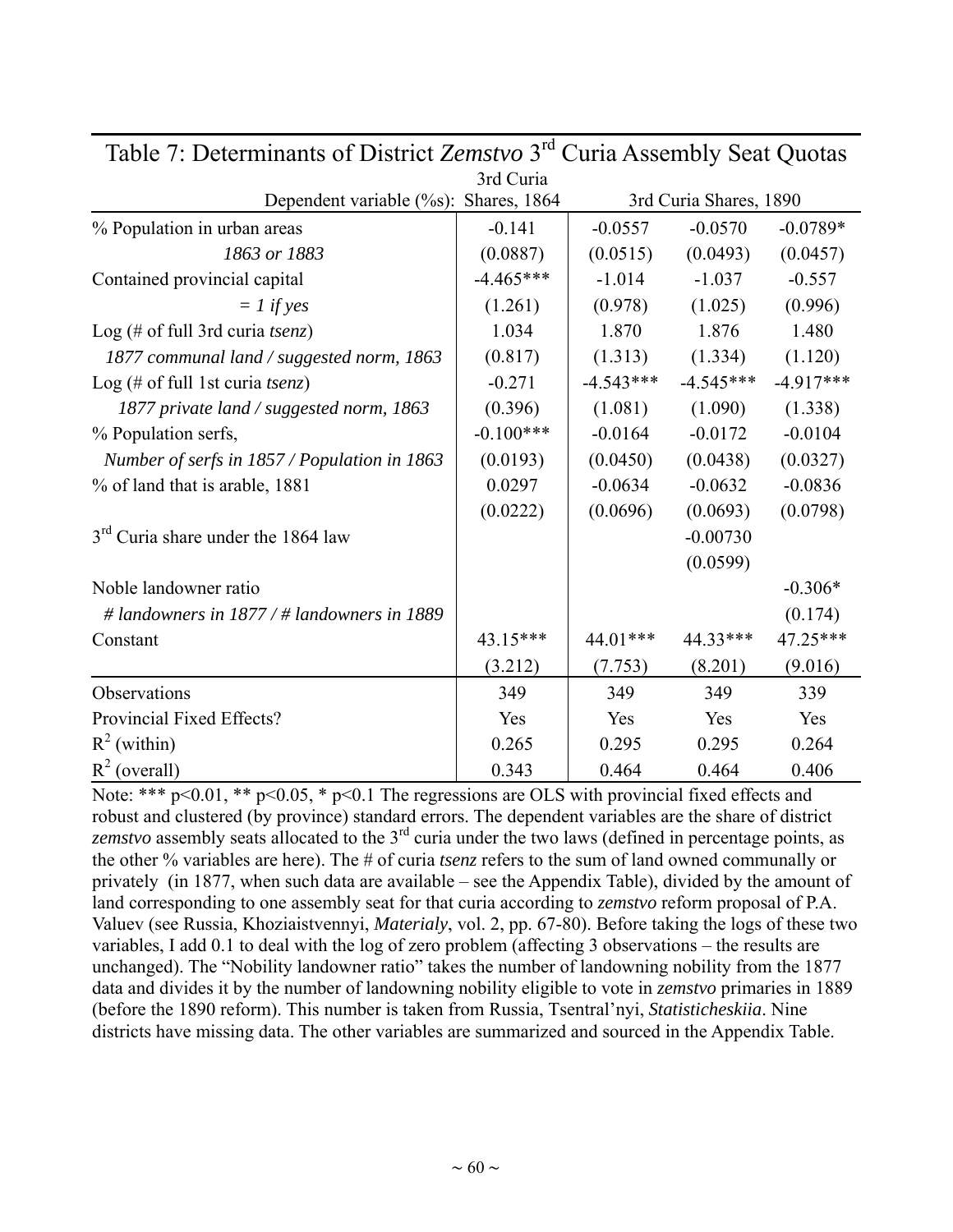| $\alpha$ compared to the contract $\alpha$ of $\alpha$ and $\alpha$ is $\alpha$ and $\alpha$ is $\alpha$ and $\alpha$ |             |             |                        |             |
|-----------------------------------------------------------------------------------------------------------------------|-------------|-------------|------------------------|-------------|
|                                                                                                                       | 3rd Curia   |             |                        |             |
| Dependent variable (%s): Shares, 1864                                                                                 |             |             | 3rd Curia Shares, 1890 |             |
| % Population in urban areas                                                                                           | $-0.141$    | $-0.0557$   | $-0.0570$              | $-0.0789*$  |
| 1863 or 1883                                                                                                          | (0.0887)    | (0.0515)    | (0.0493)               | (0.0457)    |
| Contained provincial capital                                                                                          | $-4.465***$ | $-1.014$    | $-1.037$               | $-0.557$    |
| $= 1$ if yes                                                                                                          | (1.261)     | (0.978)     | (1.025)                | (0.996)     |
| Log (# of full 3rd curia <i>tsenz</i> )                                                                               | 1.034       | 1.870       | 1.876                  | 1.480       |
| 1877 communal land / suggested norm, 1863                                                                             | (0.817)     | (1.313)     | (1.334)                | (1.120)     |
| Log (# of full 1st curia tsenz)                                                                                       | $-0.271$    | $-4.543***$ | $-4.545***$            | $-4.917***$ |
| 1877 private land / suggested norm, 1863                                                                              | (0.396)     | (1.081)     | (1.090)                | (1.338)     |
| % Population serfs,                                                                                                   | $-0.100***$ | $-0.0164$   | $-0.0172$              | $-0.0104$   |
| Number of serfs in 1857 / Population in 1863                                                                          | (0.0193)    | (0.0450)    | (0.0438)               | (0.0327)    |
| % of land that is arable, 1881                                                                                        | 0.0297      | $-0.0634$   | $-0.0632$              | $-0.0836$   |
|                                                                                                                       | (0.0222)    | (0.0696)    | (0.0693)               | (0.0798)    |
| 3 <sup>rd</sup> Curia share under the 1864 law                                                                        |             |             | $-0.00730$             |             |
|                                                                                                                       |             |             | (0.0599)               |             |
| Noble landowner ratio                                                                                                 |             |             |                        | $-0.306*$   |
| # landowners in $1877 / #$ landowners in 1889                                                                         |             |             |                        | (0.174)     |
| Constant                                                                                                              | 43.15***    | 44.01***    | 44.33***               | 47.25***    |
|                                                                                                                       | (3.212)     | (7.753)     | (8.201)                | (9.016)     |
| Observations                                                                                                          | 349         | 349         | 349                    | 339         |
| Provincial Fixed Effects?                                                                                             | Yes         | Yes         | Yes                    | Yes         |
| $R^2$ (within)                                                                                                        | 0.265       | 0.295       | 0.295                  | 0.264       |
| $R^2$ (overall)                                                                                                       | 0.343       | 0.464       | 0.464                  | 0.406       |

Table 7: Determinants of District *Zemstvo* 3rd Curia Assembly Seat Quotas

Note: \*\*\*  $p \le 0.01$ , \*\*  $p \le 0.05$ , \*  $p \le 0.1$  The regressions are OLS with provincial fixed effects and robust and clustered (by province) standard errors. The dependent variables are the share of district *zemstvo* assembly seats allocated to the 3rd curia under the two laws (defined in percentage points, as the other % variables are here). The # of curia *tsenz* refers to the sum of land owned communally or privately (in 1877, when such data are available – see the Appendix Table), divided by the amount of land corresponding to one assembly seat for that curia according to *zemstvo* reform proposal of P.A. Valuev (see Russia, Khoziaistvennyi, *Materialy*, vol. 2, pp. 67-80). Before taking the logs of these two variables, I add 0.1 to deal with the log of zero problem (affecting 3 observations – the results are unchanged). The "Nobility landowner ratio" takes the number of landowning nobility from the 1877 data and divides it by the number of landowning nobility eligible to vote in *zemstvo* primaries in 1889 (before the 1890 reform). This number is taken from Russia, Tsentral'nyi, *Statisticheskiia*. Nine districts have missing data. The other variables are summarized and sourced in the Appendix Table.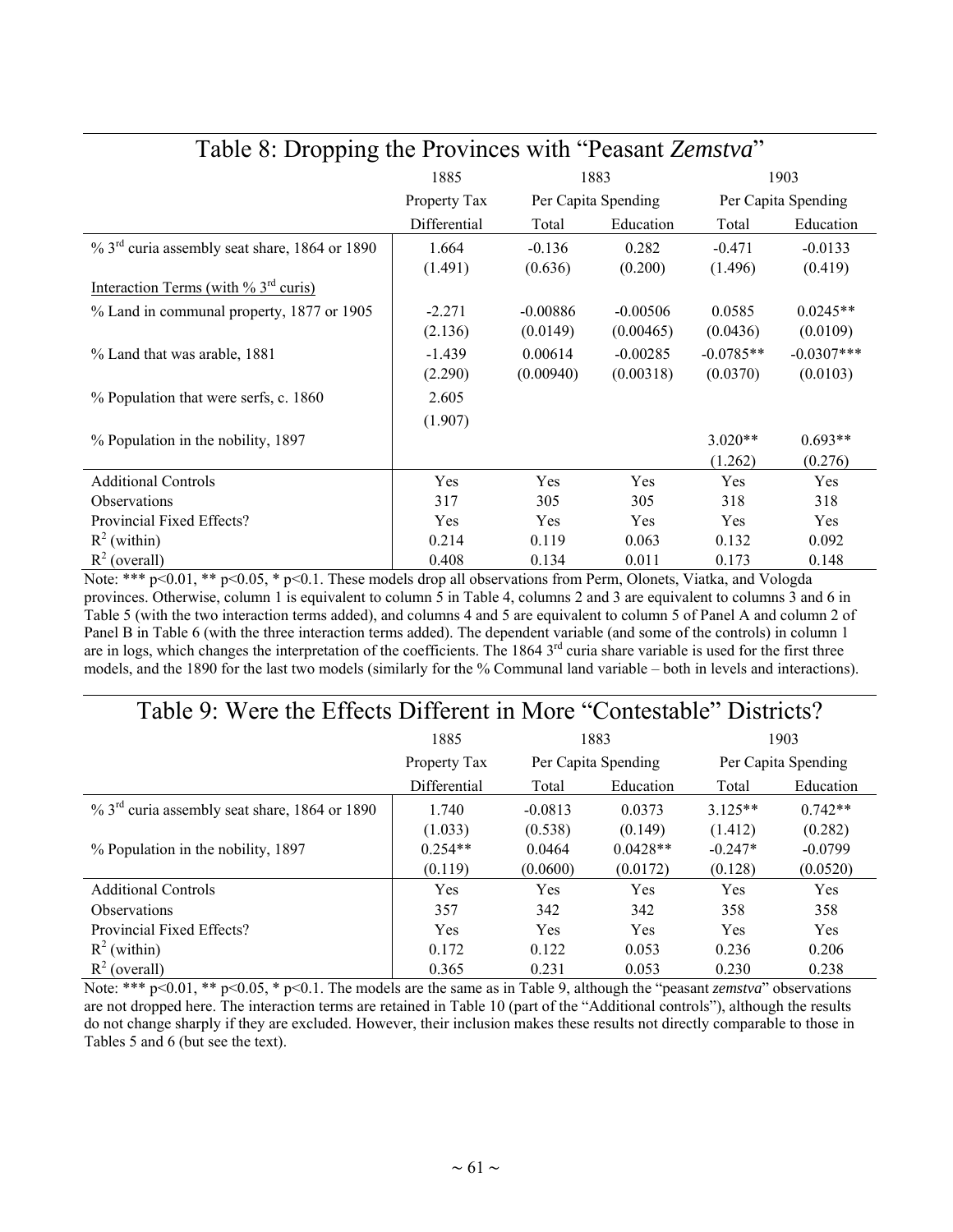| $m = 0.216$ pm $\sigma$                                      | 1885         |            | 1883                |                     | 1903          |
|--------------------------------------------------------------|--------------|------------|---------------------|---------------------|---------------|
|                                                              | Property Tax |            | Per Capita Spending | Per Capita Spending |               |
|                                                              | Differential | Total      | Education           | Total               | Education     |
| $\%$ 3 <sup>rd</sup> curia assembly seat share, 1864 or 1890 | 1.664        | $-0.136$   | 0.282               | $-0.471$            | $-0.0133$     |
|                                                              | (1.491)      | (0.636)    | (0.200)             | (1.496)             | (0.419)       |
| Interaction Terms (with $\%$ 3 <sup>rd</sup> curis)          |              |            |                     |                     |               |
| % Land in communal property, 1877 or 1905                    | $-2.271$     | $-0.00886$ | $-0.00506$          | 0.0585              | $0.0245**$    |
|                                                              | (2.136)      | (0.0149)   | (0.00465)           | (0.0436)            | (0.0109)      |
| % Land that was arable, 1881                                 | $-1.439$     | 0.00614    | $-0.00285$          | $-0.0785**$         | $-0.0307$ *** |
|                                                              | (2.290)      | (0.00940)  | (0.00318)           | (0.0370)            | (0.0103)      |
| % Population that were serfs, c. 1860                        | 2.605        |            |                     |                     |               |
|                                                              | (1.907)      |            |                     |                     |               |
| % Population in the nobility, 1897                           |              |            |                     | $3.020**$           | $0.693**$     |
|                                                              |              |            |                     | (1.262)             | (0.276)       |
| <b>Additional Controls</b>                                   | Yes          | Yes        | Yes                 | Yes                 | Yes           |
| <b>Observations</b>                                          | 317          | 305        | 305                 | 318                 | 318           |
| Provincial Fixed Effects?                                    | Yes          | Yes        | Yes                 | Yes                 | Yes           |
| $R^2$ (within)                                               | 0.214        | 0.119      | 0.063               | 0.132               | 0.092         |
| $R^2$ (overall)                                              | 0.408        | 0.134      | 0.011               | 0.173               | 0.148         |

### Table 8: Dropping the Provinces with "Peasant *Zemstva*"

Note: \*\*\* p<0.01, \*\* p<0.05, \* p<0.1. These models drop all observations from Perm, Olonets, Viatka, and Vologda provinces. Otherwise, column 1 is equivalent to column 5 in Table 4, columns 2 and 3 are equivalent to columns 3 and 6 in Table 5 (with the two interaction terms added), and columns 4 and 5 are equivalent to column 5 of Panel A and column 2 of Panel B in Table 6 (with the three interaction terms added). The dependent variable (and some of the controls) in column 1 are in logs, which changes the interpretation of the coefficients. The  $1864$   $3<sup>rd</sup>$  curia share variable is used for the first three models, and the 1890 for the last two models (similarly for the % Communal land variable – both in levels and interactions).

### Table 9: Were the Effects Different in More "Contestable" Districts?

|                                                              | 1885         | 1883      |                     | 1903                |           |
|--------------------------------------------------------------|--------------|-----------|---------------------|---------------------|-----------|
|                                                              | Property Tax |           | Per Capita Spending | Per Capita Spending |           |
|                                                              | Differential | Total     | Education           | Total               | Education |
| $\%$ 3 <sup>rd</sup> curia assembly seat share, 1864 or 1890 | 1.740        | $-0.0813$ | 0.0373              | $3125**$            | $0.742**$ |
|                                                              | (1.033)      | (0.538)   | (0.149)             | (1.412)             | (0.282)   |
| % Population in the nobility, 1897                           | $0.254**$    | 0.0464    | $0.0428**$          | $-0.247*$           | $-0.0799$ |
|                                                              | (0.119)      | (0.0600)  | (0.0172)            | (0.128)             | (0.0520)  |
| <b>Additional Controls</b>                                   | Yes          | Yes       | Yes                 | Yes                 | Yes       |
| <b>Observations</b>                                          | 357          | 342       | 342                 | 358                 | 358       |
| Provincial Fixed Effects?                                    | Yes          | Yes       | Yes                 | Yes                 | Yes       |
| $R^2$ (within)                                               | 0.172        | 0.122     | 0.053               | 0.236               | 0.206     |
| $R^2$ (overall)                                              | 0.365        | 0.231     | 0.053               | 0.230               | 0.238     |

Note: \*\*\* p<0.01, \*\* p<0.05, \* p<0.1. The models are the same as in Table 9, although the "peasant *zemstva*" observations are not dropped here. The interaction terms are retained in Table 10 (part of the "Additional controls"), although the results do not change sharply if they are excluded. However, their inclusion makes these results not directly comparable to those in Tables 5 and 6 (but see the text).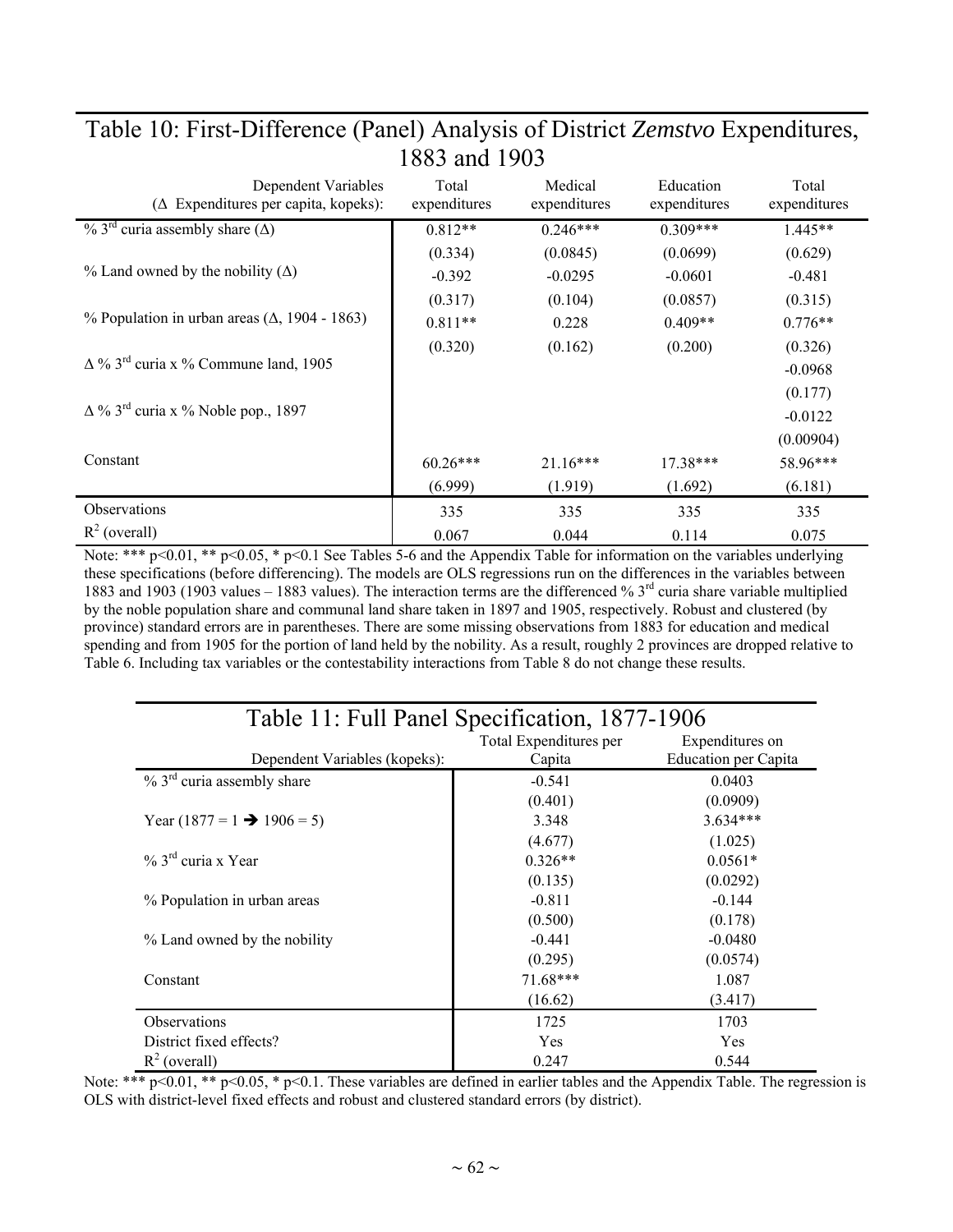| Dependent Variables<br>$(\Delta$ Expenditures per capita, kopeks): | Total<br>expenditures | Medical<br>expenditures | Education<br>expenditures | Total<br>expenditures |
|--------------------------------------------------------------------|-----------------------|-------------------------|---------------------------|-----------------------|
| $\%$ 3 <sup>rd</sup> curia assembly share ( $\Delta$ )             | $0.812**$             | $0.246***$              | $0.309***$                | $1.445**$             |
|                                                                    | (0.334)               | (0.0845)                | (0.0699)                  | (0.629)               |
| $\%$ Land owned by the nobility ( $\Delta$ )                       | $-0.392$              | $-0.0295$               | $-0.0601$                 | $-0.481$              |
|                                                                    | (0.317)               | (0.104)                 | (0.0857)                  | (0.315)               |
| % Population in urban areas $(\Delta, 1904 - 1863)$                | $0.811**$             | 0.228                   | $0.409**$                 | $0.776**$             |
|                                                                    | (0.320)               | (0.162)                 | (0.200)                   | (0.326)               |
| $\Delta$ % 3 <sup>rd</sup> curia x % Commune land, 1905            |                       |                         |                           | $-0.0968$             |
|                                                                    |                       |                         |                           | (0.177)               |
| $\Delta$ % 3 <sup>rd</sup> curia x % Noble pop., 1897              |                       |                         |                           | $-0.0122$             |
|                                                                    |                       |                         |                           | (0.00904)             |
| Constant                                                           | $60.26***$            | $21.16***$              | $17.38***$                | 58.96***              |
|                                                                    | (6.999)               | (1.919)                 | (1.692)                   | (6.181)               |
| Observations                                                       | 335                   | 335                     | 335                       | 335                   |
| $R^2$ (overall)                                                    | 0.067                 | 0.044                   | 0.114                     | 0.075                 |

### Table 10: First-Difference (Panel) Analysis of District *Zemstvo* Expenditures, 1883 and 1903

Note: \*\*\* p<0.01, \*\* p<0.05, \* p<0.1 See Tables 5-6 and the Appendix Table for information on the variables underlying these specifications (before differencing). The models are OLS regressions run on the differences in the variables between 1883 and 1903 (1903 values – 1883 values). The interaction terms are the differenced %  $3<sup>rd</sup>$  curia share variable multiplied by the noble population share and communal land share taken in 1897 and 1905, respectively. Robust and clustered (by province) standard errors are in parentheses. There are some missing observations from 1883 for education and medical spending and from 1905 for the portion of land held by the nobility. As a result, roughly 2 provinces are dropped relative to Table 6. Including tax variables or the contestability interactions from Table 8 do not change these results.

| Table 11: Full Panel Specification, 1877-1906 |                        |                             |  |  |  |  |
|-----------------------------------------------|------------------------|-----------------------------|--|--|--|--|
|                                               | Total Expenditures per | Expenditures on             |  |  |  |  |
| Dependent Variables (kopeks):                 | Capita                 | <b>Education per Capita</b> |  |  |  |  |
| $% 3rd$ curia assembly share                  | $-0.541$               | 0.0403                      |  |  |  |  |
|                                               | (0.401)                | (0.0909)                    |  |  |  |  |
| Year $(1877 = 1 \rightarrow 1906 = 5)$        | 3.348                  | $3.634***$                  |  |  |  |  |
|                                               | (4.677)                | (1.025)                     |  |  |  |  |
| $\%$ 3 <sup>rd</sup> curia x Year             | $0.326**$              | $0.0561*$                   |  |  |  |  |
|                                               | (0.135)                | (0.0292)                    |  |  |  |  |
| % Population in urban areas                   | $-0.811$               | $-0.144$                    |  |  |  |  |
|                                               | (0.500)                | (0.178)                     |  |  |  |  |
| % Land owned by the nobility                  | $-0.441$               | $-0.0480$                   |  |  |  |  |
|                                               | (0.295)                | (0.0574)                    |  |  |  |  |
| Constant                                      | $71.68***$             | 1.087                       |  |  |  |  |
|                                               | (16.62)                | (3.417)                     |  |  |  |  |
| <b>Observations</b>                           | 1725                   | 1703                        |  |  |  |  |
| District fixed effects?                       | Yes                    | Yes                         |  |  |  |  |
| $R^2$ (overall)                               | 0.247                  | 0.544                       |  |  |  |  |

Note: \*\*\* p<0.01, \*\* p<0.05, \* p<0.1. These variables are defined in earlier tables and the Appendix Table. The regression is OLS with district-level fixed effects and robust and clustered standard errors (by district).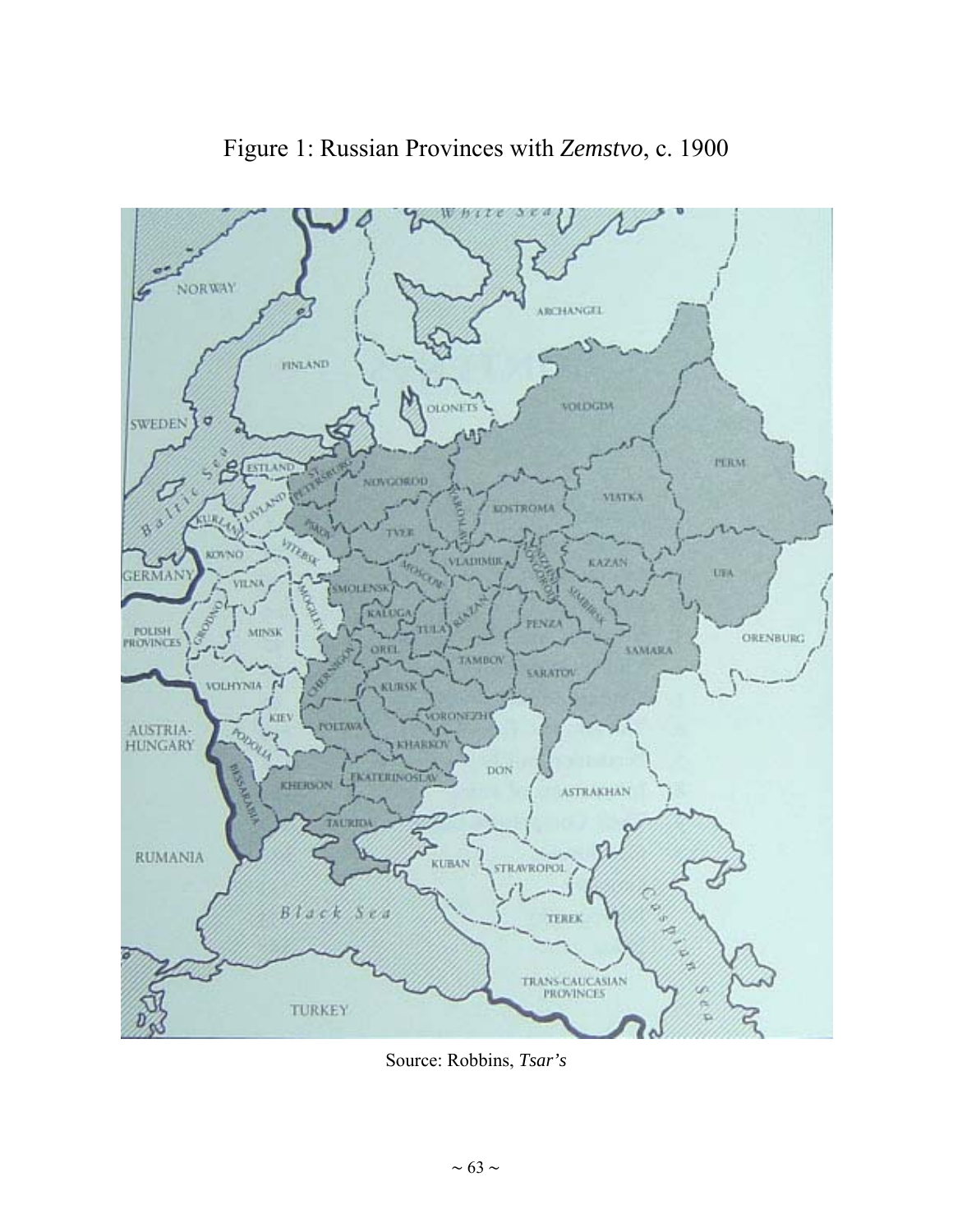

### Figure 1: Russian Provinces with *Zemstvo*, c. 1900

Source: Robbins, *Tsar's*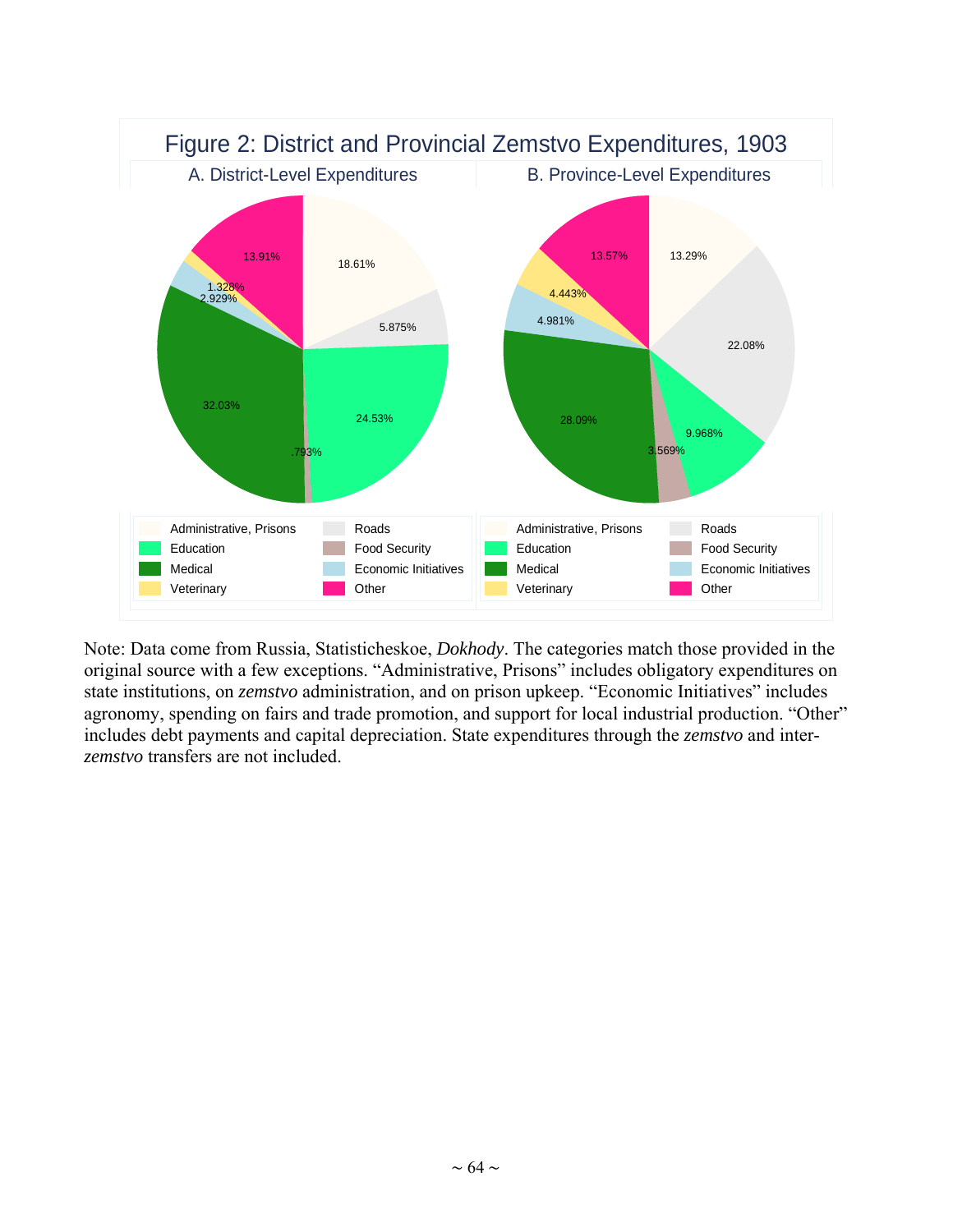

Note: Data come from Russia, Statisticheskoe, *Dokhody*. The categories match those provided in the original source with a few exceptions. "Administrative, Prisons" includes obligatory expenditures on state institutions, on *zemstvo* administration, and on prison upkeep. "Economic Initiatives" includes agronomy, spending on fairs and trade promotion, and support for local industrial production. "Other" includes debt payments and capital depreciation. State expenditures through the *zemstvo* and inter*zemstvo* transfers are not included.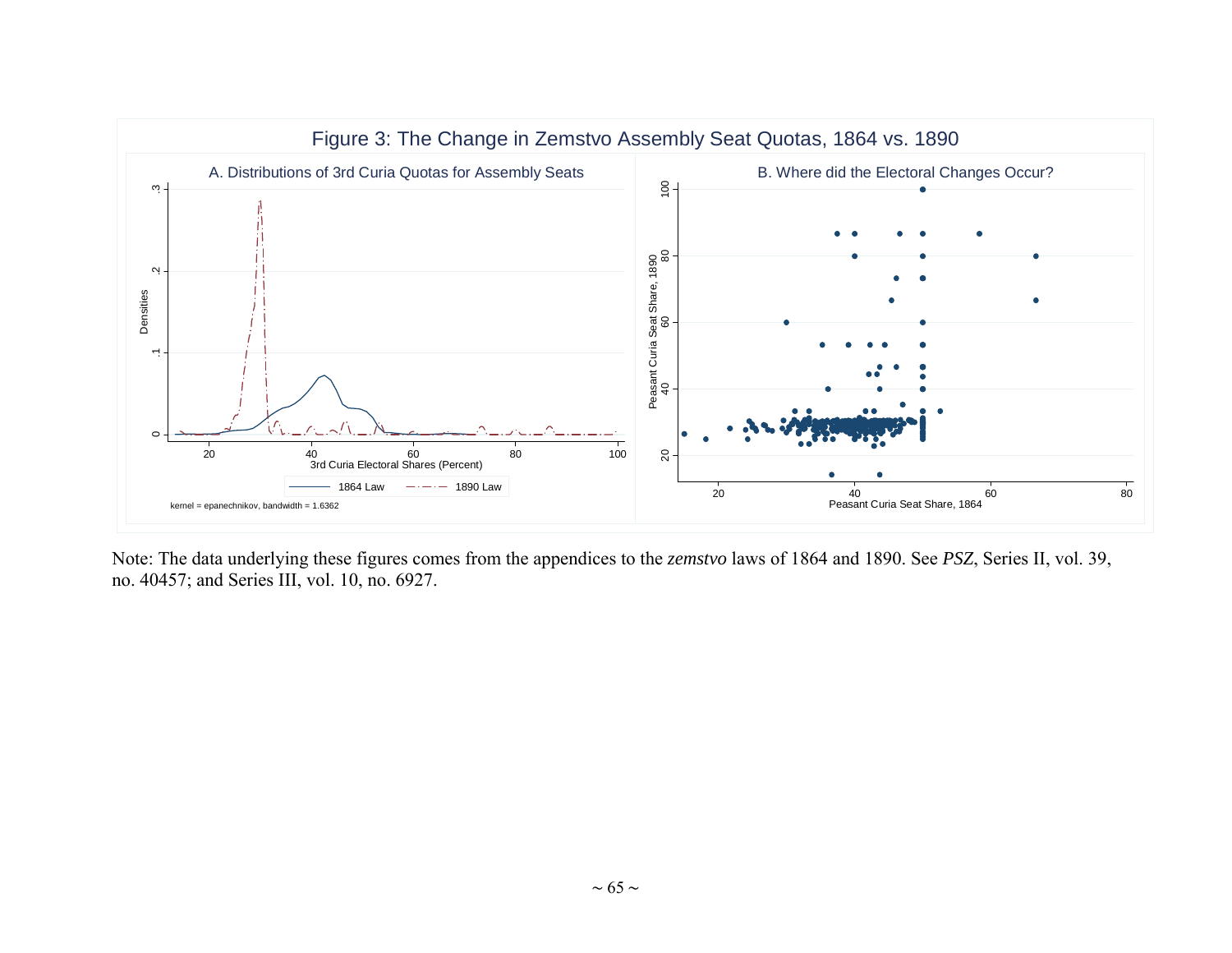

Note: The data underlying these figures comes from the appendices to the *zemstvo* laws of 1864 and 1890. See *PSZ*, Series II, vol. 39, no. 40457; and Series III, vol. 10, no. 6927.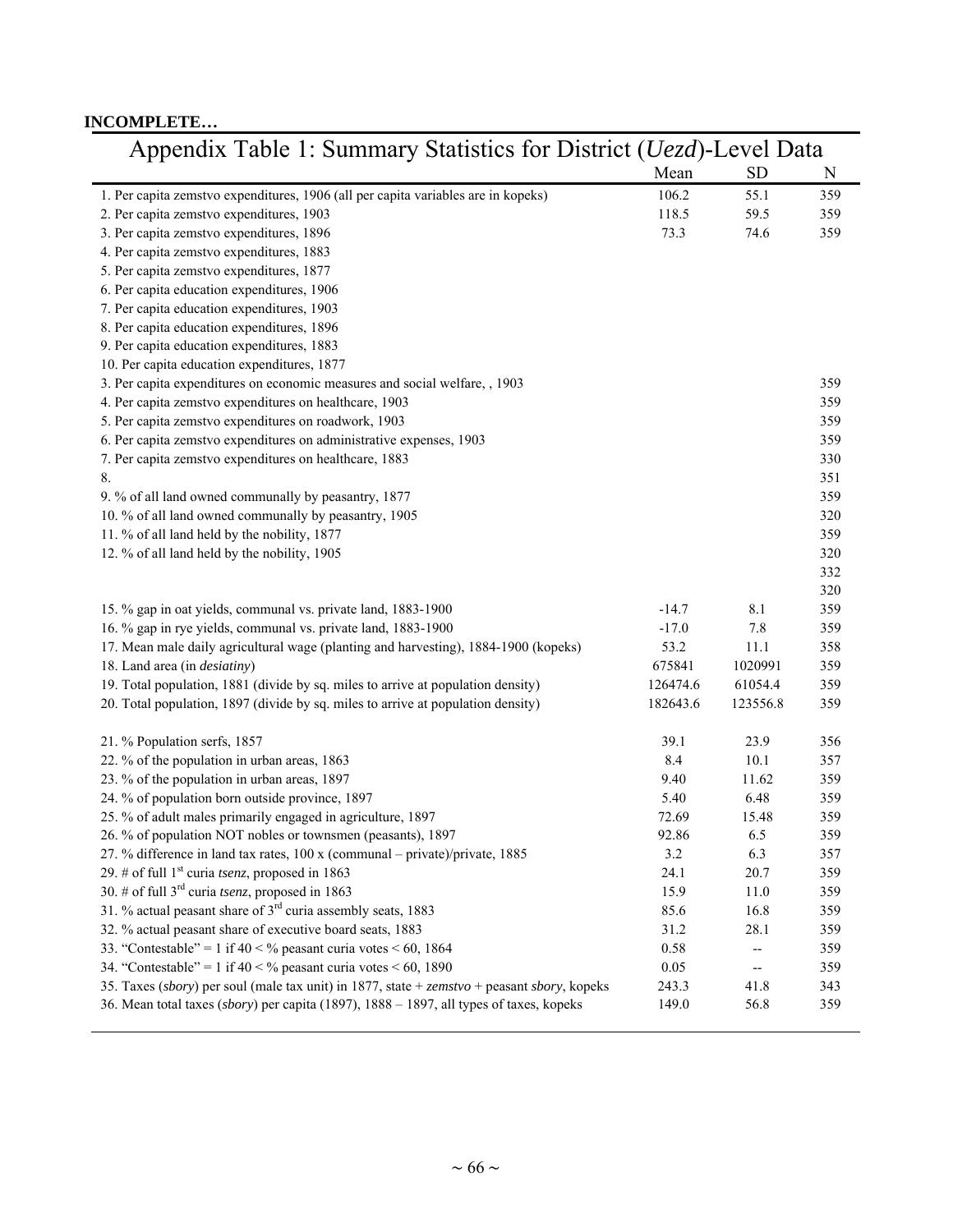#### **INCOMPLETE…**

| Appendix Table 1: Summary Statistics for District ( <i>Uezd</i> )-Level Data                  |          |           |     |
|-----------------------------------------------------------------------------------------------|----------|-----------|-----|
|                                                                                               | Mean     | <b>SD</b> | N   |
| 1. Per capita zemstvo expenditures, 1906 (all per capita variables are in kopeks)             | 106.2    | 55.1      | 359 |
| 2. Per capita zemstvo expenditures, 1903                                                      | 118.5    | 59.5      | 359 |
| 3. Per capita zemstvo expenditures, 1896                                                      | 73.3     | 74.6      | 359 |
| 4. Per capita zemstvo expenditures, 1883                                                      |          |           |     |
| 5. Per capita zemstvo expenditures, 1877                                                      |          |           |     |
| 6. Per capita education expenditures, 1906                                                    |          |           |     |
| 7. Per capita education expenditures, 1903                                                    |          |           |     |
| 8. Per capita education expenditures, 1896                                                    |          |           |     |
| 9. Per capita education expenditures, 1883                                                    |          |           |     |
| 10. Per capita education expenditures, 1877                                                   |          |           |     |
| 3. Per capita expenditures on economic measures and social welfare, , 1903                    |          |           | 359 |
| 4. Per capita zemstvo expenditures on healthcare, 1903                                        |          |           | 359 |
| 5. Per capita zemstvo expenditures on roadwork, 1903                                          |          |           | 359 |
| 6. Per capita zemstvo expenditures on administrative expenses, 1903                           |          |           | 359 |
| 7. Per capita zemstvo expenditures on healthcare, 1883                                        |          |           | 330 |
| 8.                                                                                            |          |           | 351 |
| 9. % of all land owned communally by peasantry, 1877                                          |          |           | 359 |
| 10. % of all land owned communally by peasantry, 1905                                         |          |           | 320 |
| 11. % of all land held by the nobility, 1877                                                  |          |           | 359 |
| 12. % of all land held by the nobility, 1905                                                  |          |           | 320 |
|                                                                                               |          |           | 332 |
|                                                                                               |          |           | 320 |
| 15. % gap in oat yields, communal vs. private land, 1883-1900                                 | $-14.7$  | 8.1       | 359 |
| 16. % gap in rye yields, communal vs. private land, 1883-1900                                 | $-17.0$  | 7.8       | 359 |
| 17. Mean male daily agricultural wage (planting and harvesting), 1884-1900 (kopeks)           | 53.2     | 11.1      | 358 |
| 18. Land area (in <i>desiatiny</i> )                                                          | 675841   | 1020991   | 359 |
| 19. Total population, 1881 (divide by sq. miles to arrive at population density)              | 126474.6 | 61054.4   | 359 |
| 20. Total population, 1897 (divide by sq. miles to arrive at population density)              | 182643.6 | 123556.8  | 359 |
| 21. % Population serfs, 1857                                                                  | 39.1     | 23.9      | 356 |
| 22. % of the population in urban areas, 1863                                                  | 8.4      | 10.1      | 357 |
| 23. % of the population in urban areas, 1897                                                  | 9.40     | 11.62     | 359 |
| 24. % of population born outside province, 1897                                               | 5.40     | 6.48      | 359 |
| 25. % of adult males primarily engaged in agriculture, 1897                                   | 72.69    | 15.48     | 359 |
| 26. % of population NOT nobles or townsmen (peasants), 1897                                   | 92.86    | 6.5       | 359 |
| 27. % difference in land tax rates, 100 x (communal - private)/private, 1885                  | 3.2      | 6.3       | 357 |
| 29. # of full $1st$ curia <i>tsenz</i> , proposed in 1863                                     | 24.1     | 20.7      | 359 |
| 30. # of full $3^{rd}$ curia tsenz, proposed in 1863                                          | 15.9     | 11.0      | 359 |
| 31. % actual peasant share of 3 <sup>rd</sup> curia assembly seats, 1883                      | 85.6     | 16.8      | 359 |
| 32. % actual peasant share of executive board seats, 1883                                     | 31.2     | 28.1      | 359 |
| 33. "Contestable" = 1 if $40 < \frac{9}{2}$ peasant curia votes $< 60$ , 1864                 | 0.58     | --        | 359 |
| 34. "Contestable" = 1 if $40 < \frac{9}{2}$ peasant curia votes $< 60$ , 1890                 | 0.05     | --        | 359 |
| 35. Taxes (sbory) per soul (male tax unit) in 1877, state + $zemstvo$ + peasant sbory, kopeks | 243.3    | 41.8      | 343 |
| 36. Mean total taxes (sbory) per capita (1897), 1888 – 1897, all types of taxes, kopeks       | 149.0    | 56.8      | 359 |